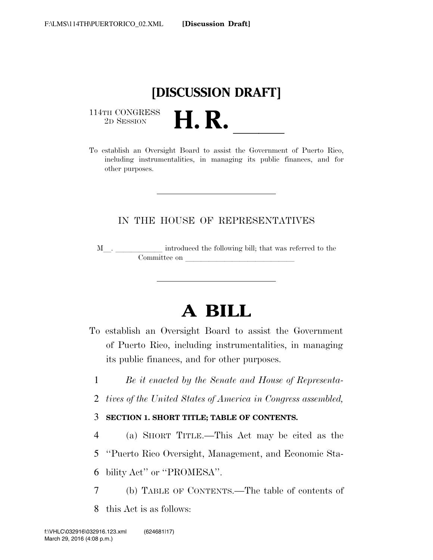

114TH CONGRESS<br>2D SESSION

THE CONGRESS<br>
2D SESSION<br>
To establish an Oversight Board to assist the Government of Puerto Rico, including instrumentalities, in managing its public finances, and for other purposes.

# IN THE HOUSE OF REPRESENTATIVES

 $\texttt{M}\_\texttt{1}$  .  $\_\texttt{2}$  introduced the following bill; that was referred to the  $\n *Committee on*\n$ 

# **A BILL**

- To establish an Oversight Board to assist the Government of Puerto Rico, including instrumentalities, in managing its public finances, and for other purposes.
	- 1 *Be it enacted by the Senate and House of Representa-*
- 2 *tives of the United States of America in Congress assembled,*

## 3 **SECTION 1. SHORT TITLE; TABLE OF CONTENTS.**

- 4 (a) SHORT TITLE.—This Act may be cited as the
- 5 ''Puerto Rico Oversight, Management, and Economic Sta-

6 bility Act'' or ''PROMESA''.

- 7 (b) TABLE OF CONTENTS.—The table of contents of
- 8 this Act is as follows: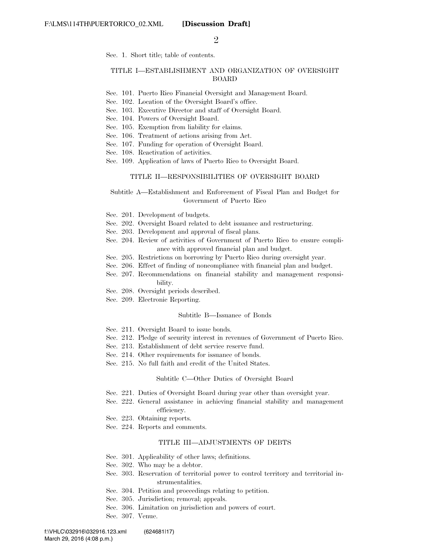$\mathcal{D}_{\mathcal{L}}$ 

Sec. 1. Short title; table of contents.

#### TITLE I—ESTABLISHMENT AND ORGANIZATION OF OVERSIGHT BOARD

- Sec. 101. Puerto Rico Financial Oversight and Management Board.
- Sec. 102. Location of the Oversight Board's office.
- Sec. 103. Executive Director and staff of Oversight Board.
- Sec. 104. Powers of Oversight Board.
- Sec. 105. Exemption from liability for claims.
- Sec. 106. Treatment of actions arising from Act.
- Sec. 107. Funding for operation of Oversight Board.
- Sec. 108. Reactivation of activities.
- Sec. 109. Application of laws of Puerto Rico to Oversight Board.

#### TITLE II—RESPONSIBILITIES OF OVERSIGHT BOARD

#### Subtitle A—Establishment and Enforcement of Fiscal Plan and Budget for Government of Puerto Rico

- Sec. 201. Development of budgets.
- Sec. 202. Oversight Board related to debt issuance and restructuring.
- Sec. 203. Development and approval of fiscal plans.
- Sec. 204. Review of activities of Government of Puerto Rico to ensure compliance with approved financial plan and budget.
- Sec. 205. Restrictions on borrowing by Puerto Rico during oversight year.
- Sec. 206. Effect of finding of noncompliance with financial plan and budget.
- Sec. 207. Recommendations on financial stability and management responsibility.
- Sec. 208. Oversight periods described.
- Sec. 209. Electronic Reporting.

#### Subtitle B—Issuance of Bonds

- Sec. 211. Oversight Board to issue bonds.
- Sec. 212. Pledge of security interest in revenues of Government of Puerto Rico.
- Sec. 213. Establishment of debt service reserve fund.
- Sec. 214. Other requirements for issuance of bonds.
- Sec. 215. No full faith and credit of the United States.

#### Subtitle C—Other Duties of Oversight Board

- Sec. 221. Duties of Oversight Board during year other than oversight year.
- Sec. 222. General assistance in achieving financial stability and management efficiency.
- Sec. 223. Obtaining reports.
- Sec. 224. Reports and comments.

#### TITLE III—ADJUSTMENTS OF DEBTS

- Sec. 301. Applicability of other laws; definitions.
- Sec. 302. Who may be a debtor.
- Sec. 303. Reservation of territorial power to control territory and territorial instrumentalities.
- Sec. 304. Petition and proceedings relating to petition.
- Sec. 305. Jurisdiction; removal; appeals.
- Sec. 306. Limitation on jurisdiction and powers of court.
- Sec. 307. Venue.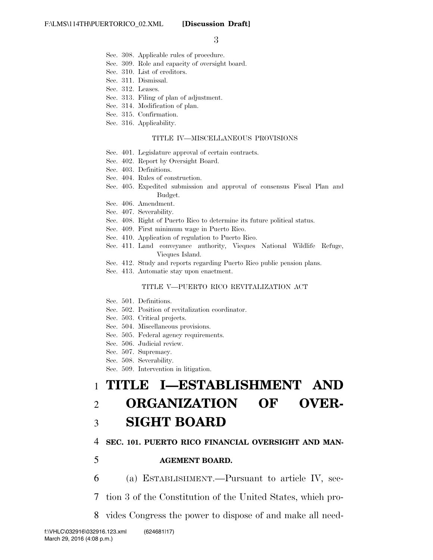- Sec. 308. Applicable rules of procedure.
- Sec. 309. Role and capacity of oversight board.
- Sec. 310. List of creditors.
- Sec. 311. Dismissal.
- Sec. 312. Leases.
- Sec. 313. Filing of plan of adjustment.
- Sec. 314. Modification of plan.
- Sec. 315. Confirmation.
- Sec. 316. Applicability.

#### TITLE IV—MISCELLANEOUS PROVISIONS

- Sec. 401. Legislature approval of certain contracts.
- Sec. 402. Report by Oversight Board.
- Sec. 403. Definitions.
- Sec. 404. Rules of construction.
- Sec. 405. Expedited submission and approval of consensus Fiscal Plan and Budget.
- Sec. 406. Amendment.
- Sec. 407. Severability.
- Sec. 408. Right of Puerto Rico to determine its future political status.
- Sec. 409. First minimum wage in Puerto Rico.
- Sec. 410. Application of regulation to Puerto Rico.
- Sec. 411. Land conveyance authority, Vieques National Wildlife Refuge, Vieques Island.
- Sec. 412. Study and reports regarding Puerto Rico public pension plans.
- Sec. 413. Automatic stay upon enactment.

#### TITLE V—PUERTO RICO REVITALIZATION ACT

- Sec. 501. Definitions.
- Sec. 502. Position of revitalization coordinator.
- Sec. 503. Critical projects.
- Sec. 504. Miscellaneous provisions.
- Sec. 505. Federal agency requirements.
- Sec. 506. Judicial review.
- Sec. 507. Supremacy.
- Sec. 508. Severability.
- Sec. 509. Intervention in litigation.

# 1 **TITLE I—ESTABLISHMENT AND**  2 **ORGANIZATION OF OVER-**

# 3 **SIGHT BOARD**

### 4 **SEC. 101. PUERTO RICO FINANCIAL OVERSIGHT AND MAN-**

## 5 **AGEMENT BOARD.**

6 (a) ESTABLISHMENT.—Pursuant to article IV, sec-

7 tion 3 of the Constitution of the United States, which pro-

8 vides Congress the power to dispose of and make all need-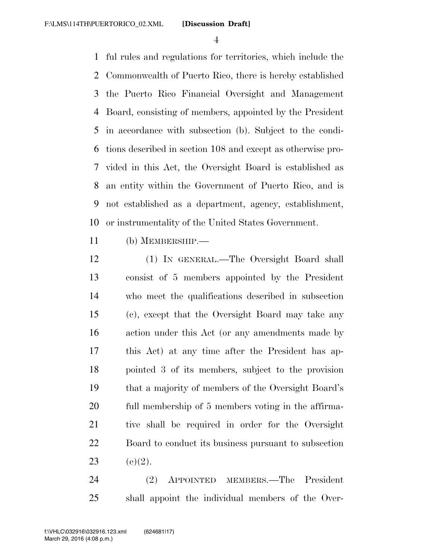ful rules and regulations for territories, which include the Commonwealth of Puerto Rico, there is hereby established the Puerto Rico Financial Oversight and Management Board, consisting of members, appointed by the President in accordance with subsection (b). Subject to the condi- tions described in section 108 and except as otherwise pro- vided in this Act, the Oversight Board is established as an entity within the Government of Puerto Rico, and is not established as a department, agency, establishment, or instrumentality of the United States Government.

(b) MEMBERSHIP.—

 (1) IN GENERAL.—The Oversight Board shall consist of 5 members appointed by the President who meet the qualifications described in subsection (c), except that the Oversight Board may take any action under this Act (or any amendments made by this Act) at any time after the President has ap- pointed 3 of its members, subject to the provision that a majority of members of the Oversight Board's full membership of 5 members voting in the affirma- tive shall be required in order for the Oversight Board to conduct its business pursuant to subsection 23 (e)(2).

 (2) APPOINTED MEMBERS.—The President shall appoint the individual members of the Over-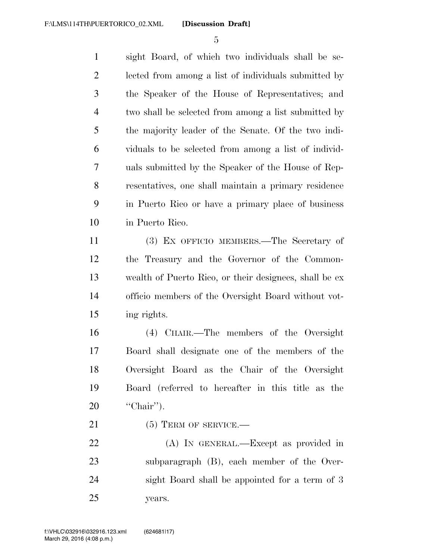sight Board, of which two individuals shall be se- lected from among a list of individuals submitted by the Speaker of the House of Representatives; and two shall be selected from among a list submitted by the majority leader of the Senate. Of the two indi- viduals to be selected from among a list of individ- uals submitted by the Speaker of the House of Rep- resentatives, one shall maintain a primary residence in Puerto Rico or have a primary place of business in Puerto Rico.

 (3) EX OFFICIO MEMBERS.—The Secretary of the Treasury and the Governor of the Common- wealth of Puerto Rico, or their designees, shall be ex officio members of the Oversight Board without vot-ing rights.

 (4) CHAIR.—The members of the Oversight Board shall designate one of the members of the Oversight Board as the Chair of the Oversight Board (referred to hereafter in this title as the ''Chair'').

21 (5) TERM OF SERVICE.—

 (A) IN GENERAL.—Except as provided in subparagraph (B), each member of the Over- sight Board shall be appointed for a term of 3 years.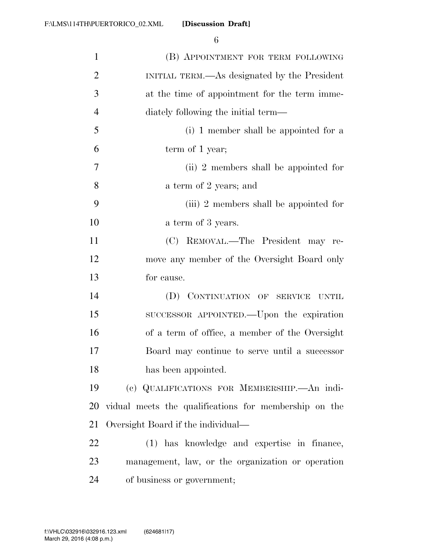| $\mathbf{1}$   | (B) APPOINTMENT FOR TERM FOLLOWING                    |
|----------------|-------------------------------------------------------|
| $\overline{2}$ | INITIAL TERM.—As designated by the President          |
| $\mathfrak{Z}$ | at the time of appointment for the term imme-         |
| $\overline{4}$ | diately following the initial term—                   |
| 5              | (i) 1 member shall be appointed for a                 |
| 6              | term of 1 year;                                       |
| $\tau$         | (ii) 2 members shall be appointed for                 |
| 8              | a term of 2 years; and                                |
| 9              | (iii) 2 members shall be appointed for                |
| 10             | a term of 3 years.                                    |
| 11             | (C) REMOVAL.—The President may re-                    |
| 12             | move any member of the Oversight Board only           |
| 13             | for cause.                                            |
| 14             | (D) CONTINUATION OF SERVICE<br>UNTIL                  |
| 15             | SUCCESSOR APPOINTED.—Upon the expiration              |
| 16             | of a term of office, a member of the Oversight        |
| 17             | Board may continue to serve until a successor         |
| 18             | has been appointed.                                   |
| 19             | (c) QUALIFICATIONS FOR MEMBERSHIP. An indi-           |
| 20             | vidual meets the qualifications for membership on the |
| 21             | Oversight Board if the individual—                    |
| 22             | (1) has knowledge and expertise in finance,           |
| 23             | management, law, or the organization or operation     |
| 24             | of business or government;                            |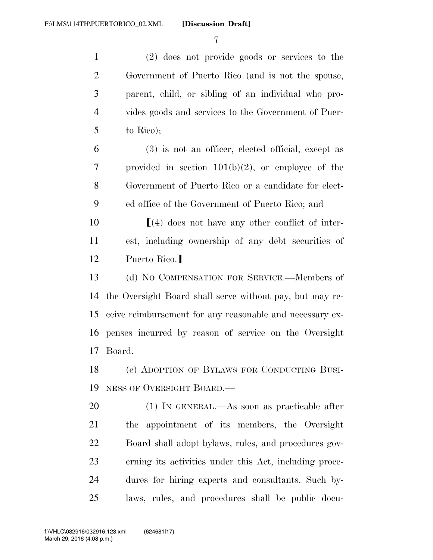(2) does not provide goods or services to the Government of Puerto Rico (and is not the spouse, parent, child, or sibling of an individual who pro- vides goods and services to the Government of Puer-to Rico);

 (3) is not an officer, elected official, except as provided in section 101(b)(2), or employee of the Government of Puerto Rico or a candidate for elect-ed office of the Government of Puerto Rico; and

 ø(4) does not have any other conflict of inter- est, including ownership of any debt securities of 12 Puerto Rico.

 (d) NO COMPENSATION FOR SERVICE.—Members of the Oversight Board shall serve without pay, but may re- ceive reimbursement for any reasonable and necessary ex- penses incurred by reason of service on the Oversight Board.

 (e) ADOPTION OF BYLAWS FOR CONDUCTING BUSI-NESS OF OVERSIGHT BOARD.—

 (1) IN GENERAL.—As soon as practicable after the appointment of its members, the Oversight Board shall adopt bylaws, rules, and procedures gov- erning its activities under this Act, including proce- dures for hiring experts and consultants. Such by-laws, rules, and procedures shall be public docu-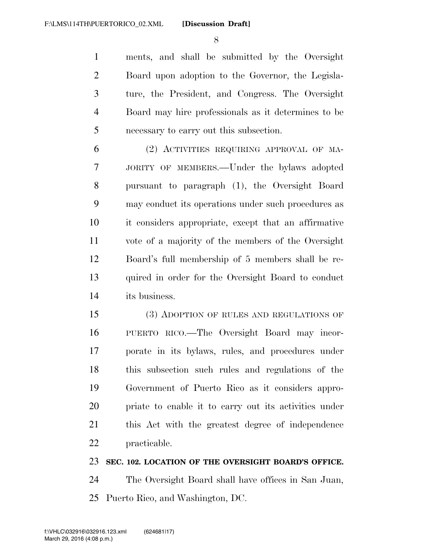ments, and shall be submitted by the Oversight Board upon adoption to the Governor, the Legisla- ture, the President, and Congress. The Oversight Board may hire professionals as it determines to be necessary to carry out this subsection.

 (2) ACTIVITIES REQUIRING APPROVAL OF MA- JORITY OF MEMBERS.—Under the bylaws adopted pursuant to paragraph (1), the Oversight Board may conduct its operations under such procedures as it considers appropriate, except that an affirmative vote of a majority of the members of the Oversight Board's full membership of 5 members shall be re- quired in order for the Oversight Board to conduct its business.

 (3) ADOPTION OF RULES AND REGULATIONS OF PUERTO RICO.—The Oversight Board may incor- porate in its bylaws, rules, and procedures under this subsection such rules and regulations of the Government of Puerto Rico as it considers appro- priate to enable it to carry out its activities under this Act with the greatest degree of independence practicable.

## **SEC. 102. LOCATION OF THE OVERSIGHT BOARD'S OFFICE.**

 The Oversight Board shall have offices in San Juan, Puerto Rico, and Washington, DC.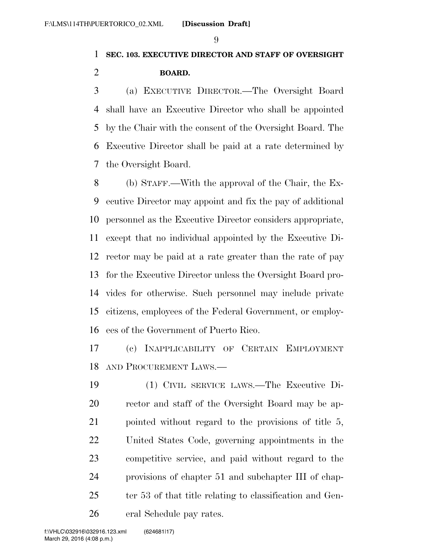# **SEC. 103. EXECUTIVE DIRECTOR AND STAFF OF OVERSIGHT BOARD.**

 (a) EXECUTIVE DIRECTOR.—The Oversight Board shall have an Executive Director who shall be appointed by the Chair with the consent of the Oversight Board. The Executive Director shall be paid at a rate determined by the Oversight Board.

 (b) STAFF.—With the approval of the Chair, the Ex- ecutive Director may appoint and fix the pay of additional personnel as the Executive Director considers appropriate, except that no individual appointed by the Executive Di- rector may be paid at a rate greater than the rate of pay for the Executive Director unless the Oversight Board pro- vides for otherwise. Such personnel may include private citizens, employees of the Federal Government, or employ-ees of the Government of Puerto Rico.

 (c) INAPPLICABILITY OF CERTAIN EMPLOYMENT AND PROCUREMENT LAWS.—

 (1) CIVIL SERVICE LAWS.—The Executive Di- rector and staff of the Oversight Board may be ap-21 pointed without regard to the provisions of title 5, United States Code, governing appointments in the competitive service, and paid without regard to the provisions of chapter 51 and subchapter III of chap-25 ter 53 of that title relating to classification and Gen-eral Schedule pay rates.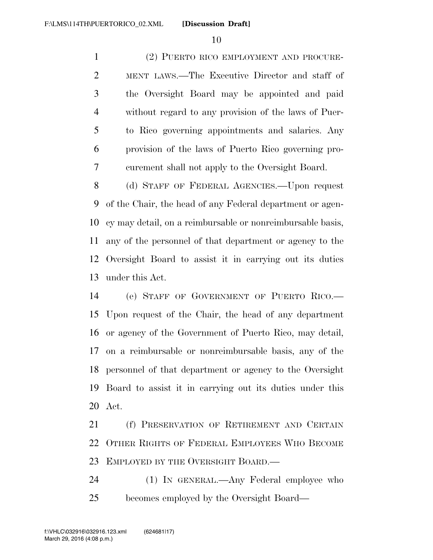(2) PUERTO RICO EMPLOYMENT AND PROCURE- MENT LAWS.—The Executive Director and staff of the Oversight Board may be appointed and paid without regard to any provision of the laws of Puer- to Rico governing appointments and salaries. Any provision of the laws of Puerto Rico governing pro-curement shall not apply to the Oversight Board.

 (d) STAFF OF FEDERAL AGENCIES.—Upon request of the Chair, the head of any Federal department or agen- cy may detail, on a reimbursable or nonreimbursable basis, any of the personnel of that department or agency to the Oversight Board to assist it in carrying out its duties under this Act.

 (e) STAFF OF GOVERNMENT OF PUERTO RICO.— Upon request of the Chair, the head of any department or agency of the Government of Puerto Rico, may detail, on a reimbursable or nonreimbursable basis, any of the personnel of that department or agency to the Oversight Board to assist it in carrying out its duties under this Act.

 (f) PRESERVATION OF RETIREMENT AND CERTAIN OTHER RIGHTS OF FEDERAL EMPLOYEES WHO BECOME 23 EMPLOYED BY THE OVERSIGHT BOARD.

 (1) IN GENERAL.—Any Federal employee who becomes employed by the Oversight Board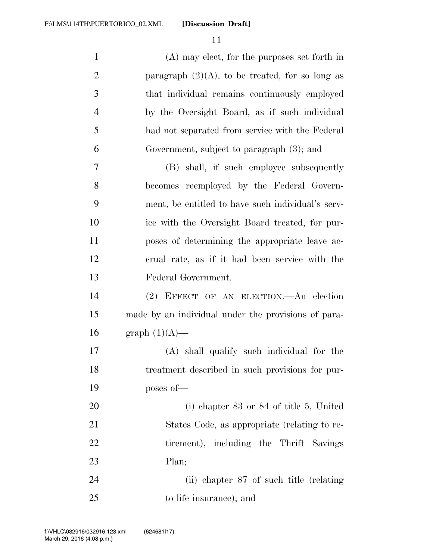**[Discussion Draft]** 

| $\mathbf{1}$   | (A) may elect, for the purposes set forth in        |
|----------------|-----------------------------------------------------|
| $\mathbf{2}$   | paragraph $(2)(A)$ , to be treated, for so long as  |
| 3              | that individual remains continuously employed       |
| $\overline{4}$ | by the Oversight Board, as if such individual       |
| 5              | had not separated from service with the Federal     |
| 6              | Government, subject to paragraph (3); and           |
| $\tau$         | (B) shall, if such employee subsequently            |
| 8              | becomes reemployed by the Federal Govern-           |
| 9              | ment, be entitled to have such individual's serv-   |
| 10             | ice with the Oversight Board treated, for pur-      |
| 11             | poses of determining the appropriate leave ac-      |
| 12             | erual rate, as if it had been service with the      |
| 13             | Federal Government.                                 |
| 14             | (2) EFFECT OF AN ELECTION.—An election              |
| 15             | made by an individual under the provisions of para- |
| 16             | graph $(1)(A)$ —                                    |
| 17             | (A) shall qualify such individual for the           |
| 18             | treatment described in such provisions for pur-     |
| 19             | poses of-                                           |
| 20             | (i) chapter $83$ or $84$ of title 5, United         |
| 21             | States Code, as appropriate (relating to re-        |
| 22             | tirement), including the Thrift Savings             |
| 23             | Plan;                                               |
| 24             | (ii) chapter 87 of such title (relating             |
| 25             | to life insurance); and                             |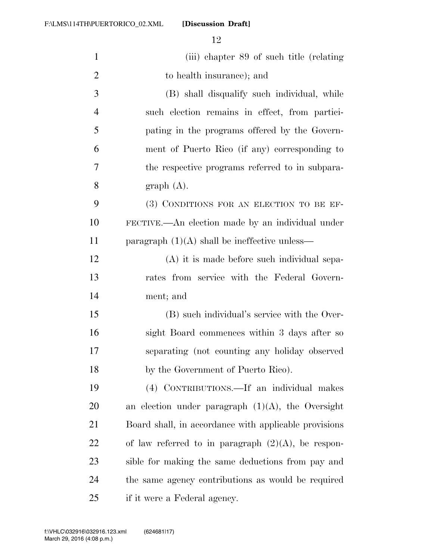**[Discussion Draft]** 

| $\mathbf{1}$   | (iii) chapter 89 of such title (relating              |
|----------------|-------------------------------------------------------|
| $\overline{2}$ | to health insurance); and                             |
| 3              | (B) shall disqualify such individual, while           |
| $\overline{4}$ | such election remains in effect, from partici-        |
| 5              | pating in the programs offered by the Govern-         |
| 6              | ment of Puerto Rico (if any) corresponding to         |
| 7              | the respective programs referred to in subpara-       |
| 8              | graph(A).                                             |
| 9              | (3) CONDITIONS FOR AN ELECTION TO BE EF-              |
| 10             | FECTIVE.—An election made by an individual under      |
| 11             | paragraph $(1)(A)$ shall be ineffective unless—       |
| 12             | (A) it is made before such individual sepa-           |
| 13             | rates from service with the Federal Govern-           |
| 14             | ment; and                                             |
| 15             | (B) such individual's service with the Over-          |
| 16             | sight Board commences within 3 days after so          |
| 17             | separating (not counting any holiday observed         |
| 18             | by the Government of Puerto Rico).                    |
| 19             | (4) CONTRIBUTIONS.—If an individual makes             |
| 20             | an election under paragraph $(1)(A)$ , the Oversight  |
| 21             | Board shall, in accordance with applicable provisions |
| 22             | of law referred to in paragraph $(2)(A)$ , be respon- |
| 23             | sible for making the same deductions from pay and     |
| 24             | the same agency contributions as would be required    |
| 25             | if it were a Federal agency.                          |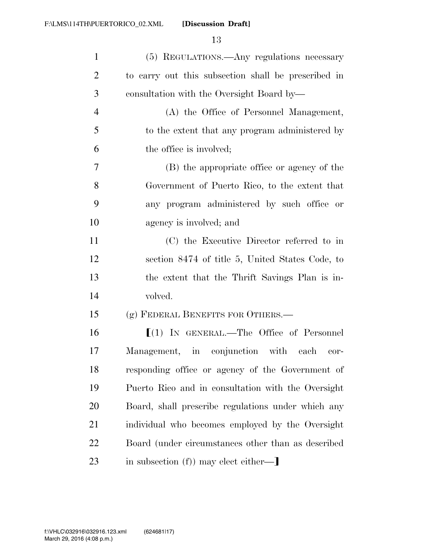| $\mathbf{1}$   | (5) REGULATIONS.—Any regulations necessary          |
|----------------|-----------------------------------------------------|
| $\overline{2}$ | to carry out this subsection shall be prescribed in |
| 3              | consultation with the Oversight Board by—           |
| $\overline{4}$ | (A) the Office of Personnel Management,             |
| 5              | to the extent that any program administered by      |
| 6              | the office is involved;                             |
| $\tau$         | (B) the appropriate office or agency of the         |
| 8              | Government of Puerto Rico, to the extent that       |
| 9              | any program administered by such office or          |
| 10             | agency is involved; and                             |
| 11             | (C) the Executive Director referred to in           |
| 12             | section 8474 of title 5, United States Code, to     |
| 13             | the extent that the Thrift Savings Plan is in-      |
| 14             | volved.                                             |
| 15             | (g) FEDERAL BENEFITS FOR OTHERS.-                   |
| 16             | $[(1)$ IN GENERAL.—The Office of Personnel          |
| 17             | Management, in conjunction with each<br>cor-        |
| 18             | responding office or agency of the Government of    |
| 19             | Puerto Rico and in consultation with the Oversight  |
| 20             | Board, shall prescribe regulations under which any  |
| 21             | individual who becomes employed by the Oversight    |
| 22             | Board (under circumstances other than as described  |
| 23             | in subsection (f)) may elect either—                |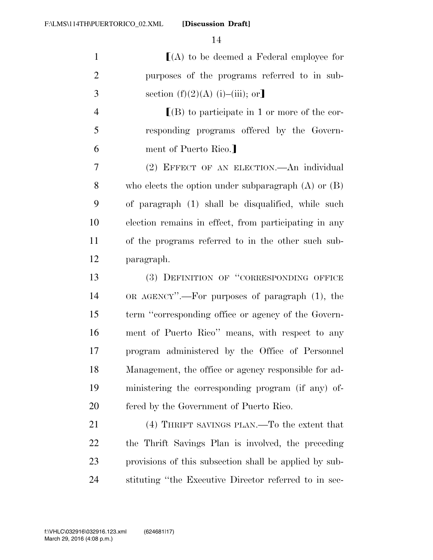| $\mathbf{1}$   | $[(A)$ to be deemed a Federal employee for              |
|----------------|---------------------------------------------------------|
| $\overline{2}$ | purposes of the programs referred to in sub-            |
| 3              | section $(f)(2)(A)$ (i)–(iii); or]                      |
| $\overline{4}$ | $[(B)$ to participate in 1 or more of the cor-          |
| 5              | responding programs offered by the Govern-              |
| 6              | ment of Puerto Rico.]                                   |
| 7              | (2) EFFECT OF AN ELECTION.—An individual                |
| 8              | who elects the option under subparagraph $(A)$ or $(B)$ |
| 9              | of paragraph (1) shall be disqualified, while such      |
| 10             | election remains in effect, from participating in any   |
| 11             | of the programs referred to in the other such sub-      |
| 12             | paragraph.                                              |
| 13             | (3) DEFINITION OF "CORRESPONDING OFFICE                 |
| 14             | OR AGENCY".—For purposes of paragraph (1), the          |
| 15             | term "corresponding office or agency of the Govern-     |
| 16             | ment of Puerto Rico" means, with respect to any         |
| 17             | program administered by the Office of Personnel         |
| 18             | Management, the office or agency responsible for ad-    |
| 19             | ministering the corresponding program (if any) of-      |
| 20             | fered by the Government of Puerto Rico.                 |
| 21             | (4) THRIFT SAVINGS PLAN.—To the extent that             |
| 22             | the Thrift Savings Plan is involved, the preceding      |
| 23             | provisions of this subsection shall be applied by sub-  |
| 24             | stituting "the Executive Director referred to in sec-   |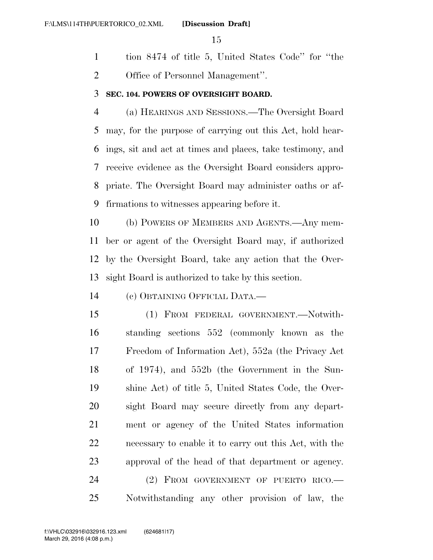tion 8474 of title 5, United States Code'' for ''the Office of Personnel Management''.

## **SEC. 104. POWERS OF OVERSIGHT BOARD.**

 (a) HEARINGS AND SESSIONS.—The Oversight Board may, for the purpose of carrying out this Act, hold hear- ings, sit and act at times and places, take testimony, and receive evidence as the Oversight Board considers appro- priate. The Oversight Board may administer oaths or af-firmations to witnesses appearing before it.

 (b) POWERS OF MEMBERS AND AGENTS.—Any mem- ber or agent of the Oversight Board may, if authorized by the Oversight Board, take any action that the Over-sight Board is authorized to take by this section.

(c) OBTAINING OFFICIAL DATA.—

 (1) FROM FEDERAL GOVERNMENT.—Notwith- standing sections 552 (commonly known as the Freedom of Information Act), 552a (the Privacy Act of 1974), and 552b (the Government in the Sun- shine Act) of title 5, United States Code, the Over- sight Board may secure directly from any depart- ment or agency of the United States information necessary to enable it to carry out this Act, with the approval of the head of that department or agency. (2) FROM GOVERNMENT OF PUERTO RICO.—

Notwithstanding any other provision of law, the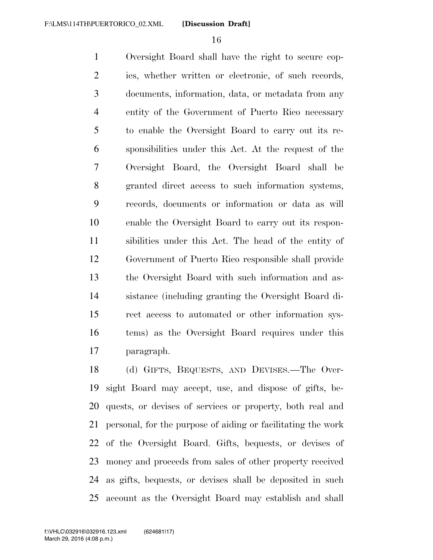Oversight Board shall have the right to secure cop- ies, whether written or electronic, of such records, documents, information, data, or metadata from any entity of the Government of Puerto Rico necessary to enable the Oversight Board to carry out its re- sponsibilities under this Act. At the request of the Oversight Board, the Oversight Board shall be granted direct access to such information systems, records, documents or information or data as will enable the Oversight Board to carry out its respon- sibilities under this Act. The head of the entity of Government of Puerto Rico responsible shall provide the Oversight Board with such information and as- sistance (including granting the Oversight Board di- rect access to automated or other information sys- tems) as the Oversight Board requires under this paragraph.

 (d) GIFTS, BEQUESTS, AND DEVISES.—The Over- sight Board may accept, use, and dispose of gifts, be- quests, or devises of services or property, both real and personal, for the purpose of aiding or facilitating the work of the Oversight Board. Gifts, bequests, or devises of money and proceeds from sales of other property received as gifts, bequests, or devises shall be deposited in such account as the Oversight Board may establish and shall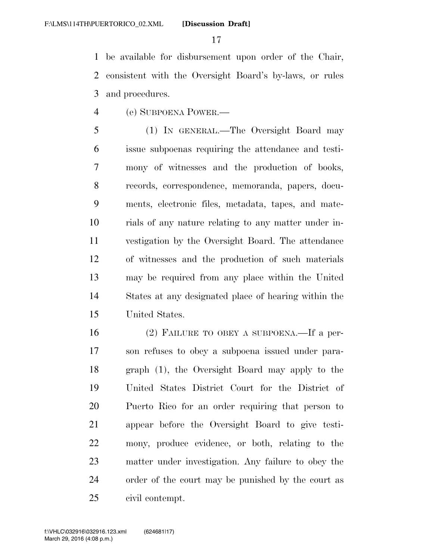be available for disbursement upon order of the Chair, consistent with the Oversight Board's by-laws, or rules and procedures.

(e) SUBPOENA POWER.—

 (1) IN GENERAL.—The Oversight Board may issue subpoenas requiring the attendance and testi- mony of witnesses and the production of books, records, correspondence, memoranda, papers, docu- ments, electronic files, metadata, tapes, and mate- rials of any nature relating to any matter under in- vestigation by the Oversight Board. The attendance of witnesses and the production of such materials may be required from any place within the United States at any designated place of hearing within the United States.

 (2) FAILURE TO OBEY A SUBPOENA.—If a per- son refuses to obey a subpoena issued under para- graph (1), the Oversight Board may apply to the United States District Court for the District of Puerto Rico for an order requiring that person to appear before the Oversight Board to give testi- mony, produce evidence, or both, relating to the matter under investigation. Any failure to obey the order of the court may be punished by the court as civil contempt.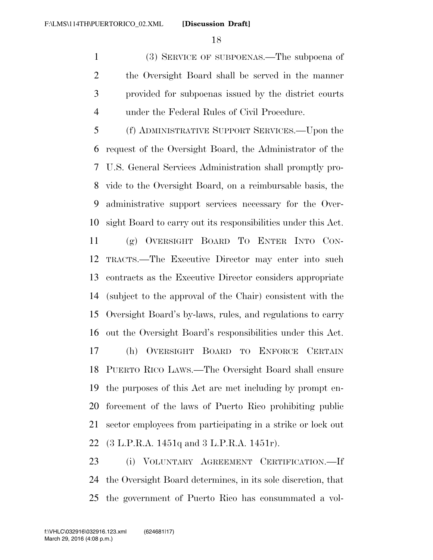(3) SERVICE OF SUBPOENAS.—The subpoena of the Oversight Board shall be served in the manner provided for subpoenas issued by the district courts under the Federal Rules of Civil Procedure.

 (f) ADMINISTRATIVE SUPPORT SERVICES.—Upon the request of the Oversight Board, the Administrator of the U.S. General Services Administration shall promptly pro- vide to the Oversight Board, on a reimbursable basis, the administrative support services necessary for the Over-sight Board to carry out its responsibilities under this Act.

 (g) OVERSIGHT BOARD TO ENTER INTO CON- TRACTS.—The Executive Director may enter into such contracts as the Executive Director considers appropriate (subject to the approval of the Chair) consistent with the Oversight Board's by-laws, rules, and regulations to carry out the Oversight Board's responsibilities under this Act. (h) OVERSIGHT BOARD TO ENFORCE CERTAIN PUERTO RICO LAWS.—The Oversight Board shall ensure the purposes of this Act are met including by prompt en- forcement of the laws of Puerto Rico prohibiting public sector employees from participating in a strike or lock out

(3 L.P.R.A. 1451q and 3 L.P.R.A. 1451r).

 (i) VOLUNTARY AGREEMENT CERTIFICATION.—If the Oversight Board determines, in its sole discretion, that the government of Puerto Rico has consummated a vol-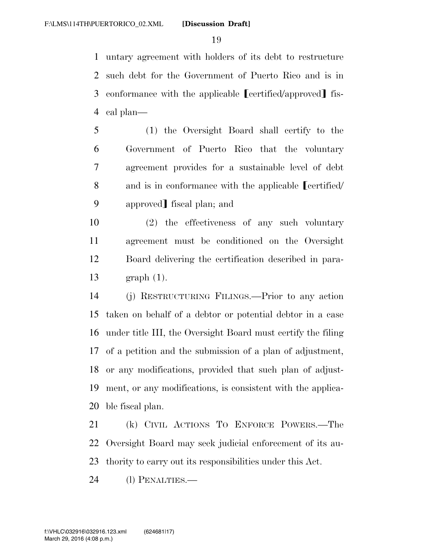untary agreement with holders of its debt to restructure such debt for the Government of Puerto Rico and is in 3 conformance with the applicable [certified/approved] fis-cal plan—

- (1) the Oversight Board shall certify to the Government of Puerto Rico that the voluntary agreement provides for a sustainable level of debt 8 and is in conformance with the applicable **[certified**/ 9 approved fiscal plan; and
- (2) the effectiveness of any such voluntary agreement must be conditioned on the Oversight Board delivering the certification described in para-graph (1).
- (j) RESTRUCTURING FILINGS.—Prior to any action taken on behalf of a debtor or potential debtor in a case under title III, the Oversight Board must certify the filing of a petition and the submission of a plan of adjustment, or any modifications, provided that such plan of adjust- ment, or any modifications, is consistent with the applica-ble fiscal plan.

 (k) CIVIL ACTIONS TO ENFORCE POWERS.—The Oversight Board may seek judicial enforcement of its au-thority to carry out its responsibilities under this Act.

(l) PENALTIES.—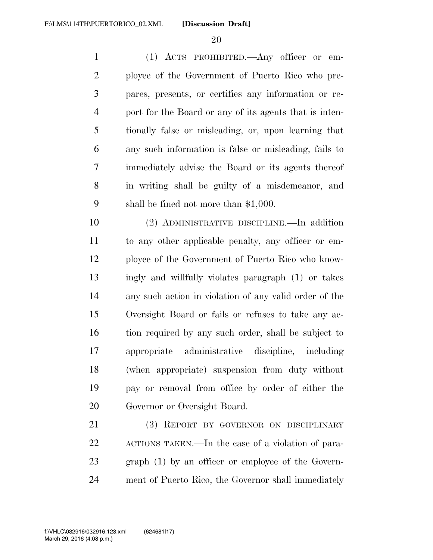(1) ACTS PROHIBITED.—Any officer or em- ployee of the Government of Puerto Rico who pre- pares, presents, or certifies any information or re- port for the Board or any of its agents that is inten- tionally false or misleading, or, upon learning that any such information is false or misleading, fails to immediately advise the Board or its agents thereof in writing shall be guilty of a misdemeanor, and shall be fined not more than \$1,000.

 (2) ADMINISTRATIVE DISCIPLINE.—In addition to any other applicable penalty, any officer or em- ployee of the Government of Puerto Rico who know- ingly and willfully violates paragraph (1) or takes any such action in violation of any valid order of the Oversight Board or fails or refuses to take any ac- tion required by any such order, shall be subject to appropriate administrative discipline, including (when appropriate) suspension from duty without pay or removal from office by order of either the Governor or Oversight Board.

 (3) REPORT BY GOVERNOR ON DISCIPLINARY ACTIONS TAKEN.—In the case of a violation of para- graph (1) by an officer or employee of the Govern-ment of Puerto Rico, the Governor shall immediately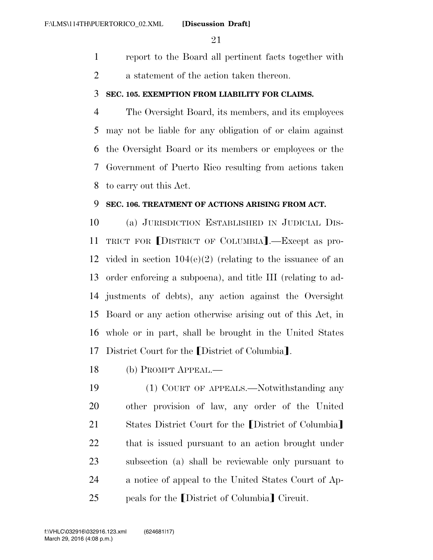- report to the Board all pertinent facts together with
- a statement of the action taken thereon.

## **SEC. 105. EXEMPTION FROM LIABILITY FOR CLAIMS.**

 The Oversight Board, its members, and its employees may not be liable for any obligation of or claim against the Oversight Board or its members or employees or the Government of Puerto Rico resulting from actions taken to carry out this Act.

## **SEC. 106. TREATMENT OF ACTIONS ARISING FROM ACT.**

 (a) JURISDICTION ESTABLISHED IN JUDICIAL DIS-11 TRICT FOR [DISTRICT OF COLUMBIA].—Except as pro-12 vided in section  $104(e)(2)$  (relating to the issuance of an order enforcing a subpoena), and title III (relating to ad- justments of debts), any action against the Oversight Board or any action otherwise arising out of this Act, in whole or in part, shall be brought in the United States 17 District Court for the [District of Columbia].

(b) PROMPT APPEAL.—

 (1) COURT OF APPEALS.—Notwithstanding any other provision of law, any order of the United 21 States District Court for the District of Columbia that is issued pursuant to an action brought under subsection (a) shall be reviewable only pursuant to a notice of appeal to the United States Court of Ap-25 peals for the District of Columbia<sup>]</sup> Circuit.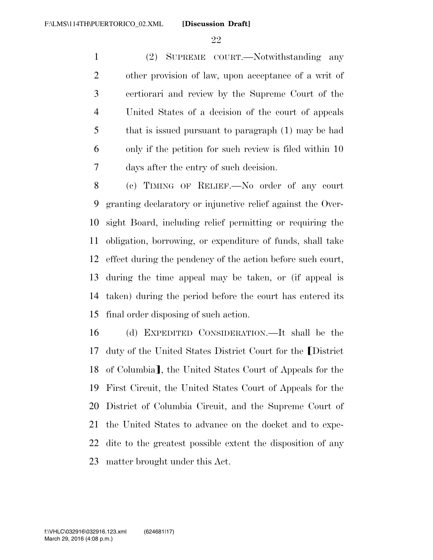**[Discussion Draft]** 

 (2) SUPREME COURT.—Notwithstanding any other provision of law, upon acceptance of a writ of certiorari and review by the Supreme Court of the United States of a decision of the court of appeals that is issued pursuant to paragraph (1) may be had only if the petition for such review is filed within 10 days after the entry of such decision.

 (c) TIMING OF RELIEF.—No order of any court granting declaratory or injunctive relief against the Over- sight Board, including relief permitting or requiring the obligation, borrowing, or expenditure of funds, shall take effect during the pendency of the action before such court, during the time appeal may be taken, or (if appeal is taken) during the period before the court has entered its final order disposing of such action.

 (d) EXPEDITED CONSIDERATION.—It shall be the 17 duty of the United States District Court for the District 18 of Columbia], the United States Court of Appeals for the First Circuit, the United States Court of Appeals for the District of Columbia Circuit, and the Supreme Court of the United States to advance on the docket and to expe- dite to the greatest possible extent the disposition of any matter brought under this Act.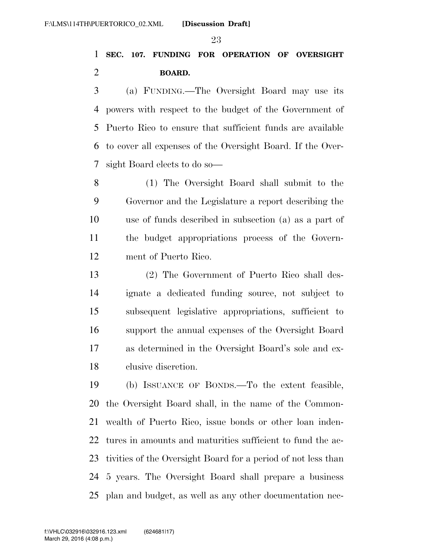# **SEC. 107. FUNDING FOR OPERATION OF OVERSIGHT BOARD.**

 (a) FUNDING.—The Oversight Board may use its powers with respect to the budget of the Government of Puerto Rico to ensure that sufficient funds are available to cover all expenses of the Oversight Board. If the Over-sight Board elects to do so—

 (1) The Oversight Board shall submit to the Governor and the Legislature a report describing the use of funds described in subsection (a) as a part of the budget appropriations process of the Govern-ment of Puerto Rico.

 (2) The Government of Puerto Rico shall des- ignate a dedicated funding source, not subject to subsequent legislative appropriations, sufficient to support the annual expenses of the Oversight Board as determined in the Oversight Board's sole and ex-clusive discretion.

 (b) ISSUANCE OF BONDS.—To the extent feasible, the Oversight Board shall, in the name of the Common- wealth of Puerto Rico, issue bonds or other loan inden- tures in amounts and maturities sufficient to fund the ac- tivities of the Oversight Board for a period of not less than 5 years. The Oversight Board shall prepare a business plan and budget, as well as any other documentation nec-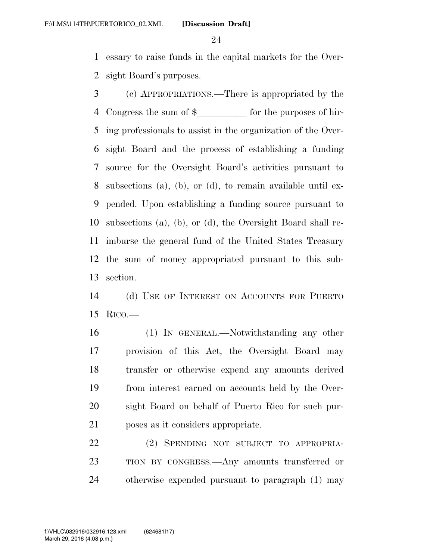essary to raise funds in the capital markets for the Over-sight Board's purposes.

 (c) APPROPRIATIONS.—There is appropriated by the 4 Congress the sum of  $\frac{1}{2}$  for the purposes of hir- ing professionals to assist in the organization of the Over- sight Board and the process of establishing a funding source for the Oversight Board's activities pursuant to subsections (a), (b), or (d), to remain available until ex- pended. Upon establishing a funding source pursuant to subsections (a), (b), or (d), the Oversight Board shall re- imburse the general fund of the United States Treasury the sum of money appropriated pursuant to this sub-section.

 (d) USE OF INTEREST ON ACCOUNTS FOR PUERTO RICO.—

 (1) IN GENERAL.—Notwithstanding any other provision of this Act, the Oversight Board may transfer or otherwise expend any amounts derived from interest earned on accounts held by the Over- sight Board on behalf of Puerto Rico for such pur-poses as it considers appropriate.

 (2) SPENDING NOT SUBJECT TO APPROPRIA- TION BY CONGRESS.—Any amounts transferred or otherwise expended pursuant to paragraph (1) may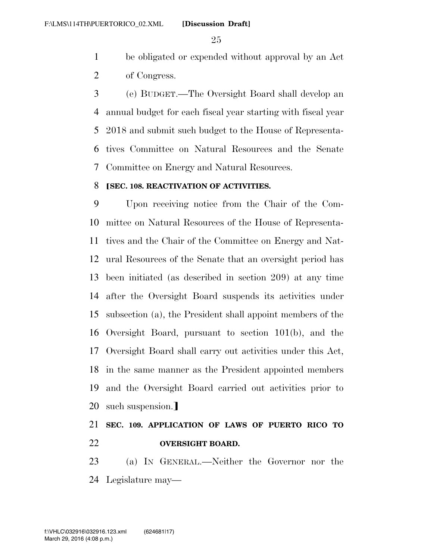be obligated or expended without approval by an Act of Congress.

 (e) BUDGET.—The Oversight Board shall develop an annual budget for each fiscal year starting with fiscal year 2018 and submit such budget to the House of Representa- tives Committee on Natural Resources and the Senate Committee on Energy and Natural Resources.

## ø**SEC. 108. REACTIVATION OF ACTIVITIES.**

 Upon receiving notice from the Chair of the Com- mittee on Natural Resources of the House of Representa- tives and the Chair of the Committee on Energy and Nat- ural Resources of the Senate that an oversight period has been initiated (as described in section 209) at any time after the Oversight Board suspends its activities under subsection (a), the President shall appoint members of the Oversight Board, pursuant to section 101(b), and the Oversight Board shall carry out activities under this Act, in the same manner as the President appointed members and the Oversight Board carried out activities prior to 20 such suspension.

# **SEC. 109. APPLICATION OF LAWS OF PUERTO RICO TO OVERSIGHT BOARD.**

 (a) IN GENERAL.—Neither the Governor nor the Legislature may—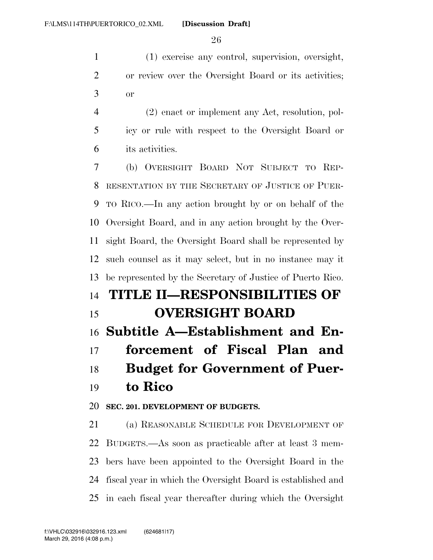(1) exercise any control, supervision, oversight, or review over the Oversight Board or its activities; or

 (2) enact or implement any Act, resolution, pol- icy or rule with respect to the Oversight Board or its activities.

 (b) OVERSIGHT BOARD NOT SUBJECT TO REP- RESENTATION BY THE SECRETARY OF JUSTICE OF PUER- TO RICO.—In any action brought by or on behalf of the Oversight Board, and in any action brought by the Over- sight Board, the Oversight Board shall be represented by such counsel as it may select, but in no instance may it be represented by the Secretary of Justice of Puerto Rico. **TITLE II—RESPONSIBILITIES OF OVERSIGHT BOARD** 

# **Subtitle A—Establishment and En-**

 **forcement of Fiscal Plan and Budget for Government of Puer-to Rico** 

# **SEC. 201. DEVELOPMENT OF BUDGETS.**

 (a) REASONABLE SCHEDULE FOR DEVELOPMENT OF BUDGETS.—As soon as practicable after at least 3 mem- bers have been appointed to the Oversight Board in the fiscal year in which the Oversight Board is established and in each fiscal year thereafter during which the Oversight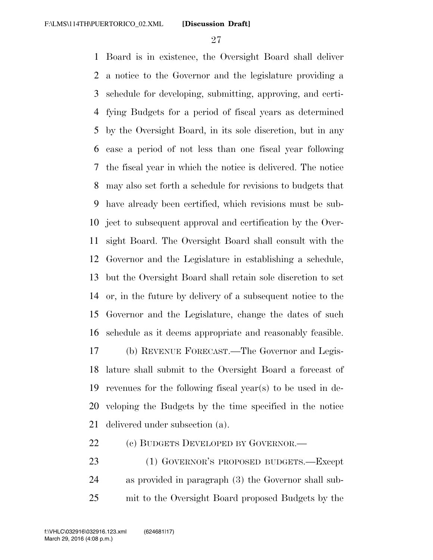Board is in existence, the Oversight Board shall deliver a notice to the Governor and the legislature providing a schedule for developing, submitting, approving, and certi- fying Budgets for a period of fiscal years as determined by the Oversight Board, in its sole discretion, but in any case a period of not less than one fiscal year following the fiscal year in which the notice is delivered. The notice may also set forth a schedule for revisions to budgets that have already been certified, which revisions must be sub- ject to subsequent approval and certification by the Over- sight Board. The Oversight Board shall consult with the Governor and the Legislature in establishing a schedule, but the Oversight Board shall retain sole discretion to set or, in the future by delivery of a subsequent notice to the Governor and the Legislature, change the dates of such schedule as it deems appropriate and reasonably feasible. (b) REVENUE FORECAST.—The Governor and Legis- lature shall submit to the Oversight Board a forecast of revenues for the following fiscal year(s) to be used in de- veloping the Budgets by the time specified in the notice delivered under subsection (a).

- 22 (c) BUDGETS DEVELOPED BY GOVERNOR.—
- (1) GOVERNOR'S PROPOSED BUDGETS.—Except as provided in paragraph (3) the Governor shall sub-mit to the Oversight Board proposed Budgets by the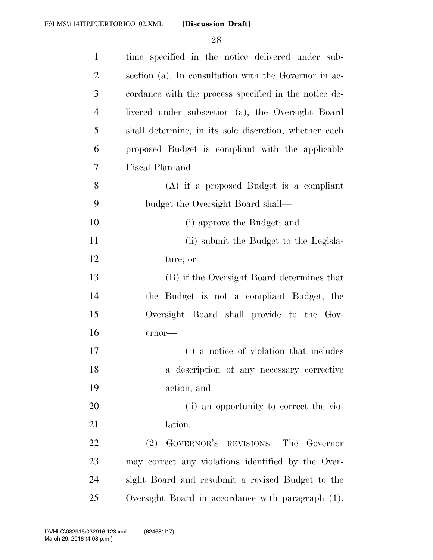| $\mathbf{1}$   | time specified in the notice delivered under sub-     |
|----------------|-------------------------------------------------------|
| $\overline{2}$ | section (a). In consultation with the Governor in ac- |
| 3              | cordance with the process specified in the notice de- |
| $\overline{4}$ | livered under subsection (a), the Oversight Board     |
| 5              | shall determine, in its sole discretion, whether each |
| 6              | proposed Budget is compliant with the applicable      |
| 7              | Fiscal Plan and—                                      |
| 8              | $(A)$ if a proposed Budget is a compliant             |
| 9              | budget the Oversight Board shall—                     |
| 10             | (i) approve the Budget; and                           |
| 11             | (ii) submit the Budget to the Legisla-                |
| 12             | ture; or                                              |
| 13             | (B) if the Oversight Board determines that            |
| 14             | the Budget is not a compliant Budget, the             |
| 15             | Oversight Board shall provide to the Gov-             |
| 16             | ernor-                                                |
| 17             | (i) a notice of violation that includes               |
| 18             | a description of any necessary corrective             |
| 19             | action; and                                           |
| 20             | (ii) an opportunity to correct the vio-               |
| 21             | lation.                                               |
| 22             | (2) GOVERNOR'S REVISIONS.—The Governor                |
| 23             | may correct any violations identified by the Over-    |
| 24             | sight Board and resubmit a revised Budget to the      |
| 25             | Oversight Board in accordance with paragraph (1).     |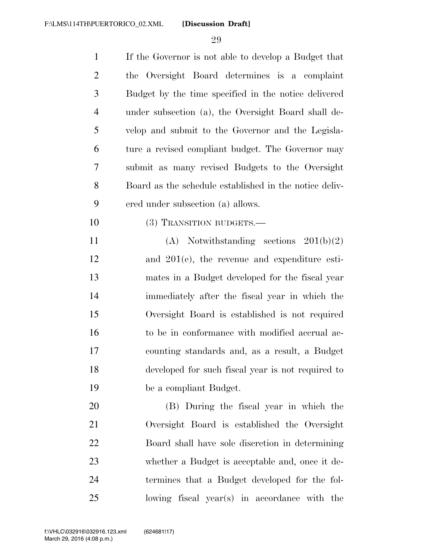| $\mathbf{1}$   | If the Governor is not able to develop a Budget that   |
|----------------|--------------------------------------------------------|
| $\overline{2}$ | the Oversight Board determines is a complaint          |
| 3              | Budget by the time specified in the notice delivered   |
| $\overline{4}$ | under subsection (a), the Oversight Board shall de-    |
| 5              | velop and submit to the Governor and the Legisla-      |
| 6              | ture a revised compliant budget. The Governor may      |
| 7              | submit as many revised Budgets to the Oversight        |
| 8              | Board as the schedule established in the notice deliv- |
| 9              | ered under subsection (a) allows.                      |
| 10             | (3) TRANSITION BUDGETS.-                               |
| 11             | $(A)$ Notwithstanding sections $201(b)(2)$             |
| 12             | and $201(c)$ , the revenue and expenditure esti-       |
| 13             | mates in a Budget developed for the fiscal year        |
| 14             | immediately after the fiscal year in which the         |
| 15             | Oversight Board is established is not required         |
| 16             | to be in conformance with modified accrual ac-         |
| 17             | counting standards and, as a result, a Budget          |
| 18             | developed for such fiscal year is not required to      |
| 19             | be a compliant Budget.                                 |
| 20             | (B) During the fiscal year in which the                |
| 21             | Oversight Board is established the Oversight           |
| 22             | Board shall have sole discretion in determining        |
| 23             | whether a Budget is acceptable and, once it de-        |
| 24             | termines that a Budget developed for the fol-          |
| 25             | lowing fiscal year(s) in accordance with the           |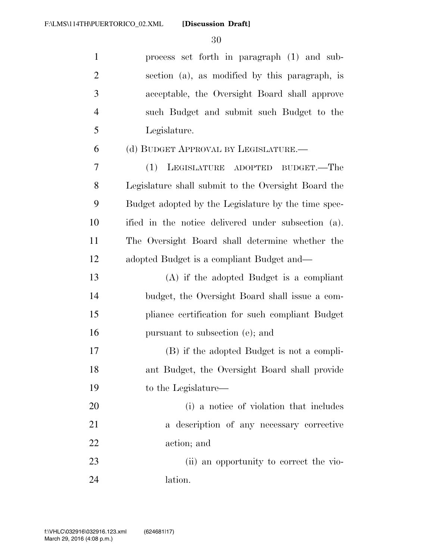| $\mathbf{1}$   | process set forth in paragraph (1) and sub-         |
|----------------|-----------------------------------------------------|
| $\overline{2}$ | section (a), as modified by this paragraph, is      |
| 3              | acceptable, the Oversight Board shall approve       |
| $\overline{4}$ | such Budget and submit such Budget to the           |
| 5              | Legislature.                                        |
| 6              | (d) BUDGET APPROVAL BY LEGISLATURE.—                |
| 7              | LEGISLATURE ADOPTED<br>(1)<br>BUDGET.—The           |
| 8              | Legislature shall submit to the Oversight Board the |
| 9              | Budget adopted by the Legislature by the time spec- |
| 10             | ified in the notice delivered under subsection (a). |
| 11             | The Oversight Board shall determine whether the     |
| 12             | adopted Budget is a compliant Budget and—           |
| 13             | $(A)$ if the adopted Budget is a compliant          |
| 14             | budget, the Oversight Board shall issue a com-      |
| 15             | pliance certification for such compliant Budget     |
| 16             | pursuant to subsection (e); and                     |
| 17             | (B) if the adopted Budget is not a compli-          |
| 18             | ant Budget, the Oversight Board shall provide       |
| 19             | to the Legislature—                                 |
| 20             | (i) a notice of violation that includes             |
| 21             | a description of any necessary corrective           |
| 22             | action; and                                         |
| 23             | (ii) an opportunity to correct the vio-             |
| 24             | lation.                                             |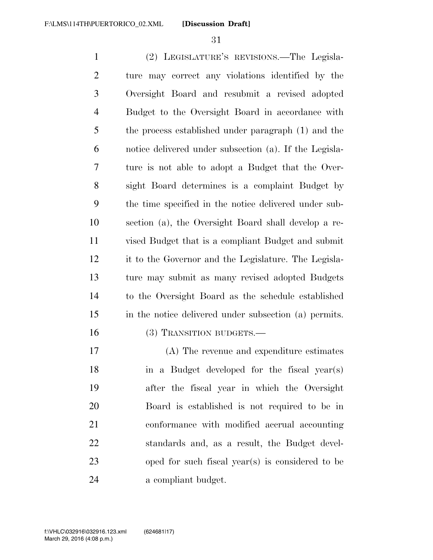(2) LEGISLATURE'S REVISIONS.—The Legisla- ture may correct any violations identified by the Oversight Board and resubmit a revised adopted Budget to the Oversight Board in accordance with the process established under paragraph (1) and the notice delivered under subsection (a). If the Legisla- ture is not able to adopt a Budget that the Over- sight Board determines is a complaint Budget by the time specified in the notice delivered under sub- section (a), the Oversight Board shall develop a re- vised Budget that is a compliant Budget and submit it to the Governor and the Legislature. The Legisla- ture may submit as many revised adopted Budgets to the Oversight Board as the schedule established in the notice delivered under subsection (a) permits. 16 (3) TRANSITION BUDGETS.—

 (A) The revenue and expenditure estimates in a Budget developed for the fiscal year(s) after the fiscal year in which the Oversight Board is established is not required to be in conformance with modified accrual accounting standards and, as a result, the Budget devel- oped for such fiscal year(s) is considered to be a compliant budget.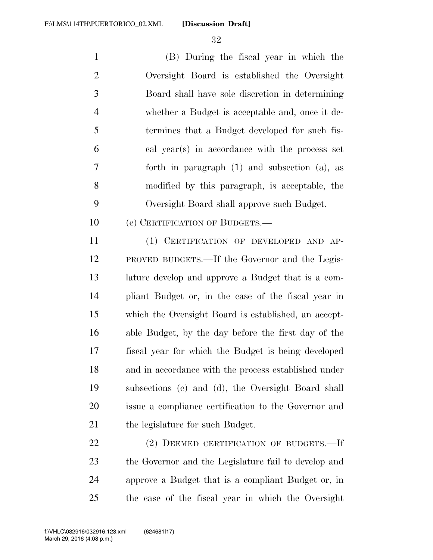**[Discussion Draft]** 

 (B) During the fiscal year in which the Oversight Board is established the Oversight Board shall have sole discretion in determining whether a Budget is acceptable and, once it de- termines that a Budget developed for such fis- cal year(s) in accordance with the process set forth in paragraph (1) and subsection (a), as modified by this paragraph, is acceptable, the Oversight Board shall approve such Budget.

10 (e) CERTIFICATION OF BUDGETS.—

 (1) CERTIFICATION OF DEVELOPED AND AP- PROVED BUDGETS.—If the Governor and the Legis- lature develop and approve a Budget that is a com- pliant Budget or, in the case of the fiscal year in which the Oversight Board is established, an accept- able Budget, by the day before the first day of the fiscal year for which the Budget is being developed and in accordance with the process established under subsections (c) and (d), the Oversight Board shall issue a compliance certification to the Governor and 21 the legislature for such Budget.

22 (2) DEEMED CERTIFICATION OF BUDGETS.—If the Governor and the Legislature fail to develop and approve a Budget that is a compliant Budget or, in the case of the fiscal year in which the Oversight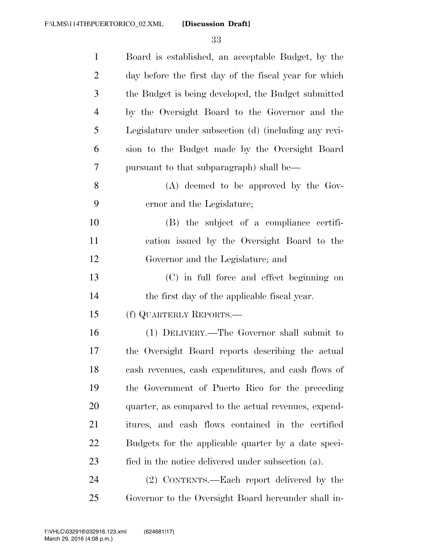| $\mathbf{1}$   | Board is established, an acceptable Budget, by the    |
|----------------|-------------------------------------------------------|
| $\overline{2}$ | day before the first day of the fiscal year for which |
| 3              | the Budget is being developed, the Budget submitted   |
| 4              | by the Oversight Board to the Governor and the        |
| 5              | Legislature under subsection (d) (including any revi- |
| 6              | sion to the Budget made by the Oversight Board        |
| 7              | pursuant to that subparagraph) shall be—              |
| 8              | $(A)$ deemed to be approved by the Gov-               |
| 9              | ernor and the Legislature;                            |
| 10             | (B) the subject of a compliance certifi-              |
| 11             | cation issued by the Oversight Board to the           |
| 12             | Governor and the Legislature; and                     |
| 13             | (C) in full force and effect beginning on             |
| 14             | the first day of the applicable fiscal year.          |
| 15             | (f) QUARTERLY REPORTS.—                               |
| 16             | (1) DELIVERY.—The Governor shall submit to            |
| 17             | the Oversight Board reports describing the actual     |
| 18             | cash revenues, cash expenditures, and cash flows of   |
| 19             | the Government of Puerto Rico for the preceding       |
| 20             | quarter, as compared to the actual revenues, expend-  |
| 21             | itures, and cash flows contained in the certified     |
| 22             | Budgets for the applicable quarter by a date speci-   |
| 23             | fied in the notice delivered under subsection (a).    |
| 24             | (2) CONTENTS.—Each report delivered by the            |
| 25             | Governor to the Oversight Board hereunder shall in-   |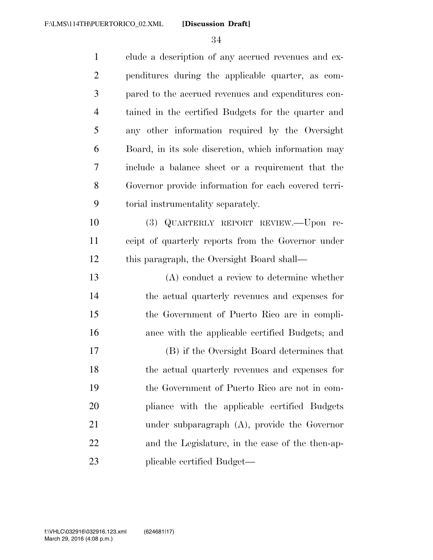| $\mathbf{1}$   | clude a description of any accrued revenues and ex-  |
|----------------|------------------------------------------------------|
| $\overline{2}$ | penditures during the applicable quarter, as com-    |
| 3              | pared to the accrued revenues and expenditures con-  |
| $\overline{4}$ | tained in the certified Budgets for the quarter and  |
| 5              | any other information required by the Oversight      |
| 6              | Board, in its sole discretion, which information may |
| 7              | include a balance sheet or a requirement that the    |
| 8              | Governor provide information for each covered terri- |
| 9              | torial instrumentality separately.                   |
| 10             | (3) QUARTERLY REPORT REVIEW.-Upon re-                |
| 11             | ceipt of quarterly reports from the Governor under   |
| 12             | this paragraph, the Oversight Board shall—           |
| 13             | $(A)$ conduct a review to determine whether          |
| 14             | the actual quarterly revenues and expenses for       |
| 15             | the Government of Puerto Rico are in compli-         |
| 16             | ance with the applicable certified Budgets; and      |
| 17             | (B) if the Oversight Board determines that           |
| 18             | the actual quarterly revenues and expenses for       |
| 19             | the Government of Puerto Rico are not in com-        |
| 20             | pliance with the applicable certified Budgets        |
| 21             | under subparagraph $(A)$ , provide the Governor      |
| 22             | and the Legislature, in the case of the then-ap-     |
| 23             | plicable certified Budget—                           |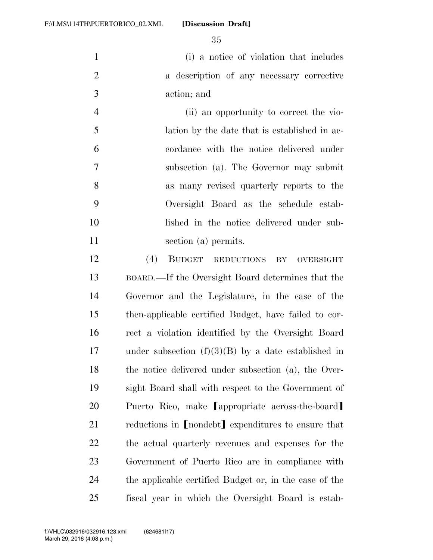**[Discussion Draft]** 

 (i) a notice of violation that includes a description of any necessary corrective action; and

 (ii) an opportunity to correct the vio- lation by the date that is established in ac- cordance with the notice delivered under subsection (a). The Governor may submit as many revised quarterly reports to the Oversight Board as the schedule estab- lished in the notice delivered under sub-11 section (a) permits.

 (4) BUDGET REDUCTIONS BY OVERSIGHT BOARD.—If the Oversight Board determines that the Governor and the Legislature, in the case of the then-applicable certified Budget, have failed to cor- rect a violation identified by the Oversight Board under subsection (f)(3)(B) by a date established in the notice delivered under subsection (a), the Over- sight Board shall with respect to the Government of 20 Puerto Rico, make Cappropriate across-the-board 21 reductions in [nondebt] expenditures to ensure that the actual quarterly revenues and expenses for the Government of Puerto Rico are in compliance with the applicable certified Budget or, in the case of the fiscal year in which the Oversight Board is estab-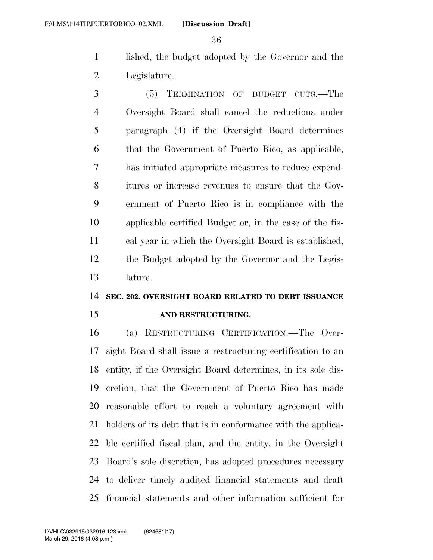lished, the budget adopted by the Governor and the Legislature.

 (5) TERMINATION OF BUDGET CUTS.—The Oversight Board shall cancel the reductions under paragraph (4) if the Oversight Board determines that the Government of Puerto Rico, as applicable, has initiated appropriate measures to reduce expend- itures or increase revenues to ensure that the Gov- ernment of Puerto Rico is in compliance with the applicable certified Budget or, in the case of the fis- cal year in which the Oversight Board is established, the Budget adopted by the Governor and the Legis-lature.

# **SEC. 202. OVERSIGHT BOARD RELATED TO DEBT ISSUANCE**

# **AND RESTRUCTURING.**

 (a) RESTRUCTURING CERTIFICATION.—The Over- sight Board shall issue a restructuring certification to an entity, if the Oversight Board determines, in its sole dis- cretion, that the Government of Puerto Rico has made reasonable effort to reach a voluntary agreement with holders of its debt that is in conformance with the applica- ble certified fiscal plan, and the entity, in the Oversight Board's sole discretion, has adopted procedures necessary to deliver timely audited financial statements and draft financial statements and other information sufficient for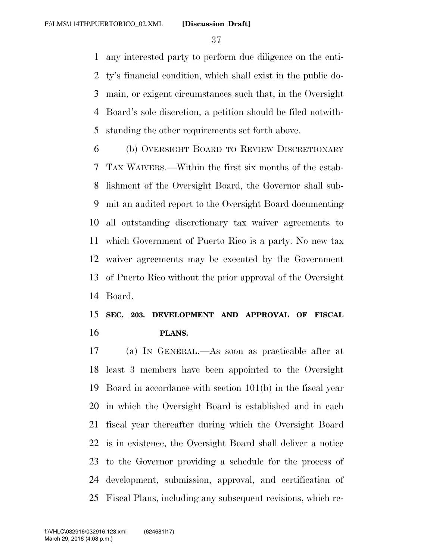any interested party to perform due diligence on the enti- ty's financial condition, which shall exist in the public do- main, or exigent circumstances such that, in the Oversight Board's sole discretion, a petition should be filed notwith-standing the other requirements set forth above.

 (b) OVERSIGHT BOARD TO REVIEW DISCRETIONARY TAX WAIVERS.—Within the first six months of the estab- lishment of the Oversight Board, the Governor shall sub- mit an audited report to the Oversight Board documenting all outstanding discretionary tax waiver agreements to which Government of Puerto Rico is a party. No new tax waiver agreements may be executed by the Government of Puerto Rico without the prior approval of the Oversight Board.

## **SEC. 203. DEVELOPMENT AND APPROVAL OF FISCAL PLANS.**

 (a) IN GENERAL.—As soon as practicable after at least 3 members have been appointed to the Oversight Board in accordance with section 101(b) in the fiscal year in which the Oversight Board is established and in each fiscal year thereafter during which the Oversight Board is in existence, the Oversight Board shall deliver a notice to the Governor providing a schedule for the process of development, submission, approval, and certification of Fiscal Plans, including any subsequent revisions, which re-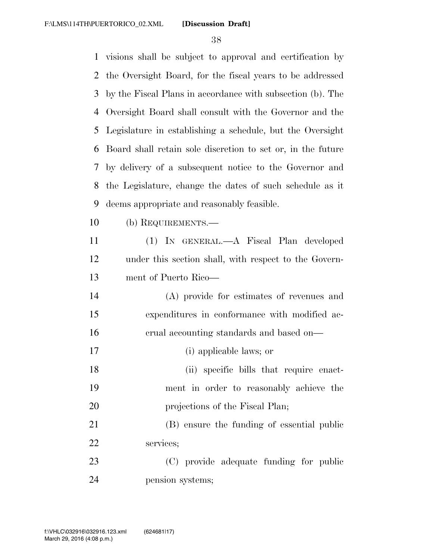visions shall be subject to approval and certification by the Oversight Board, for the fiscal years to be addressed by the Fiscal Plans in accordance with subsection (b). The Oversight Board shall consult with the Governor and the Legislature in establishing a schedule, but the Oversight Board shall retain sole discretion to set or, in the future by delivery of a subsequent notice to the Governor and the Legislature, change the dates of such schedule as it deems appropriate and reasonably feasible. (b) REQUIREMENTS.— (1) IN GENERAL.—A Fiscal Plan developed under this section shall, with respect to the Govern- ment of Puerto Rico— (A) provide for estimates of revenues and expenditures in conformance with modified ac- crual accounting standards and based on— (i) applicable laws; or 18 (ii) specific bills that require enact- ment in order to reasonably achieve the 20 projections of the Fiscal Plan; (B) ensure the funding of essential public services; (C) provide adequate funding for public pension systems;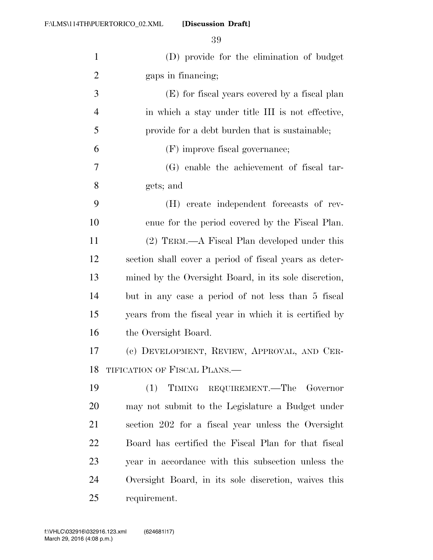**[Discussion Draft]** 

| $\mathbf{1}$   | (D) provide for the elimination of budget              |
|----------------|--------------------------------------------------------|
| $\overline{2}$ | gaps in financing;                                     |
| 3              | (E) for fiscal years covered by a fiscal plan          |
| $\overline{4}$ | in which a stay under title III is not effective,      |
| 5              | provide for a debt burden that is sustainable;         |
| 6              | (F) improve fiscal governance;                         |
| 7              | (G) enable the achievement of fiscal tar-              |
| 8              | gets; and                                              |
| 9              | (H) create independent forecasts of rev-               |
| 10             | enue for the period covered by the Fiscal Plan.        |
| 11             | (2) TERM.—A Fiscal Plan developed under this           |
| 12             | section shall cover a period of fiscal years as deter- |
| 13             | mined by the Oversight Board, in its sole discretion,  |
| 14             | but in any case a period of not less than 5 fiscal     |
| 15             | years from the fiscal year in which it is certified by |
| 16             | the Oversight Board.                                   |
| 17             | (c) DEVELOPMENT, REVIEW, APPROVAL, AND CER-            |
| 18             | TIFICATION OF FISCAL PLANS.                            |
| 19             | TIMING REQUIREMENT.—The Governor<br>(1)                |
| <b>20</b>      | may not submit to the Legislature a Budget under       |
| 21             | section 202 for a fiscal year unless the Oversight     |
| 22             | Board has certified the Fiscal Plan for that fiscal    |
| 23             | year in accordance with this subsection unless the     |
| 24             | Oversight Board, in its sole discretion, waives this   |
| 25             | requirement.                                           |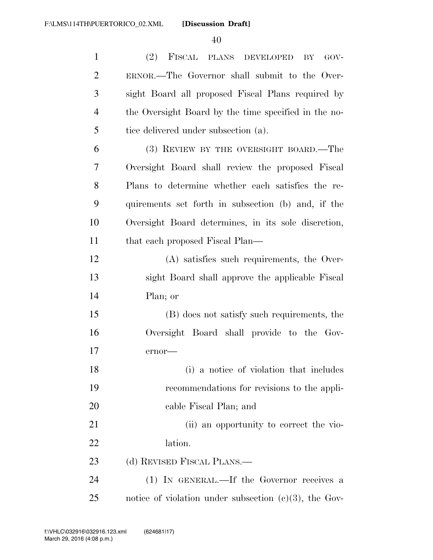| $\mathbf{1}$   | (2) FISCAL PLANS DEVELOPED<br>GOV-<br>BY                 |
|----------------|----------------------------------------------------------|
| $\overline{2}$ | ERNOR.—The Governor shall submit to the Over-            |
| 3              | sight Board all proposed Fiscal Plans required by        |
| $\overline{4}$ | the Oversight Board by the time specified in the no-     |
| 5              | tice delivered under subsection (a).                     |
| 6              | (3) REVIEW BY THE OVERSIGHT BOARD.—The                   |
| 7              | Oversight Board shall review the proposed Fiscal         |
| 8              | Plans to determine whether each satisfies the re-        |
| 9              | quirements set forth in subsection (b) and, if the       |
| 10             | Oversight Board determines, in its sole discretion,      |
| 11             | that each proposed Fiscal Plan—                          |
| 12             | (A) satisfies such requirements, the Over-               |
| 13             | sight Board shall approve the applicable Fiscal          |
| 14             | Plan; or                                                 |
| 15             | (B) does not satisfy such requirements, the              |
| 16             | Oversight Board shall provide to the Gov-                |
| 17             | ernor-                                                   |
| 18             | (i) a notice of violation that includes                  |
| 19             | recommendations for revisions to the appli-              |
| 20             | cable Fiscal Plan; and                                   |
| 21             | (ii) an opportunity to correct the vio-                  |
| 22             | lation.                                                  |
| 23             | (d) REVISED FISCAL PLANS.—                               |
| 24             | (1) IN GENERAL.—If the Governor receives a               |
| 25             | notice of violation under subsection $(c)(3)$ , the Gov- |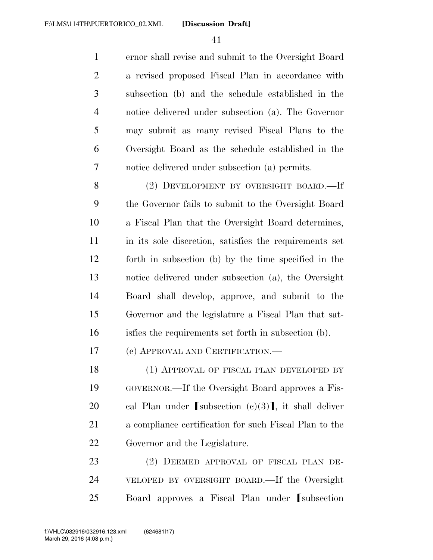ernor shall revise and submit to the Oversight Board a revised proposed Fiscal Plan in accordance with subsection (b) and the schedule established in the notice delivered under subsection (a). The Governor may submit as many revised Fiscal Plans to the Oversight Board as the schedule established in the notice delivered under subsection (a) permits.

 (2) DEVELOPMENT BY OVERSIGHT BOARD.—If the Governor fails to submit to the Oversight Board a Fiscal Plan that the Oversight Board determines, in its sole discretion, satisfies the requirements set forth in subsection (b) by the time specified in the notice delivered under subsection (a), the Oversight Board shall develop, approve, and submit to the Governor and the legislature a Fiscal Plan that sat-isfies the requirements set forth in subsection (b).

(e) APPROVAL AND CERTIFICATION.—

18 (1) APPROVAL OF FISCAL PLAN DEVELOPED BY GOVERNOR.—If the Oversight Board approves a Fis-20 cal Plan under [subsection  $(c)(3)$ ], it shall deliver a compliance certification for such Fiscal Plan to the Governor and the Legislature.

 (2) DEEMED APPROVAL OF FISCAL PLAN DE- VELOPED BY OVERSIGHT BOARD.—If the Oversight 25 Board approves a Fiscal Plan under Isubsection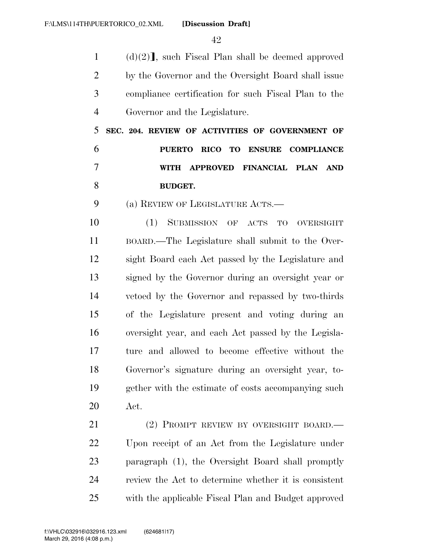1 (d)(2)<sup> $\mathbf{l}$ </sup>, such Fiscal Plan shall be deemed approved by the Governor and the Oversight Board shall issue compliance certification for such Fiscal Plan to the Governor and the Legislature.

 **SEC. 204. REVIEW OF ACTIVITIES OF GOVERNMENT OF PUERTO RICO TO ENSURE COMPLIANCE WITH APPROVED FINANCIAL PLAN AND BUDGET.** 

(a) REVIEW OF LEGISLATURE ACTS.—

 (1) SUBMISSION OF ACTS TO OVERSIGHT BOARD.—The Legislature shall submit to the Over- sight Board each Act passed by the Legislature and signed by the Governor during an oversight year or vetoed by the Governor and repassed by two-thirds of the Legislature present and voting during an oversight year, and each Act passed by the Legisla- ture and allowed to become effective without the Governor's signature during an oversight year, to- gether with the estimate of costs accompanying such Act.

21 (2) PROMPT REVIEW BY OVERSIGHT BOARD.— Upon receipt of an Act from the Legislature under paragraph (1), the Oversight Board shall promptly review the Act to determine whether it is consistent with the applicable Fiscal Plan and Budget approved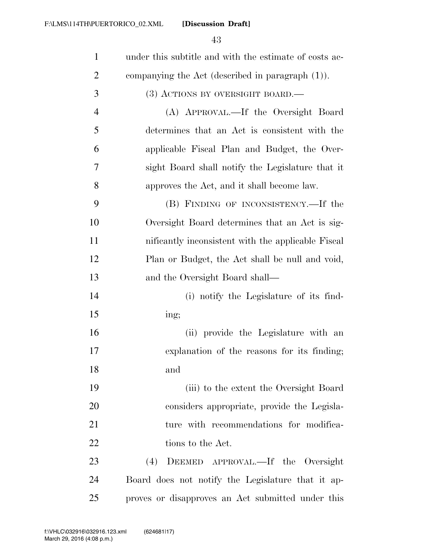| $\mathbf{1}$   | under this subtitle and with the estimate of costs ac- |
|----------------|--------------------------------------------------------|
| $\overline{2}$ | companying the Act (described in paragraph $(1)$ ).    |
| 3              | $(3)$ ACTIONS BY OVERSIGHT BOARD.—                     |
| $\overline{4}$ | (A) APPROVAL.—If the Oversight Board                   |
| 5              | determines that an Act is consistent with the          |
| 6              | applicable Fiscal Plan and Budget, the Over-           |
| 7              | sight Board shall notify the Legislature that it       |
| 8              | approves the Act, and it shall become law.             |
| 9              | (B) FINDING OF INCONSISTENCY.—If the                   |
| 10             | Oversight Board determines that an Act is sig-         |
| 11             | nificantly inconsistent with the applicable Fiscal     |
| 12             | Plan or Budget, the Act shall be null and void,        |
| 13             | and the Oversight Board shall—                         |
| 14             | (i) notify the Legislature of its find-                |
| 15             | ing;                                                   |
| 16             | (ii) provide the Legislature with an                   |
| 17             | explanation of the reasons for its finding;            |
| 18             | and                                                    |
| 19             | (iii) to the extent the Oversight Board                |
| 20             | considers appropriate, provide the Legisla-            |
| 21             | ture with recommendations for modifica-                |
| 22             | tions to the Act.                                      |
| 23             | DEEMED APPROVAL.—If the Oversight<br>(4)               |
| 24             | Board does not notify the Legislature that it ap-      |
| 25             | proves or disapproves an Act submitted under this      |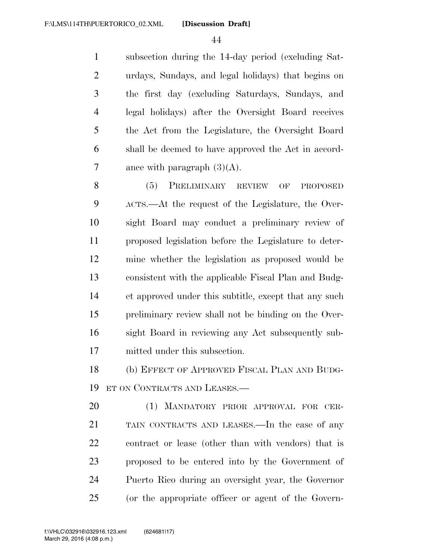subsection during the 14-day period (excluding Sat- urdays, Sundays, and legal holidays) that begins on the first day (excluding Saturdays, Sundays, and legal holidays) after the Oversight Board receives the Act from the Legislature, the Oversight Board shall be deemed to have approved the Act in accord-7 ance with paragraph  $(3)(A)$ .

 (5) PRELIMINARY REVIEW OF PROPOSED ACTS.—At the request of the Legislature, the Over- sight Board may conduct a preliminary review of proposed legislation before the Legislature to deter- mine whether the legislation as proposed would be consistent with the applicable Fiscal Plan and Budg- et approved under this subtitle, except that any such preliminary review shall not be binding on the Over- sight Board in reviewing any Act subsequently sub-mitted under this subsection.

 (b) EFFECT OF APPROVED FISCAL PLAN AND BUDG-ET ON CONTRACTS AND LEASES.—

 (1) MANDATORY PRIOR APPROVAL FOR CER- TAIN CONTRACTS AND LEASES.—In the case of any contract or lease (other than with vendors) that is proposed to be entered into by the Government of Puerto Rico during an oversight year, the Governor (or the appropriate officer or agent of the Govern-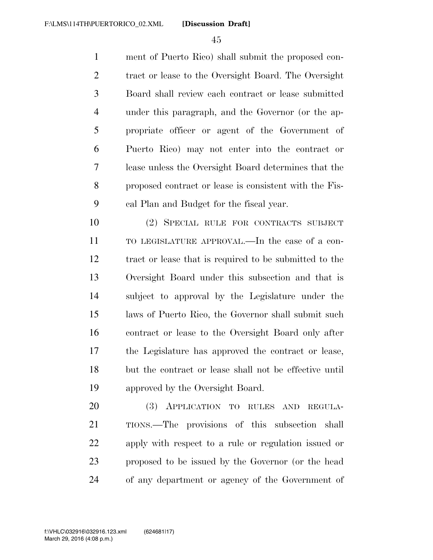ment of Puerto Rico) shall submit the proposed con- tract or lease to the Oversight Board. The Oversight Board shall review each contract or lease submitted under this paragraph, and the Governor (or the ap- propriate officer or agent of the Government of Puerto Rico) may not enter into the contract or lease unless the Oversight Board determines that the proposed contract or lease is consistent with the Fis-cal Plan and Budget for the fiscal year.

 (2) SPECIAL RULE FOR CONTRACTS SUBJECT TO LEGISLATURE APPROVAL.—In the case of a con- tract or lease that is required to be submitted to the Oversight Board under this subsection and that is subject to approval by the Legislature under the laws of Puerto Rico, the Governor shall submit such contract or lease to the Oversight Board only after the Legislature has approved the contract or lease, but the contract or lease shall not be effective until approved by the Oversight Board.

 (3) APPLICATION TO RULES AND REGULA- TIONS.—The provisions of this subsection shall apply with respect to a rule or regulation issued or proposed to be issued by the Governor (or the head of any department or agency of the Government of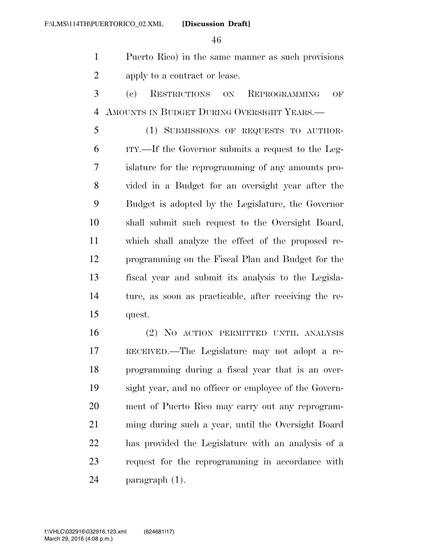Puerto Rico) in the same manner as such provisions apply to a contract or lease.

 (c) RESTRICTIONS ON REPROGRAMMING OF AMOUNTS IN BUDGET DURING OVERSIGHT YEARS.—

 (1) SUBMISSIONS OF REQUESTS TO AUTHOR- ITY.—If the Governor submits a request to the Leg- islature for the reprogramming of any amounts pro- vided in a Budget for an oversight year after the Budget is adopted by the Legislature, the Governor shall submit such request to the Oversight Board, which shall analyze the effect of the proposed re- programming on the Fiscal Plan and Budget for the fiscal year and submit its analysis to the Legisla- ture, as soon as practicable, after receiving the re-quest.

 (2) NO ACTION PERMITTED UNTIL ANALYSIS RECEIVED.—The Legislature may not adopt a re- programming during a fiscal year that is an over- sight year, and no officer or employee of the Govern- ment of Puerto Rico may carry out any reprogram- ming during such a year, until the Oversight Board has provided the Legislature with an analysis of a request for the reprogramming in accordance with paragraph (1).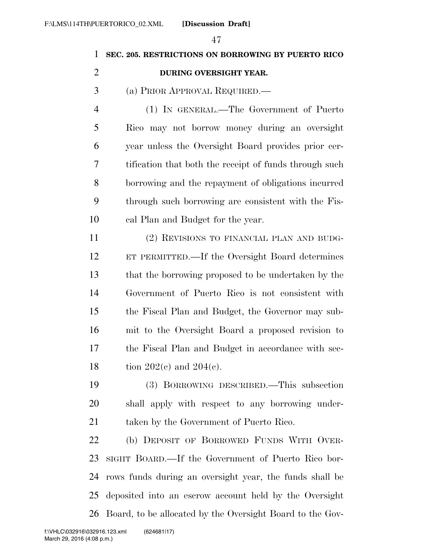## **SEC. 205. RESTRICTIONS ON BORROWING BY PUERTO RICO**

### **DURING OVERSIGHT YEAR.**

(a) PRIOR APPROVAL REQUIRED.—

 (1) IN GENERAL.—The Government of Puerto Rico may not borrow money during an oversight year unless the Oversight Board provides prior cer- tification that both the receipt of funds through such borrowing and the repayment of obligations incurred through such borrowing are consistent with the Fis-cal Plan and Budget for the year.

 (2) REVISIONS TO FINANCIAL PLAN AND BUDG- ET PERMITTED.—If the Oversight Board determines that the borrowing proposed to be undertaken by the Government of Puerto Rico is not consistent with the Fiscal Plan and Budget, the Governor may sub- mit to the Oversight Board a proposed revision to the Fiscal Plan and Budget in accordance with sec-18 tion  $202(c)$  and  $204(c)$ .

 (3) BORROWING DESCRIBED.—This subsection shall apply with respect to any borrowing under-taken by the Government of Puerto Rico.

 (b) DEPOSIT OF BORROWED FUNDS WITH OVER- SIGHT BOARD.—If the Government of Puerto Rico bor- rows funds during an oversight year, the funds shall be deposited into an escrow account held by the Oversight Board, to be allocated by the Oversight Board to the Gov-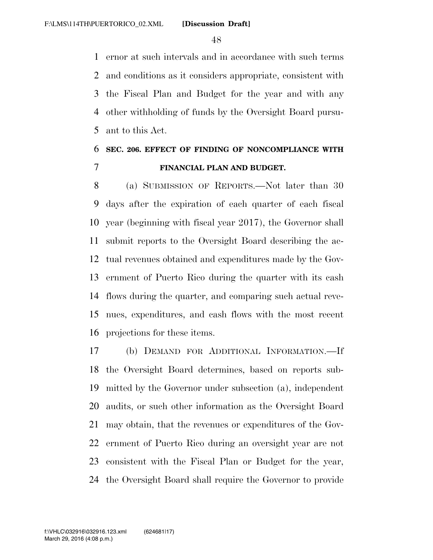ernor at such intervals and in accordance with such terms and conditions as it considers appropriate, consistent with the Fiscal Plan and Budget for the year and with any other withholding of funds by the Oversight Board pursu-ant to this Act.

## **SEC. 206. EFFECT OF FINDING OF NONCOMPLIANCE WITH FINANCIAL PLAN AND BUDGET.**

 (a) SUBMISSION OF REPORTS.—Not later than 30 days after the expiration of each quarter of each fiscal year (beginning with fiscal year 2017), the Governor shall submit reports to the Oversight Board describing the ac- tual revenues obtained and expenditures made by the Gov- ernment of Puerto Rico during the quarter with its cash flows during the quarter, and comparing such actual reve- nues, expenditures, and cash flows with the most recent projections for these items.

 (b) DEMAND FOR ADDITIONAL INFORMATION.—If the Oversight Board determines, based on reports sub- mitted by the Governor under subsection (a), independent audits, or such other information as the Oversight Board may obtain, that the revenues or expenditures of the Gov- ernment of Puerto Rico during an oversight year are not consistent with the Fiscal Plan or Budget for the year, the Oversight Board shall require the Governor to provide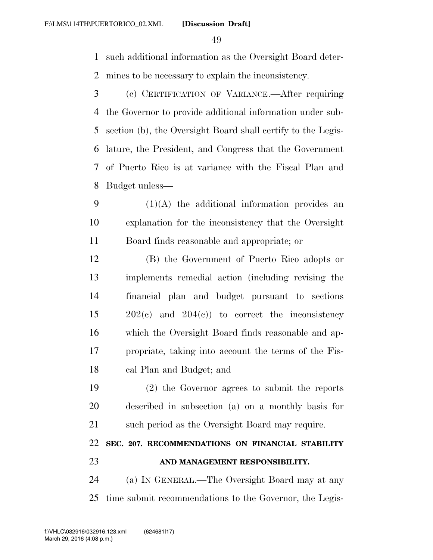such additional information as the Oversight Board deter-mines to be necessary to explain the inconsistency.

 (c) CERTIFICATION OF VARIANCE.—After requiring the Governor to provide additional information under sub- section (b), the Oversight Board shall certify to the Legis- lature, the President, and Congress that the Government of Puerto Rico is at variance with the Fiscal Plan and Budget unless—

 (1)(A) the additional information provides an explanation for the inconsistency that the Oversight Board finds reasonable and appropriate; or

 (B) the Government of Puerto Rico adopts or implements remedial action (including revising the financial plan and budget pursuant to sections 202(c) and 204(c)) to correct the inconsistency which the Oversight Board finds reasonable and ap- propriate, taking into account the terms of the Fis-cal Plan and Budget; and

 (2) the Governor agrees to submit the reports described in subsection (a) on a monthly basis for such period as the Oversight Board may require.

## **SEC. 207. RECOMMENDATIONS ON FINANCIAL STABILITY AND MANAGEMENT RESPONSIBILITY.**

 (a) IN GENERAL.—The Oversight Board may at any time submit recommendations to the Governor, the Legis-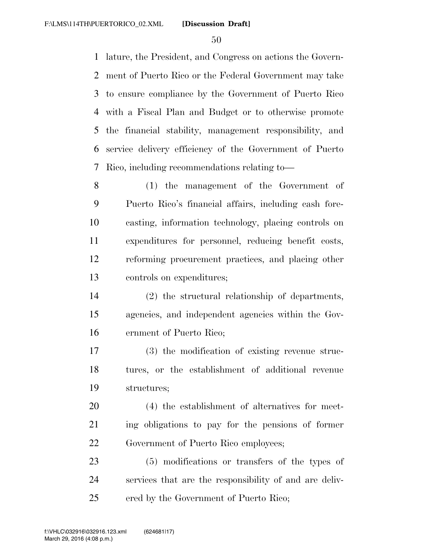lature, the President, and Congress on actions the Govern- ment of Puerto Rico or the Federal Government may take to ensure compliance by the Government of Puerto Rico with a Fiscal Plan and Budget or to otherwise promote the financial stability, management responsibility, and service delivery efficiency of the Government of Puerto Rico, including recommendations relating to—

 (1) the management of the Government of Puerto Rico's financial affairs, including cash fore- casting, information technology, placing controls on expenditures for personnel, reducing benefit costs, reforming procurement practices, and placing other controls on expenditures;

 (2) the structural relationship of departments, agencies, and independent agencies within the Gov-ernment of Puerto Rico;

 (3) the modification of existing revenue struc- tures, or the establishment of additional revenue structures;

 (4) the establishment of alternatives for meet- ing obligations to pay for the pensions of former Government of Puerto Rico employees;

 (5) modifications or transfers of the types of services that are the responsibility of and are deliv-ered by the Government of Puerto Rico;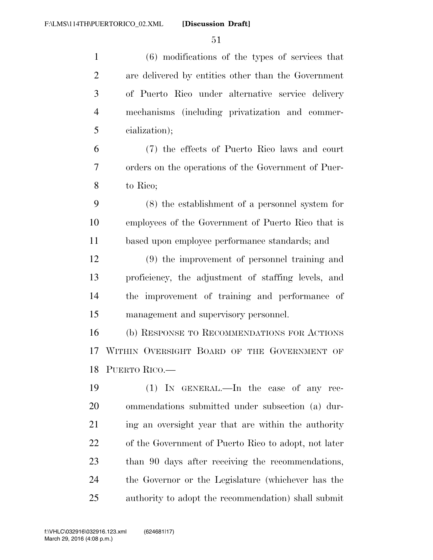| $\mathbf{1}$   | (6) modifications of the types of services that      |
|----------------|------------------------------------------------------|
| $\overline{2}$ | are delivered by entities other than the Government  |
| 3              | of Puerto Rico under alternative service delivery    |
| $\overline{4}$ | mechanisms (including privatization and commer-      |
| 5              | cialization);                                        |
| 6              | (7) the effects of Puerto Rico laws and court        |
| 7              | orders on the operations of the Government of Puer-  |
| 8              | to Rico;                                             |
| 9              | (8) the establishment of a personnel system for      |
| 10             | employees of the Government of Puerto Rico that is   |
| 11             | based upon employee performance standards; and       |
| 12             | (9) the improvement of personnel training and        |
| 13             | proficiency, the adjustment of staffing levels, and  |
| 14             | the improvement of training and performance of       |
| 15             | management and supervisory personnel.                |
| 16             | (b) RESPONSE TO RECOMMENDATIONS FOR ACTIONS          |
| 17             | WITHIN OVERSIGHT BOARD OF THE GOVERNMENT OF          |
|                | 18 PUERTO RICO.                                      |
| 19             | $(1)$ IN GENERAL.—In the case of any rec-            |
| 20             | ommendations submitted under subsection (a) dur-     |
| 21             | ing an oversight year that are within the authority  |
| 22             | of the Government of Puerto Rico to adopt, not later |
| 23             | than 90 days after receiving the recommendations,    |
| 24             | the Governor or the Legislature (whichever has the   |
| 25             | authority to adopt the recommendation) shall submit  |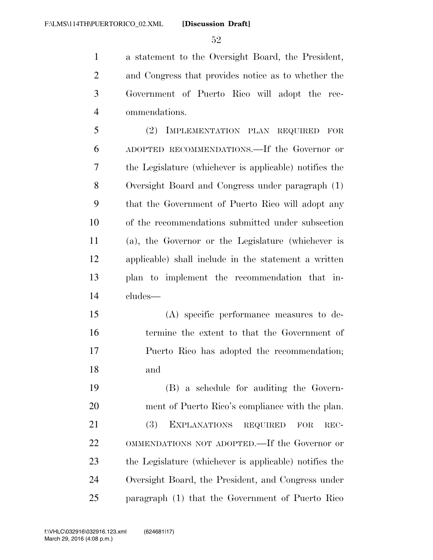a statement to the Oversight Board, the President, and Congress that provides notice as to whether the Government of Puerto Rico will adopt the rec-ommendations.

 (2) IMPLEMENTATION PLAN REQUIRED FOR ADOPTED RECOMMENDATIONS.—If the Governor or the Legislature (whichever is applicable) notifies the Oversight Board and Congress under paragraph (1) that the Government of Puerto Rico will adopt any of the recommendations submitted under subsection (a), the Governor or the Legislature (whichever is applicable) shall include in the statement a written plan to implement the recommendation that in-cludes—

 (A) specific performance measures to de- termine the extent to that the Government of Puerto Rico has adopted the recommendation; and

 (B) a schedule for auditing the Govern- ment of Puerto Rico's compliance with the plan. (3) EXPLANATIONS REQUIRED FOR REC- OMMENDATIONS NOT ADOPTED.—If the Governor or the Legislature (whichever is applicable) notifies the Oversight Board, the President, and Congress under paragraph (1) that the Government of Puerto Rico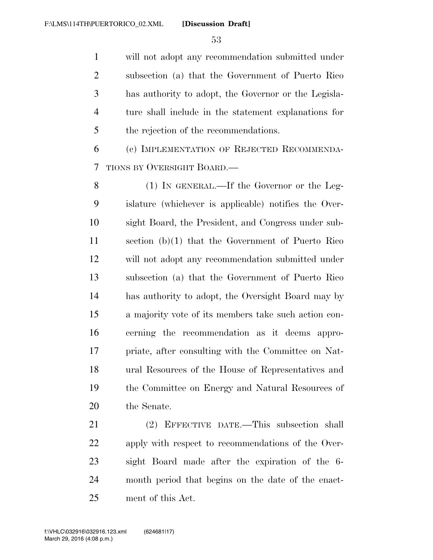will not adopt any recommendation submitted under subsection (a) that the Government of Puerto Rico has authority to adopt, the Governor or the Legisla- ture shall include in the statement explanations for the rejection of the recommendations.

 (c) IMPLEMENTATION OF REJECTED RECOMMENDA-TIONS BY OVERSIGHT BOARD.—

8 (1) IN GENERAL.—If the Governor or the Leg- islature (whichever is applicable) notifies the Over- sight Board, the President, and Congress under sub- section (b)(1) that the Government of Puerto Rico will not adopt any recommendation submitted under subsection (a) that the Government of Puerto Rico has authority to adopt, the Oversight Board may by a majority vote of its members take such action con- cerning the recommendation as it deems appro- priate, after consulting with the Committee on Nat- ural Resources of the House of Representatives and the Committee on Energy and Natural Resources of the Senate.

 (2) EFFECTIVE DATE.—This subsection shall apply with respect to recommendations of the Over- sight Board made after the expiration of the 6- month period that begins on the date of the enact-ment of this Act.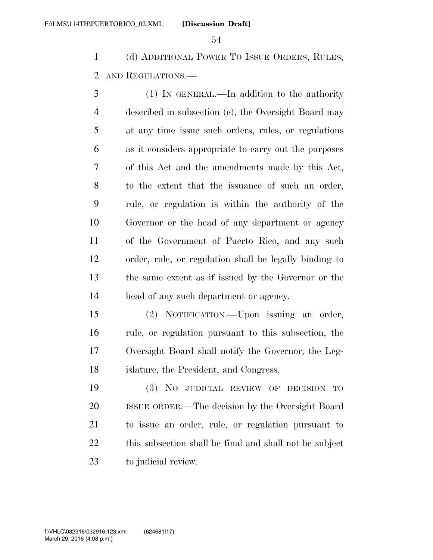(d) ADDITIONAL POWER TO ISSUE ORDERS, RULES, AND REGULATIONS.—

 (1) IN GENERAL.—In addition to the authority described in subsection (c), the Oversight Board may at any time issue such orders, rules, or regulations as it considers appropriate to carry out the purposes of this Act and the amendments made by this Act, to the extent that the issuance of such an order, rule, or regulation is within the authority of the Governor or the head of any department or agency of the Government of Puerto Rico, and any such order, rule, or regulation shall be legally binding to the same extent as if issued by the Governor or the head of any such department or agency.

 (2) NOTIFICATION.—Upon issuing an order, rule, or regulation pursuant to this subsection, the Oversight Board shall notify the Governor, the Leg-islature, the President, and Congress.

 (3) NO JUDICIAL REVIEW OF DECISION TO ISSUE ORDER.—The decision by the Oversight Board to issue an order, rule, or regulation pursuant to this subsection shall be final and shall not be subject to judicial review.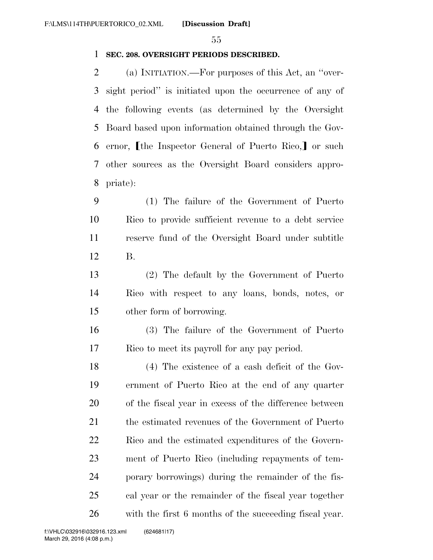### **SEC. 208. OVERSIGHT PERIODS DESCRIBED.**

 (a) INITIATION.—For purposes of this Act, an ''over- sight period'' is initiated upon the occurrence of any of the following events (as determined by the Oversight Board based upon information obtained through the Gov-6 ernor, I the Inspector General of Puerto Rico, or such other sources as the Oversight Board considers appro-priate):

 (1) The failure of the Government of Puerto Rico to provide sufficient revenue to a debt service reserve fund of the Oversight Board under subtitle B.

 (2) The default by the Government of Puerto Rico with respect to any loans, bonds, notes, or other form of borrowing.

 (3) The failure of the Government of Puerto Rico to meet its payroll for any pay period.

 (4) The existence of a cash deficit of the Gov- ernment of Puerto Rico at the end of any quarter of the fiscal year in excess of the difference between the estimated revenues of the Government of Puerto Rico and the estimated expenditures of the Govern- ment of Puerto Rico (including repayments of tem- porary borrowings) during the remainder of the fis- cal year or the remainder of the fiscal year together with the first 6 months of the succeeding fiscal year.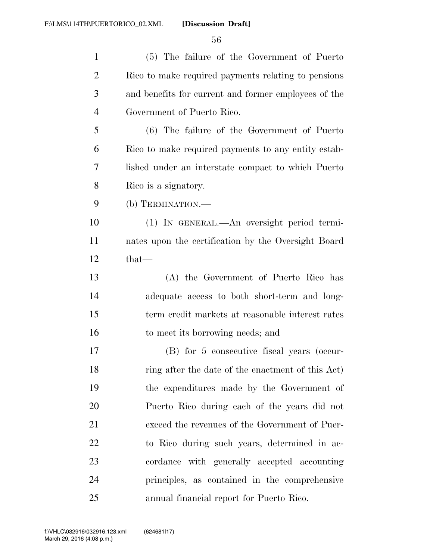| $\mathbf{1}$   | (5) The failure of the Government of Puerto          |
|----------------|------------------------------------------------------|
| $\overline{2}$ | Rico to make required payments relating to pensions  |
| 3              | and benefits for current and former employees of the |
| $\overline{4}$ | Government of Puerto Rico.                           |
| 5              | (6) The failure of the Government of Puerto          |
| 6              | Rico to make required payments to any entity estab-  |
| 7              | lished under an interstate compact to which Puerto   |
| 8              | Rico is a signatory.                                 |
| 9              | (b) TERMINATION.—                                    |
| 10             | (1) IN GENERAL.—An oversight period termi-           |
| 11             | nates upon the certification by the Oversight Board  |
| 12             | $that-$                                              |
| 13             | (A) the Government of Puerto Rico has                |
| 14             | adequate access to both short-term and long-         |
| 15             | term credit markets at reasonable interest rates     |
| 16             | to meet its borrowing needs; and                     |
| 17             | (B) for 5 consecutive fiscal years (occur-           |
| 18             | ring after the date of the enactment of this Act)    |
| 19             | the expenditures made by the Government of           |
| 20             | Puerto Rico during each of the years did not         |
| 21             | exceed the revenues of the Government of Puer-       |
| 22             | to Rico during such years, determined in ac-         |
| 23             | cordance with generally accepted accounting          |
| 24             | principles, as contained in the comprehensive        |
| 25             | annual financial report for Puerto Rico.             |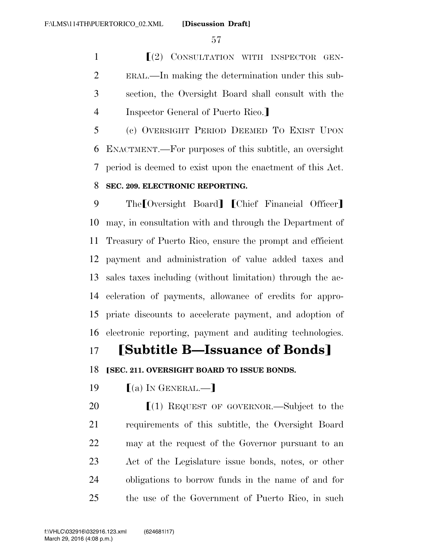**Secondary CONSULTATION WITH INSPECTOR GEN-** ERAL.—In making the determination under this sub- section, the Oversight Board shall consult with the 4 Inspector General of Puerto Rico.

 (c) OVERSIGHT PERIOD DEEMED TO EXIST UPON ENACTMENT.—For purposes of this subtitle, an oversight period is deemed to exist upon the enactment of this Act. **SEC. 209. ELECTRONIC REPORTING.** 

9 The Oversight Board [Chief Financial Officer] may, in consultation with and through the Department of Treasury of Puerto Rico, ensure the prompt and efficient payment and administration of value added taxes and sales taxes including (without limitation) through the ac- celeration of payments, allowance of credits for appro- priate discounts to accelerate payment, and adoption of electronic reporting, payment and auditing technologies.

## **Subtitle B—Issuance of Bonds**

**ISEC. 211. OVERSIGHT BOARD TO ISSUE BONDS.** 

19  $(a)$  In GENERAL.—

 $\left[ (1)$  REQUEST OF GOVERNOR.—Subject to the requirements of this subtitle, the Oversight Board may at the request of the Governor pursuant to an Act of the Legislature issue bonds, notes, or other obligations to borrow funds in the name of and for the use of the Government of Puerto Rico, in such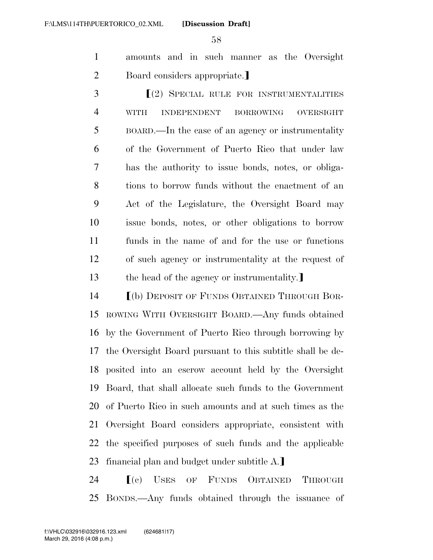amounts and in such manner as the Oversight 2 Board considers appropriate.

**SPECIAL RULE FOR INSTRUMENTALITIES**  WITH INDEPENDENT BORROWING OVERSIGHT BOARD.—In the case of an agency or instrumentality of the Government of Puerto Rico that under law has the authority to issue bonds, notes, or obliga- tions to borrow funds without the enactment of an Act of the Legislature, the Oversight Board may issue bonds, notes, or other obligations to borrow funds in the name of and for the use or functions of such agency or instrumentality at the request of 13 the head of the agency or instrumentality.

**IDEPOSIT OF FUNDS OBTAINED THROUGH BOR-** ROWING WITH OVERSIGHT BOARD.—Any funds obtained by the Government of Puerto Rico through borrowing by the Oversight Board pursuant to this subtitle shall be de- posited into an escrow account held by the Oversight Board, that shall allocate such funds to the Government of Puerto Rico in such amounts and at such times as the Oversight Board considers appropriate, consistent with the specified purposes of such funds and the applicable 23 financial plan and budget under subtitle  $A$ .

24  $\blacksquare$  (c) USES OF FUNDS OBTAINED THROUGH BONDS.—Any funds obtained through the issuance of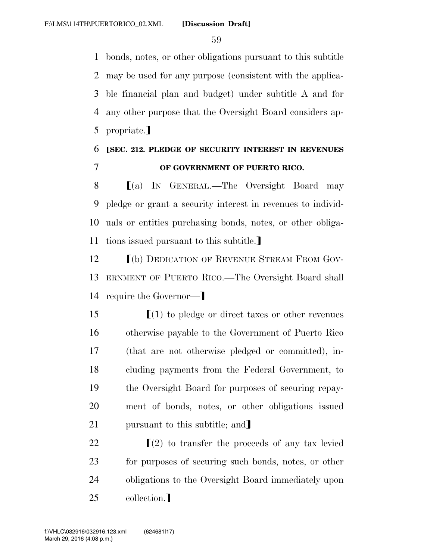bonds, notes, or other obligations pursuant to this subtitle may be used for any purpose (consistent with the applica- ble financial plan and budget) under subtitle A and for any other purpose that the Oversight Board considers ap-5 propriate.

## 6 ø**SEC. 212. PLEDGE OF SECURITY INTEREST IN REVENUES**  7 **OF GOVERNMENT OF PUERTO RICO.**

 $\blacksquare$  (a) In GENERAL.—The Oversight Board may pledge or grant a security interest in revenues to individ- uals or entities purchasing bonds, notes, or other obliga-11 tions issued pursuant to this subtitle.

12 **IDEDICATION OF REVENUE STREAM FROM GOV-**13 ERNMENT OF PUERTO RICO.—The Oversight Board shall 14 require the Governor—

 $\lbrack (1)$  to pledge or direct taxes or other revenues otherwise payable to the Government of Puerto Rico (that are not otherwise pledged or committed), in- cluding payments from the Federal Government, to the Oversight Board for purposes of securing repay- ment of bonds, notes, or other obligations issued 21 pursuant to this subtitle; and

 $\left[ (2) \text{ to transfer the proceeds of any tax level } \right]$  for purposes of securing such bonds, notes, or other obligations to the Oversight Board immediately upon 25 collection.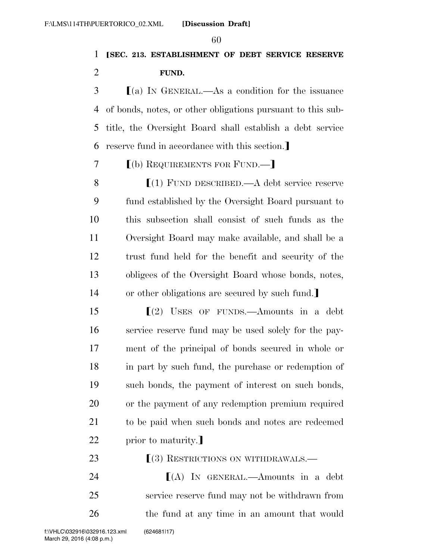## ø**SEC. 213. ESTABLISHMENT OF DEBT SERVICE RESERVE FUND.**

 $\mathcal{S}$  (a) In GENERAL.—As a condition for the issuance of bonds, notes, or other obligations pursuant to this sub- title, the Oversight Board shall establish a debt service 6 reserve fund in accordance with this section.

## **[(b) REQUIREMENTS FOR FUND.—**

**S** (1) FUND DESCRIBED.—A debt service reserve fund established by the Oversight Board pursuant to this subsection shall consist of such funds as the Oversight Board may make available, and shall be a trust fund held for the benefit and security of the obligees of the Oversight Board whose bonds, notes, 14 or other obligations are secured by such fund.

 $\left[ \begin{array}{cc} (2) & \text{Users} \end{array} \right]$  of FUNDS.—Amounts in a debt service reserve fund may be used solely for the pay- ment of the principal of bonds secured in whole or in part by such fund, the purchase or redemption of such bonds, the payment of interest on such bonds, or the payment of any redemption premium required to be paid when such bonds and notes are redeemed 22 prior to maturity.

**Fig. 23 EXECUTIONS ON WITHDRAWALS.** 

**IA** IN GENERAL.—Amounts in a debt service reserve fund may not be withdrawn from 26 the fund at any time in an amount that would

March 29, 2016 (4:08 p.m.) f:\VHLC\032916\032916.123.xml (624681|17)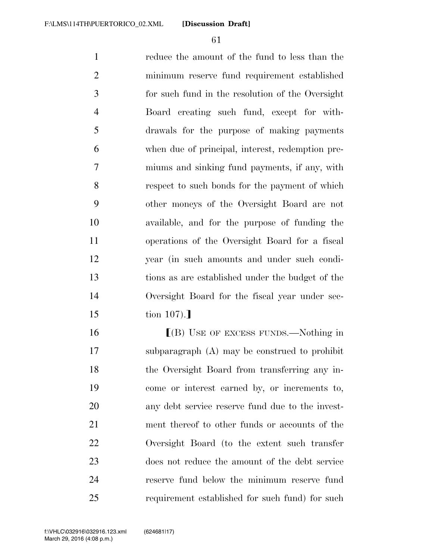reduce the amount of the fund to less than the minimum reserve fund requirement established for such fund in the resolution of the Oversight Board creating such fund, except for with- drawals for the purpose of making payments when due of principal, interest, redemption pre- miums and sinking fund payments, if any, with respect to such bonds for the payment of which other moneys of the Oversight Board are not available, and for the purpose of funding the operations of the Oversight Board for a fiscal year (in such amounts and under such condi- tions as are established under the budget of the Oversight Board for the fiscal year under sec-tion 107).

**I**(B) USE OF EXCESS FUNDS.—Nothing in subparagraph (A) may be construed to prohibit the Oversight Board from transferring any in- come or interest earned by, or increments to, any debt service reserve fund due to the invest- ment thereof to other funds or accounts of the Oversight Board (to the extent such transfer does not reduce the amount of the debt service reserve fund below the minimum reserve fund requirement established for such fund) for such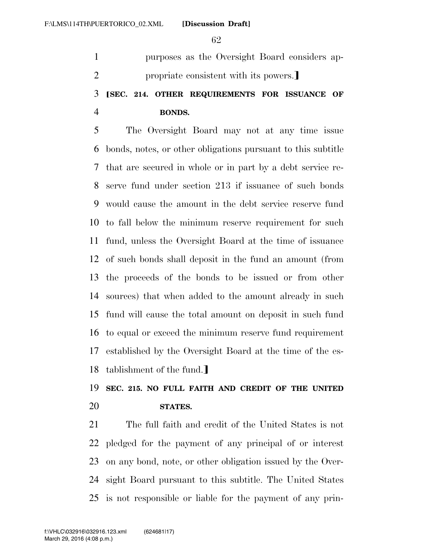purposes as the Oversight Board considers ap-2 propriate consistent with its powers.

## ø**SEC. 214. OTHER REQUIREMENTS FOR ISSUANCE OF BONDS.**

 The Oversight Board may not at any time issue bonds, notes, or other obligations pursuant to this subtitle that are secured in whole or in part by a debt service re- serve fund under section 213 if issuance of such bonds would cause the amount in the debt service reserve fund to fall below the minimum reserve requirement for such fund, unless the Oversight Board at the time of issuance of such bonds shall deposit in the fund an amount (from the proceeds of the bonds to be issued or from other sources) that when added to the amount already in such fund will cause the total amount on deposit in such fund to equal or exceed the minimum reserve fund requirement established by the Oversight Board at the time of the es-18 tablishment of the fund.]

# **SEC. 215. NO FULL FAITH AND CREDIT OF THE UNITED STATES.**

 The full faith and credit of the United States is not pledged for the payment of any principal of or interest on any bond, note, or other obligation issued by the Over- sight Board pursuant to this subtitle. The United States is not responsible or liable for the payment of any prin-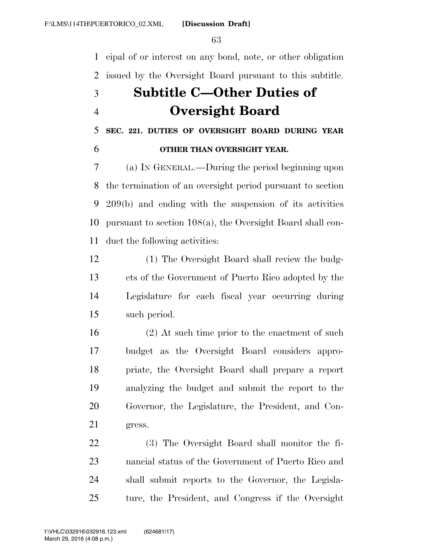cipal of or interest on any bond, note, or other obligation issued by the Oversight Board pursuant to this subtitle.

# **Subtitle C—Other Duties of Oversight Board**

**SEC. 221. DUTIES OF OVERSIGHT BOARD DURING YEAR** 

## **OTHER THAN OVERSIGHT YEAR.**

 (a) IN GENERAL.—During the period beginning upon the termination of an oversight period pursuant to section 209(b) and ending with the suspension of its activities pursuant to section 108(a), the Oversight Board shall con-duct the following activities:

 (1) The Oversight Board shall review the budg- ets of the Government of Puerto Rico adopted by the Legislature for each fiscal year occurring during such period.

 (2) At such time prior to the enactment of such budget as the Oversight Board considers appro- priate, the Oversight Board shall prepare a report analyzing the budget and submit the report to the Governor, the Legislature, the President, and Con-gress.

 (3) The Oversight Board shall monitor the fi- nancial status of the Government of Puerto Rico and shall submit reports to the Governor, the Legisla-ture, the President, and Congress if the Oversight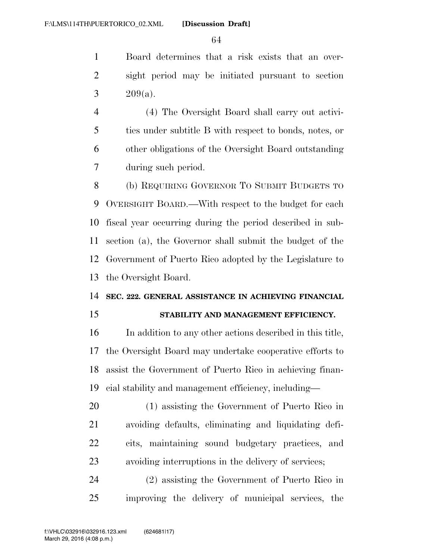Board determines that a risk exists that an over- sight period may be initiated pursuant to section 3  $209(a)$ .

 (4) The Oversight Board shall carry out activi- ties under subtitle B with respect to bonds, notes, or other obligations of the Oversight Board outstanding during such period.

 (b) REQUIRING GOVERNOR TO SUBMIT BUDGETS TO OVERSIGHT BOARD.—With respect to the budget for each fiscal year occurring during the period described in sub- section (a), the Governor shall submit the budget of the Government of Puerto Rico adopted by the Legislature to the Oversight Board.

### **SEC. 222. GENERAL ASSISTANCE IN ACHIEVING FINANCIAL**

### **STABILITY AND MANAGEMENT EFFICIENCY.**

 In addition to any other actions described in this title, the Oversight Board may undertake cooperative efforts to assist the Government of Puerto Rico in achieving finan-cial stability and management efficiency, including—

 (1) assisting the Government of Puerto Rico in avoiding defaults, eliminating and liquidating defi- cits, maintaining sound budgetary practices, and avoiding interruptions in the delivery of services;

 (2) assisting the Government of Puerto Rico in improving the delivery of municipal services, the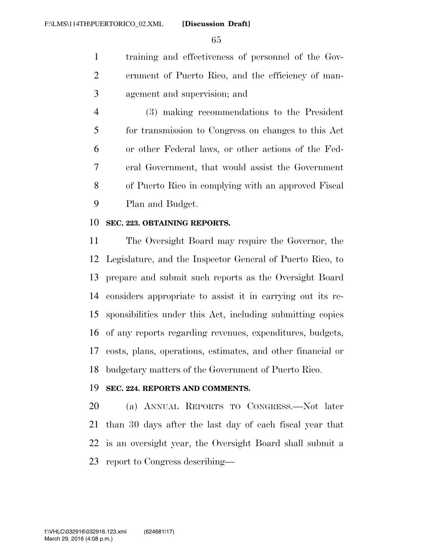training and effectiveness of personnel of the Gov- ernment of Puerto Rico, and the efficiency of man-agement and supervision; and

 (3) making recommendations to the President for transmission to Congress on changes to this Act or other Federal laws, or other actions of the Fed- eral Government, that would assist the Government of Puerto Rico in complying with an approved Fiscal Plan and Budget.

### **SEC. 223. OBTAINING REPORTS.**

 The Oversight Board may require the Governor, the Legislature, and the Inspector General of Puerto Rico, to prepare and submit such reports as the Oversight Board considers appropriate to assist it in carrying out its re- sponsibilities under this Act, including submitting copies of any reports regarding revenues, expenditures, budgets, costs, plans, operations, estimates, and other financial or budgetary matters of the Government of Puerto Rico.

### **SEC. 224. REPORTS AND COMMENTS.**

 (a) ANNUAL REPORTS TO CONGRESS.—Not later than 30 days after the last day of each fiscal year that is an oversight year, the Oversight Board shall submit a report to Congress describing—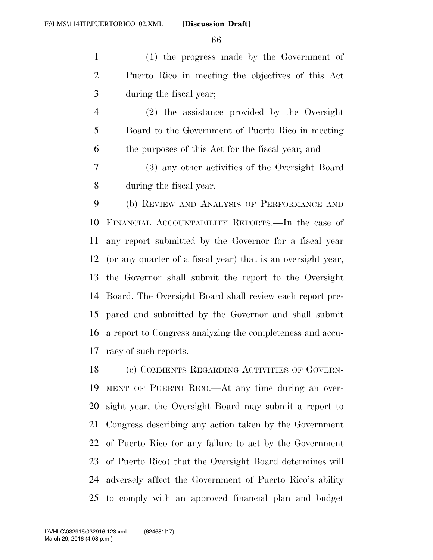(1) the progress made by the Government of Puerto Rico in meeting the objectives of this Act during the fiscal year;

 (2) the assistance provided by the Oversight Board to the Government of Puerto Rico in meeting the purposes of this Act for the fiscal year; and

 (3) any other activities of the Oversight Board during the fiscal year.

 (b) REVIEW AND ANALYSIS OF PERFORMANCE AND FINANCIAL ACCOUNTABILITY REPORTS.—In the case of any report submitted by the Governor for a fiscal year (or any quarter of a fiscal year) that is an oversight year, the Governor shall submit the report to the Oversight Board. The Oversight Board shall review each report pre- pared and submitted by the Governor and shall submit a report to Congress analyzing the completeness and accu-racy of such reports.

 (c) COMMENTS REGARDING ACTIVITIES OF GOVERN- MENT OF PUERTO RICO.—At any time during an over- sight year, the Oversight Board may submit a report to Congress describing any action taken by the Government of Puerto Rico (or any failure to act by the Government of Puerto Rico) that the Oversight Board determines will adversely affect the Government of Puerto Rico's ability to comply with an approved financial plan and budget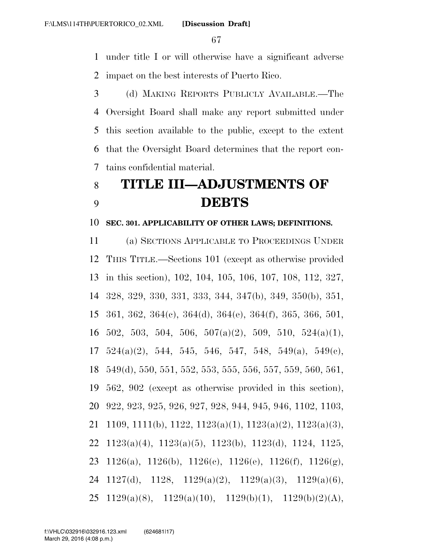under title I or will otherwise have a significant adverse impact on the best interests of Puerto Rico.

 (d) MAKING REPORTS PUBLICLY AVAILABLE.—The Oversight Board shall make any report submitted under this section available to the public, except to the extent that the Oversight Board determines that the report con-tains confidential material.

# **TITLE III—ADJUSTMENTS OF DEBTS**

### **SEC. 301. APPLICABILITY OF OTHER LAWS; DEFINITIONS.**

 (a) SECTIONS APPLICABLE TO PROCEEDINGS UNDER THIS TITLE.—Sections 101 (except as otherwise provided in this section), 102, 104, 105, 106, 107, 108, 112, 327, 328, 329, 330, 331, 333, 344, 347(b), 349, 350(b), 351, 361, 362, 364(c), 364(d), 364(e), 364(f), 365, 366, 501,  $16\quad 502, 503, 504, 506, 507(a)(2), 509, 510, 524(a)(1),$  $17\quad 524(a)(2)$ , 544, 545, 546, 547, 548, 549(a), 549(c), 549(d), 550, 551, 552, 553, 555, 556, 557, 559, 560, 561, 562, 902 (except as otherwise provided in this section), 922, 923, 925, 926, 927, 928, 944, 945, 946, 1102, 1103, 1109, 1111(b), 1122, 1123(a)(1), 1123(a)(2), 1123(a)(3), 1123(a)(4), 1123(a)(5), 1123(b), 1123(d), 1124, 1125, 1126(a), 1126(b), 1126(c), 1126(e), 1126(f), 1126(g), 1127(d), 1128, 1129(a)(2), 1129(a)(3), 1129(a)(6), 25 1129(a)(8), 1129(a)(10), 1129(b)(1), 1129(b)(2)(A),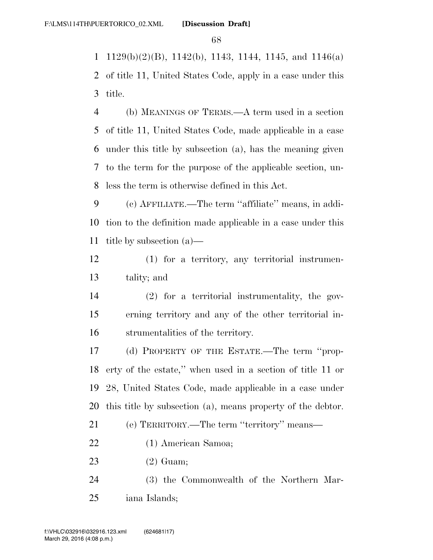1 1129(b)(2)(B), 1142(b), 1143, 1144, 1145, and 1146(a)

 of title 11, United States Code, apply in a case under this title.

 (b) MEANINGS OF TERMS.—A term used in a section of title 11, United States Code, made applicable in a case under this title by subsection (a), has the meaning given to the term for the purpose of the applicable section, un-less the term is otherwise defined in this Act.

 (c) AFFILIATE.—The term ''affiliate'' means, in addi- tion to the definition made applicable in a case under this title by subsection (a)—

 (1) for a territory, any territorial instrumen-tality; and

 (2) for a territorial instrumentality, the gov- erning territory and any of the other territorial in-strumentalities of the territory.

 (d) PROPERTY OF THE ESTATE.—The term ''prop- erty of the estate,'' when used in a section of title 11 or 28, United States Code, made applicable in a case under this title by subsection (a), means property of the debtor.

(e) TERRITORY.—The term ''territory'' means—

- (1) American Samoa;
- (2) Guam;

 (3) the Commonwealth of the Northern Mar-iana Islands;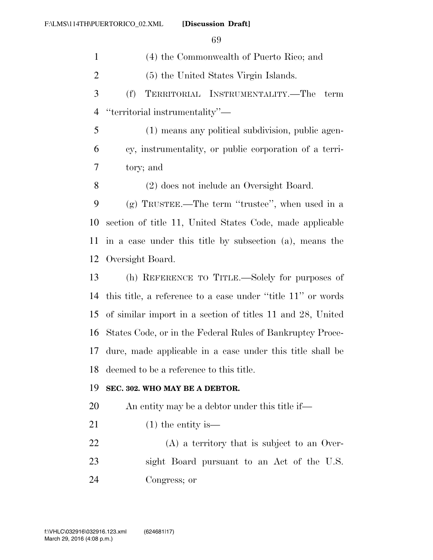(4) the Commonwealth of Puerto Rico; and (5) the United States Virgin Islands. (f) TERRITORIAL INSTRUMENTALITY.—The term ''territorial instrumentality''— (1) means any political subdivision, public agen- cy, instrumentality, or public corporation of a terri- tory; and (2) does not include an Oversight Board. (g) TRUSTEE.—The term ''trustee'', when used in a section of title 11, United States Code, made applicable in a case under this title by subsection (a), means the Oversight Board. (h) REFERENCE TO TITLE.—Solely for purposes of this title, a reference to a case under ''title 11'' or words of similar import in a section of titles 11 and 28, United States Code, or in the Federal Rules of Bankruptcy Proce- dure, made applicable in a case under this title shall be deemed to be a reference to this title. **SEC. 302. WHO MAY BE A DEBTOR.**  An entity may be a debtor under this title if— 21 (1) the entity is— (A) a territory that is subject to an Over- sight Board pursuant to an Act of the U.S. Congress; or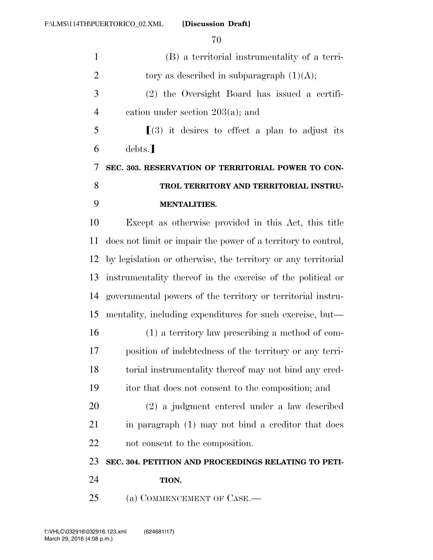| $\mathbf{1}$   | (B) a territorial instrumentality of a terri-                 |
|----------------|---------------------------------------------------------------|
| $\overline{2}$ | tory as described in subparagraph $(1)(A)$ ;                  |
| 3              | (2) the Oversight Board has issued a certifi-                 |
| $\overline{4}$ | cation under section $203(a)$ ; and                           |
| 5              | $\lfloor 3 \rfloor$ it desires to effect a plan to adjust its |
| 6              | debts.]                                                       |
| 7              | SEC. 303. RESERVATION OF TERRITORIAL POWER TO CON-            |
| 8              | TROL TERRITORY AND TERRITORIAL INSTRU-                        |
| 9              | <b>MENTALITIES.</b>                                           |
| 10             | Except as otherwise provided in this Act, this title          |
| 11             | does not limit or impair the power of a territory to control, |
| 12             | by legislation or otherwise, the territory or any territorial |
| 13             | instrumentality thereof in the exercise of the political or   |
| 14             | governmental powers of the territory or territorial instru-   |
| 15             | mentality, including expenditures for such exercise, but—     |
| 16             | (1) a territory law prescribing a method of com-              |
| 17             | position of indebtedness of the territory or any terri-       |
| 18             | torial instrumentality thereof may not bind any cred-         |
| 19             | itor that does not consent to the composition; and            |
| 20             | (2) a judgment entered under a law described                  |
| 21             | in paragraph (1) may not bind a creditor that does            |
| 22             | not consent to the composition.                               |
| 23             | SEC. 304. PETITION AND PROCEEDINGS RELATING TO PETI-          |
| 24             | TION.                                                         |
| 25             | (a) COMMENCEMENT OF CASE.—                                    |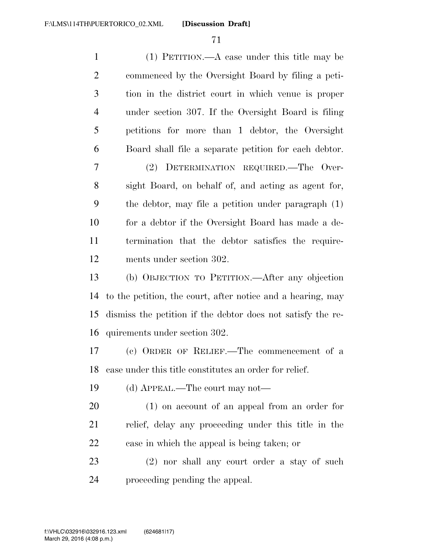| $\mathbf{1}$   | $(1)$ PETITION.—A case under this title may be              |
|----------------|-------------------------------------------------------------|
| $\overline{2}$ | commenced by the Oversight Board by filing a peti-          |
| 3              | tion in the district court in which venue is proper         |
| $\overline{4}$ | under section 307. If the Oversight Board is filing         |
| 5              | petitions for more than 1 debtor, the Oversight             |
| 6              | Board shall file a separate petition for each debtor.       |
| 7              | (2) DETERMINATION REQUIRED.—The Over-                       |
| 8              | sight Board, on behalf of, and acting as agent for,         |
| 9              | the debtor, may file a petition under paragraph (1)         |
| 10             | for a debtor if the Oversight Board has made a de-          |
| 11             | termination that the debtor satisfies the require-          |
| 12             | ments under section 302.                                    |
| 13             | (b) OBJECTION TO PETITION.—After any objection              |
| 14             | to the petition, the court, after notice and a hearing, may |
| 15             | dismiss the petition if the debtor does not satisfy the re- |
| 16             | quirements under section 302.                               |
| 17             | (c) ORDER OF RELIEF.—The commencement of a                  |
| 18             | case under this title constitutes an order for relief.      |
| 19             | (d) APPEAL.—The court may not—                              |
| 20             | $(1)$ on account of an appeal from an order for             |
| 21             | relief, delay any proceeding under this title in the        |
| 22             | case in which the appeal is being taken; or                 |
| 23             | (2) nor shall any court order a stay of such                |
| 24             | proceeding pending the appeal.                              |
|                |                                                             |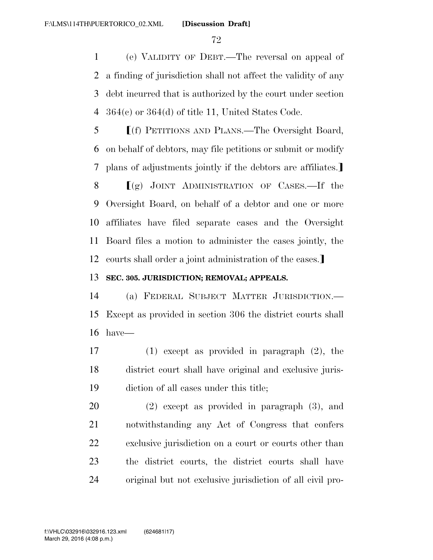(e) VALIDITY OF DEBT.—The reversal on appeal of a finding of jurisdiction shall not affect the validity of any debt incurred that is authorized by the court under section 364(c) or 364(d) of title 11, United States Code.

**f**(f) PETITIONS AND PLANS.—The Oversight Board, on behalf of debtors, may file petitions or submit or modify 7 plans of adjustments jointly if the debtors are affiliates.

 $(g)$  JOINT ADMINISTRATION OF CASES.—If the Oversight Board, on behalf of a debtor and one or more affiliates have filed separate cases and the Oversight Board files a motion to administer the cases jointly, the 12 courts shall order a joint administration of the cases.

### **SEC. 305. JURISDICTION; REMOVAL; APPEALS.**

 (a) FEDERAL SUBJECT MATTER JURISDICTION.— Except as provided in section 306 the district courts shall have—

 (1) except as provided in paragraph (2), the district court shall have original and exclusive juris-diction of all cases under this title;

 (2) except as provided in paragraph (3), and notwithstanding any Act of Congress that confers exclusive jurisdiction on a court or courts other than the district courts, the district courts shall have original but not exclusive jurisdiction of all civil pro-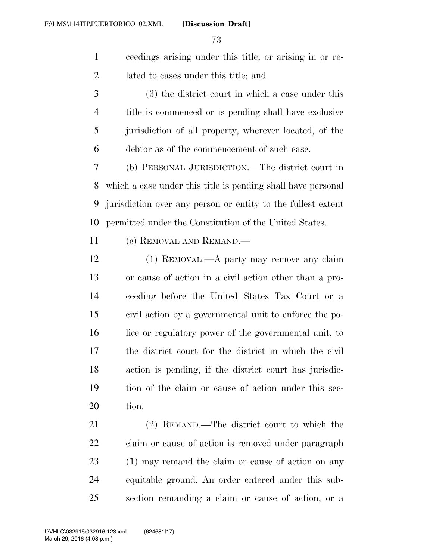ceedings arising under this title, or arising in or re-lated to cases under this title; and

 (3) the district court in which a case under this title is commenced or is pending shall have exclusive jurisdiction of all property, wherever located, of the debtor as of the commencement of such case.

 (b) PERSONAL JURISDICTION.—The district court in which a case under this title is pending shall have personal jurisdiction over any person or entity to the fullest extent permitted under the Constitution of the United States.

(c) REMOVAL AND REMAND.—

 (1) REMOVAL.—A party may remove any claim or cause of action in a civil action other than a pro- ceeding before the United States Tax Court or a civil action by a governmental unit to enforce the po- lice or regulatory power of the governmental unit, to the district court for the district in which the civil action is pending, if the district court has jurisdic- tion of the claim or cause of action under this sec-tion.

 (2) REMAND.—The district court to which the claim or cause of action is removed under paragraph (1) may remand the claim or cause of action on any equitable ground. An order entered under this sub-section remanding a claim or cause of action, or a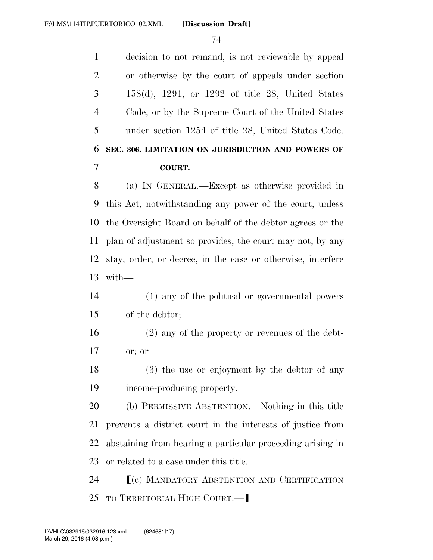decision to not remand, is not reviewable by appeal or otherwise by the court of appeals under section 158(d), 1291, or 1292 of title 28, United States Code, or by the Supreme Court of the United States under section 1254 of title 28, United States Code. **SEC. 306. LIMITATION ON JURISDICTION AND POWERS OF COURT.**  (a) IN GENERAL.—Except as otherwise provided in this Act, notwithstanding any power of the court, unless the Oversight Board on behalf of the debtor agrees or the plan of adjustment so provides, the court may not, by any

 stay, order, or decree, in the case or otherwise, interfere with—

### (1) any of the political or governmental powers of the debtor;

 (2) any of the property or revenues of the debt-or; or

 (3) the use or enjoyment by the debtor of any income-producing property.

 (b) PERMISSIVE ABSTENTION.—Nothing in this title prevents a district court in the interests of justice from abstaining from hearing a particular proceeding arising in or related to a case under this title.

**F**(c) MANDATORY ABSTENTION AND CERTIFICATION 25 TO TERRITORIAL HIGH COURT.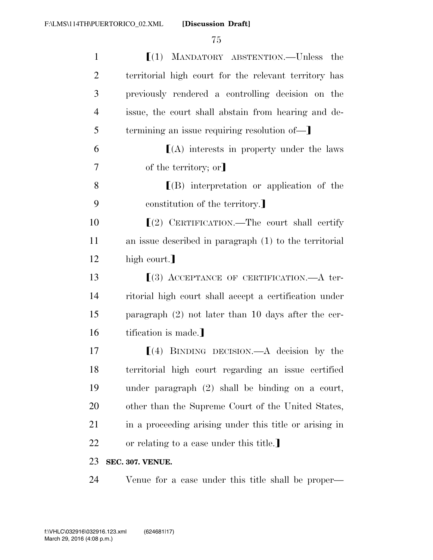| $\mathbf{1}$   | $[(1)$ MANDATORY ABSTENTION.—Unless the                  |
|----------------|----------------------------------------------------------|
| $\overline{2}$ | territorial high court for the relevant territory has    |
| 3              | previously rendered a controlling decision on the        |
| 4              | issue, the court shall abstain from hearing and de-      |
| 5              | termining an issue requiring resolution of—              |
| 6              | $[(A)$ interests in property under the laws              |
| 7              | of the territory; or                                     |
| 8              | $\Gamma(B)$ interpretation or application of the         |
| 9              | constitution of the territory.                           |
| 10             | $(2)$ CERTIFICATION.—The court shall certify             |
| 11             | an issue described in paragraph $(1)$ to the territorial |
| 12             | high court.]                                             |
| 13             | $(3)$ ACCEPTANCE OF CERTIFICATION.—A ter-                |
| 14             | ritorial high court shall accept a certification under   |
| 15             | paragraph $(2)$ not later than 10 days after the cer-    |
| 16             | tification is made.]                                     |
| 17             | $(4)$ BINDING DECISION.—A decision by the                |
| 18             | territorial high court regarding an issue certified      |
| 19             | under paragraph $(2)$ shall be binding on a court,       |
| 20             | other than the Supreme Court of the United States,       |
| 21             | in a proceeding arising under this title or arising in   |
| 22             | or relating to a case under this title.                  |
| 23             | SEC. 307. VENUE.                                         |
| 24             | Venue for a case under this title shall be proper—       |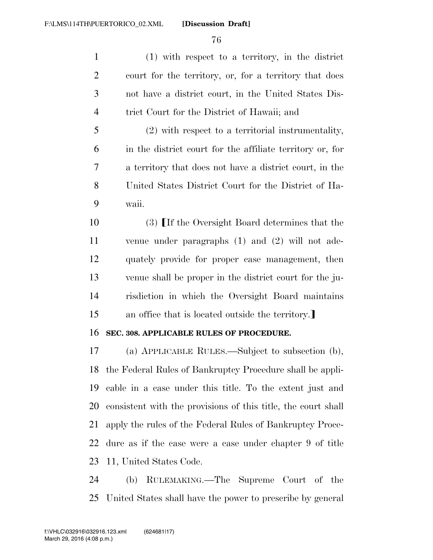(1) with respect to a territory, in the district court for the territory, or, for a territory that does not have a district court, in the United States Dis-trict Court for the District of Hawaii; and

 (2) with respect to a territorial instrumentality, in the district court for the affiliate territory or, for a territory that does not have a district court, in the United States District Court for the District of Ha-waii.

10 (3) If the Oversight Board determines that the venue under paragraphs (1) and (2) will not ade- quately provide for proper case management, then venue shall be proper in the district court for the ju- risdiction in which the Oversight Board maintains 15 an office that is located outside the territory.

#### **SEC. 308. APPLICABLE RULES OF PROCEDURE.**

 (a) APPLICABLE RULES.—Subject to subsection (b), the Federal Rules of Bankruptcy Procedure shall be appli- cable in a case under this title. To the extent just and consistent with the provisions of this title, the court shall apply the rules of the Federal Rules of Bankruptcy Proce- dure as if the case were a case under chapter 9 of title 11, United States Code.

 (b) RULEMAKING.—The Supreme Court of the United States shall have the power to prescribe by general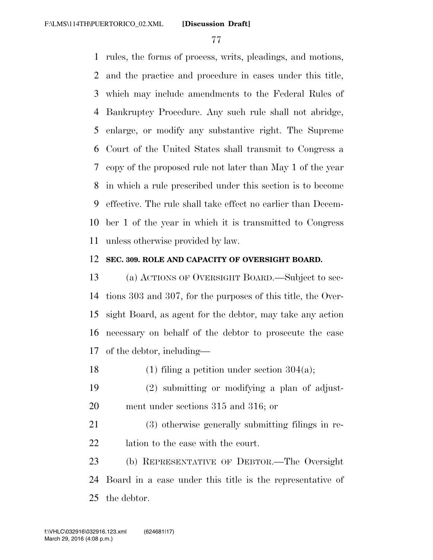rules, the forms of process, writs, pleadings, and motions, and the practice and procedure in cases under this title, which may include amendments to the Federal Rules of Bankruptcy Procedure. Any such rule shall not abridge, enlarge, or modify any substantive right. The Supreme Court of the United States shall transmit to Congress a copy of the proposed rule not later than May 1 of the year in which a rule prescribed under this section is to become effective. The rule shall take effect no earlier than Decem- ber 1 of the year in which it is transmitted to Congress unless otherwise provided by law.

#### **SEC. 309. ROLE AND CAPACITY OF OVERSIGHT BOARD.**

 (a) ACTIONS OF OVERSIGHT BOARD.—Subject to sec- tions 303 and 307, for the purposes of this title, the Over- sight Board, as agent for the debtor, may take any action necessary on behalf of the debtor to prosecute the case of the debtor, including—

18 (1) filing a petition under section  $304(a)$ ;

 (2) submitting or modifying a plan of adjust-ment under sections 315 and 316; or

 (3) otherwise generally submitting filings in re-lation to the case with the court.

 (b) REPRESENTATIVE OF DEBTOR.—The Oversight Board in a case under this title is the representative of the debtor.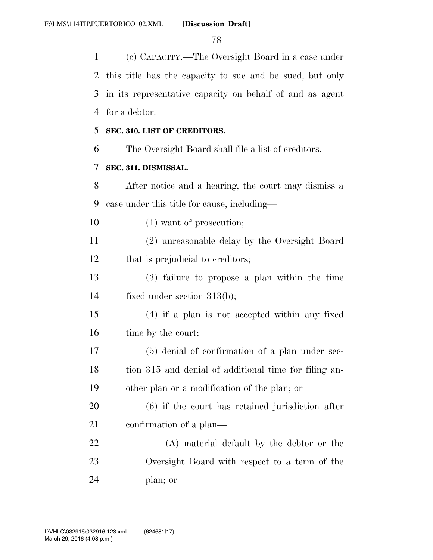(c) CAPACITY.—The Oversight Board in a case under this title has the capacity to sue and be sued, but only in its representative capacity on behalf of and as agent for a debtor.

### **SEC. 310. LIST OF CREDITORS.**

The Oversight Board shall file a list of creditors.

### **SEC. 311. DISMISSAL.**

 After notice and a hearing, the court may dismiss a case under this title for cause, including—

10 (1) want of prosecution;

 (2) unreasonable delay by the Oversight Board 12 that is prejudicial to creditors;

 (3) failure to propose a plan within the time fixed under section 313(b);

 (4) if a plan is not accepted within any fixed 16 time by the court;

 (5) denial of confirmation of a plan under sec- tion 315 and denial of additional time for filing an-other plan or a modification of the plan; or

 (6) if the court has retained jurisdiction after confirmation of a plan—

 (A) material default by the debtor or the Oversight Board with respect to a term of the plan; or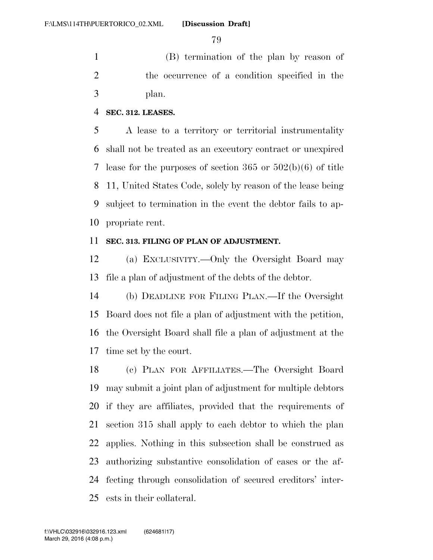(B) termination of the plan by reason of the occurrence of a condition specified in the plan.

#### **SEC. 312. LEASES.**

 A lease to a territory or territorial instrumentality shall not be treated as an executory contract or unexpired lease for the purposes of section 365 or 502(b)(6) of title 11, United States Code, solely by reason of the lease being subject to termination in the event the debtor fails to ap-propriate rent.

### **SEC. 313. FILING OF PLAN OF ADJUSTMENT.**

 (a) EXCLUSIVITY.—Only the Oversight Board may file a plan of adjustment of the debts of the debtor.

 (b) DEADLINE FOR FILING PLAN.—If the Oversight Board does not file a plan of adjustment with the petition, the Oversight Board shall file a plan of adjustment at the time set by the court.

 (c) PLAN FOR AFFILIATES.—The Oversight Board may submit a joint plan of adjustment for multiple debtors if they are affiliates, provided that the requirements of section 315 shall apply to each debtor to which the plan applies. Nothing in this subsection shall be construed as authorizing substantive consolidation of cases or the af- fecting through consolidation of secured creditors' inter-ests in their collateral.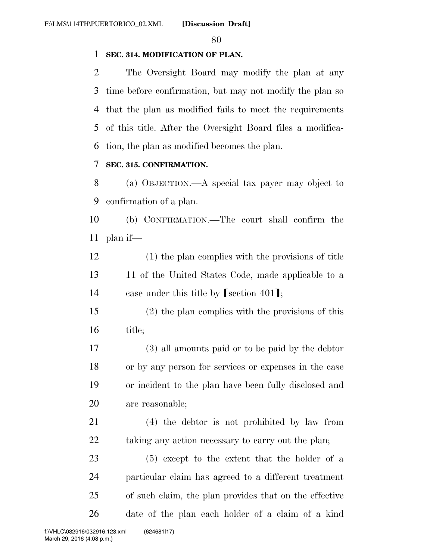### **SEC. 314. MODIFICATION OF PLAN.**

 The Oversight Board may modify the plan at any time before confirmation, but may not modify the plan so that the plan as modified fails to meet the requirements of this title. After the Oversight Board files a modifica-tion, the plan as modified becomes the plan.

### **SEC. 315. CONFIRMATION.**

 (a) OBJECTION.—A special tax payer may object to confirmation of a plan.

 (b) CONFIRMATION.—The court shall confirm the plan if—

 (1) the plan complies with the provisions of title 11 of the United States Code, made applicable to a 14 case under this title by  $\lceil \text{section } 401 \rceil$ ;

 (2) the plan complies with the provisions of this title;

 (3) all amounts paid or to be paid by the debtor or by any person for services or expenses in the case or incident to the plan have been fully disclosed and are reasonable;

 (4) the debtor is not prohibited by law from 22 taking any action necessary to carry out the plan;

 (5) except to the extent that the holder of a particular claim has agreed to a different treatment of such claim, the plan provides that on the effective date of the plan each holder of a claim of a kind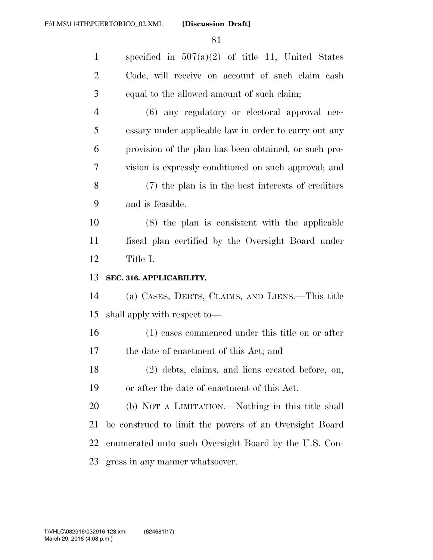| $\mathbf{1}$   | specified in $507(a)(2)$ of title 11, United States    |
|----------------|--------------------------------------------------------|
| $\overline{2}$ | Code, will receive on account of such claim cash       |
| 3              | equal to the allowed amount of such claim;             |
| $\overline{4}$ | (6) any regulatory or electoral approval nec-          |
| 5              | essary under applicable law in order to carry out any  |
| 6              | provision of the plan has been obtained, or such pro-  |
| 7              | vision is expressly conditioned on such approval; and  |
| 8              | (7) the plan is in the best interests of creditors     |
| 9              | and is feasible.                                       |
| 10             | $(8)$ the plan is consistent with the applicable       |
| 11             | fiscal plan certified by the Oversight Board under     |
| 12             | Title I.                                               |
| 13             | SEC. 316. APPLICABILITY.                               |
| 14             | (a) CASES, DEBTS, CLAIMS, AND LIENS.—This title        |
|                |                                                        |
| 15             | shall apply with respect to—                           |
| 16             | (1) cases commenced under this title on or after       |
| 17             | the date of enactment of this Act; and                 |
| 18             | (2) debts, claims, and liens created before, on,       |
| 19             | or after the date of enactment of this Act.            |
| 20             | (b) NOT A LIMITATION.—Nothing in this title shall      |
| 21             | be construed to limit the powers of an Oversight Board |
| 22             | enumerated unto such Oversight Board by the U.S. Con-  |
| 23             | gress in any manner whatsoever.                        |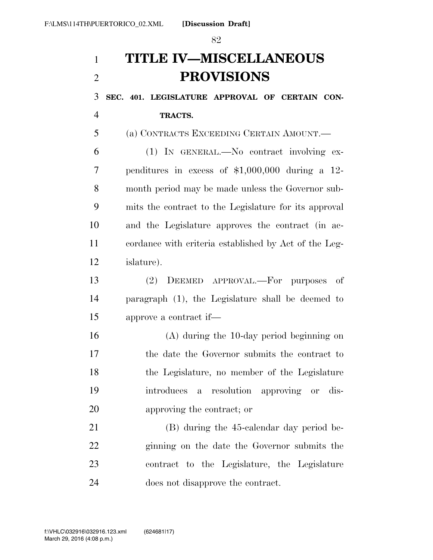# **TITLE IV—MISCELLANEOUS PROVISIONS**

 **SEC. 401. LEGISLATURE APPROVAL OF CERTAIN CON- TRACTS.**  (a) CONTRACTS EXCEEDING CERTAIN AMOUNT.— (1) IN GENERAL.—No contract involving ex- penditures in excess of \$1,000,000 during a 12- month period may be made unless the Governor sub- mits the contract to the Legislature for its approval and the Legislature approves the contract (in ac- cordance with criteria established by Act of the Leg- islature). (2) DEEMED APPROVAL.—For purposes of paragraph (1), the Legislature shall be deemed to

approve a contract if—

 (A) during the 10-day period beginning on the date the Governor submits the contract to the Legislature, no member of the Legislature introduces a resolution approving or dis-approving the contract; or

 (B) during the 45-calendar day period be- ginning on the date the Governor submits the contract to the Legislature, the Legislature does not disapprove the contract.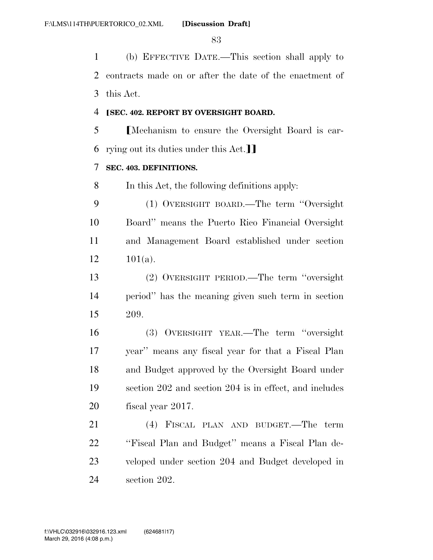(b) EFFECTIVE DATE.—This section shall apply to contracts made on or after the date of the enactment of this Act.

### ø**SEC. 402. REPORT BY OVERSIGHT BOARD.**

5 Mechanism to ensure the Oversight Board is car-6 rying out its duties under this  $Act.$ 

### **SEC. 403. DEFINITIONS.**

In this Act, the following definitions apply:

 (1) OVERSIGHT BOARD.—The term ''Oversight Board'' means the Puerto Rico Financial Oversight and Management Board established under section 12  $101(a)$ .

 (2) OVERSIGHT PERIOD.—The term ''oversight period'' has the meaning given such term in section 209.

 (3) OVERSIGHT YEAR.—The term ''oversight year'' means any fiscal year for that a Fiscal Plan and Budget approved by the Oversight Board under section 202 and section 204 is in effect, and includes fiscal year 2017.

 (4) FISCAL PLAN AND BUDGET.—The term ''Fiscal Plan and Budget'' means a Fiscal Plan de- veloped under section 204 and Budget developed in section 202.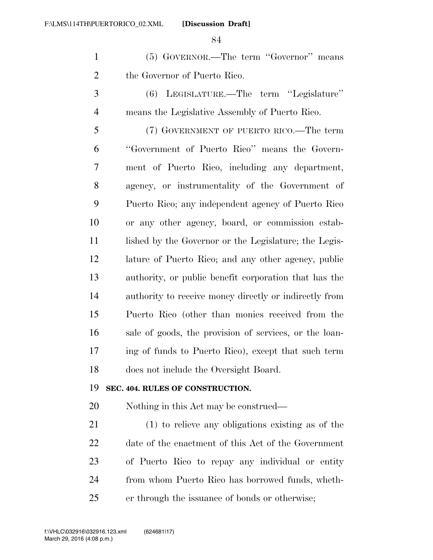(5) GOVERNOR.—The term ''Governor'' means the Governor of Puerto Rico.

 (6) LEGISLATURE.—The term ''Legislature'' means the Legislative Assembly of Puerto Rico.

 (7) GOVERNMENT OF PUERTO RICO.—The term ''Government of Puerto Rico'' means the Govern- ment of Puerto Rico, including any department, agency, or instrumentality of the Government of Puerto Rico; any independent agency of Puerto Rico or any other agency, board, or commission estab-11 lished by the Governor or the Legislature; the Legis- lature of Puerto Rico; and any other agency, public authority, or public benefit corporation that has the authority to receive money directly or indirectly from Puerto Rico (other than monies received from the sale of goods, the provision of services, or the loan- ing of funds to Puerto Rico), except that such term does not include the Oversight Board.

#### **SEC. 404. RULES OF CONSTRUCTION.**

Nothing in this Act may be construed—

 (1) to relieve any obligations existing as of the date of the enactment of this Act of the Government of Puerto Rico to repay any individual or entity from whom Puerto Rico has borrowed funds, wheth-er through the issuance of bonds or otherwise;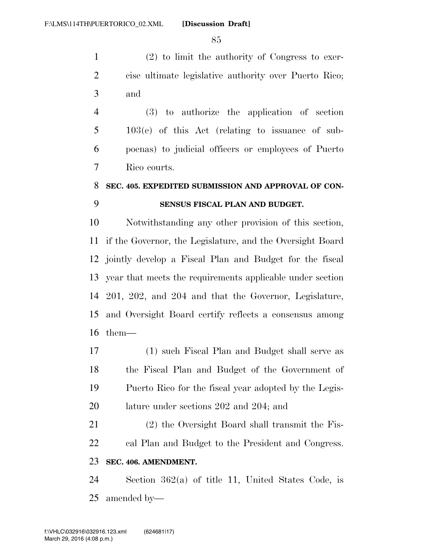(2) to limit the authority of Congress to exer- cise ultimate legislative authority over Puerto Rico; and

 (3) to authorize the application of section 103(e) of this Act (relating to issuance of sub- poenas) to judicial officers or employees of Puerto Rico courts.

### **SEC. 405. EXPEDITED SUBMISSION AND APPROVAL OF CON-SENSUS FISCAL PLAN AND BUDGET.**

 Notwithstanding any other provision of this section, if the Governor, the Legislature, and the Oversight Board jointly develop a Fiscal Plan and Budget for the fiscal year that meets the requirements applicable under section 201, 202, and 204 and that the Governor, Legislature, and Oversight Board certify reflects a consensus among them—

 (1) such Fiscal Plan and Budget shall serve as the Fiscal Plan and Budget of the Government of Puerto Rico for the fiscal year adopted by the Legis-lature under sections 202 and 204; and

 (2) the Oversight Board shall transmit the Fis- cal Plan and Budget to the President and Congress. **SEC. 406. AMENDMENT.** 

 Section 362(a) of title 11, United States Code, is amended by—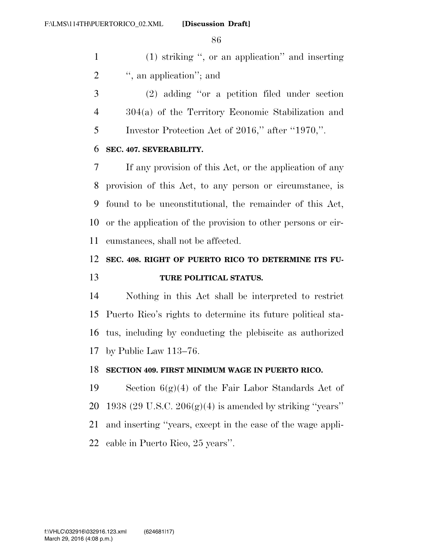(1) striking '', or an application'' and inserting 2 ", an application"; and

 (2) adding ''or a petition filed under section 304(a) of the Territory Economic Stabilization and Investor Protection Act of 2016,'' after ''1970,''.

### **SEC. 407. SEVERABILITY.**

 If any provision of this Act, or the application of any provision of this Act, to any person or circumstance, is found to be unconstitutional, the remainder of this Act, or the application of the provision to other persons or cir-cumstances, shall not be affected.

### **SEC. 408. RIGHT OF PUERTO RICO TO DETERMINE ITS FU-TURE POLITICAL STATUS.**

 Nothing in this Act shall be interpreted to restrict Puerto Rico's rights to determine its future political sta- tus, including by conducting the plebiscite as authorized by Public Law 113–76.

### **SECTION 409. FIRST MINIMUM WAGE IN PUERTO RICO.**

19 Section  $6(g)(4)$  of the Fair Labor Standards Act of 20 1938 (29 U.S.C.  $206(g)(4)$  is amended by striking "years" and inserting ''years, except in the case of the wage appli-cable in Puerto Rico, 25 years''.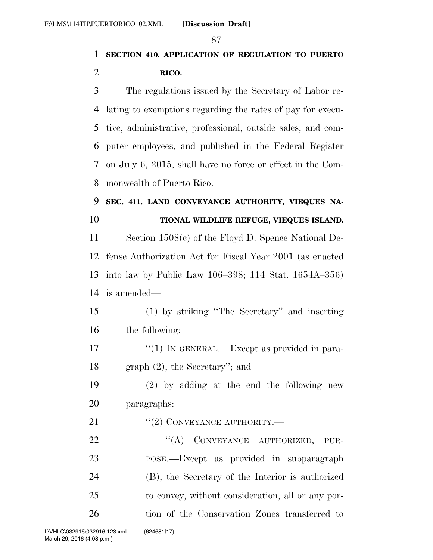### **SECTION 410. APPLICATION OF REGULATION TO PUERTO RICO.**

 The regulations issued by the Secretary of Labor re- lating to exemptions regarding the rates of pay for execu- tive, administrative, professional, outside sales, and com- puter employees, and published in the Federal Register on July 6, 2015, shall have no force or effect in the Com-monwealth of Puerto Rico.

## **SEC. 411. LAND CONVEYANCE AUTHORITY, VIEQUES NA-**

**TIONAL WILDLIFE REFUGE, VIEQUES ISLAND.** 

 Section 1508(c) of the Floyd D. Spence National De- fense Authorization Act for Fiscal Year 2001 (as enacted into law by Public Law 106–398; 114 Stat. 1654A–356) is amended—

- (1) by striking ''The Secretary'' and inserting the following:
- 17 "(1) IN GENERAL.—Except as provided in para-graph (2), the Secretary''; and

 (2) by adding at the end the following new paragraphs:

21  $\text{``(2)}$  CONVEYANCE AUTHORITY.—

22 "(A) CONVEYANCE AUTHORIZED, PUR- POSE.—Except as provided in subparagraph (B), the Secretary of the Interior is authorized to convey, without consideration, all or any por-tion of the Conservation Zones transferred to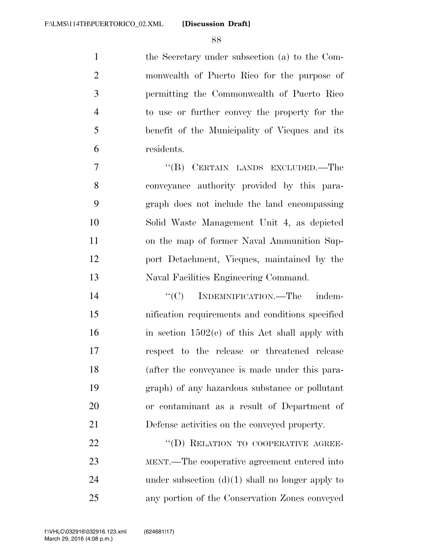the Secretary under subsection (a) to the Com- monwealth of Puerto Rico for the purpose of permitting the Commonwealth of Puerto Rico to use or further convey the property for the benefit of the Municipality of Vieques and its residents.

7 "(B) CERTAIN LANDS EXCLUDED.—The conveyance authority provided by this para- graph does not include the land encompassing Solid Waste Management Unit 4, as depicted on the map of former Naval Ammunition Sup- port Detachment, Vieques, maintained by the Naval Facilities Engineering Command.

 $C(C)$  INDEMNIFICATION.—The indem- nification requirements and conditions specified in section  $1502(e)$  of this Act shall apply with respect to the release or threatened release (after the conveyance is made under this para- graph) of any hazardous substance or pollutant or contaminant as a result of Department of Defense activities on the conveyed property.

22 "(D) RELATION TO COOPERATIVE AGREE- MENT.—The cooperative agreement entered into 24 under subsection  $(d)(1)$  shall no longer apply to any portion of the Conservation Zones conveyed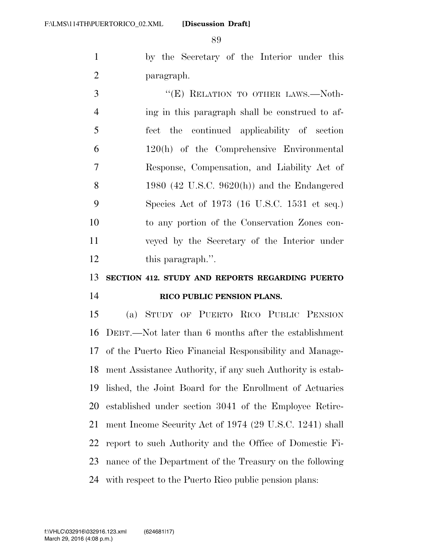by the Secretary of the Interior under this paragraph.

3 "
"
(E) RELATION TO OTHER LAWS.—Noth- ing in this paragraph shall be construed to af- fect the continued applicability of section 120(h) of the Comprehensive Environmental Response, Compensation, and Liability Act of 1980 (42 U.S.C. 9620(h)) and the Endangered Species Act of 1973 (16 U.S.C. 1531 et seq.) to any portion of the Conservation Zones con- veyed by the Secretary of the Interior under 12 this paragraph.".

### **SECTION 412. STUDY AND REPORTS REGARDING PUERTO RICO PUBLIC PENSION PLANS.**

 (a) STUDY OF PUERTO RICO PUBLIC PENSION DEBT.—Not later than 6 months after the establishment of the Puerto Rico Financial Responsibility and Manage- ment Assistance Authority, if any such Authority is estab- lished, the Joint Board for the Enrollment of Actuaries established under section 3041 of the Employee Retire- ment Income Security Act of 1974 (29 U.S.C. 1241) shall report to such Authority and the Office of Domestic Fi- nance of the Department of the Treasury on the following with respect to the Puerto Rico public pension plans: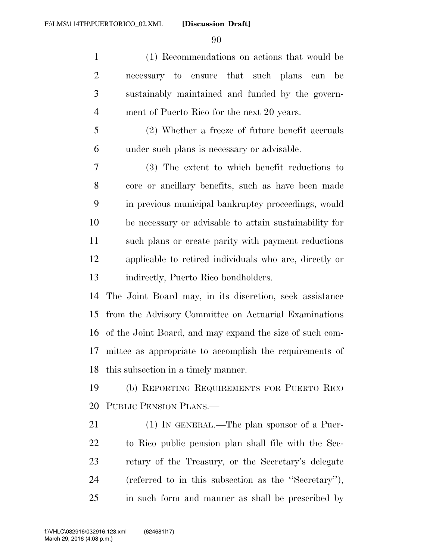(1) Recommendations on actions that would be necessary to ensure that such plans can be sustainably maintained and funded by the govern-ment of Puerto Rico for the next 20 years.

 (2) Whether a freeze of future benefit accruals under such plans is necessary or advisable.

 (3) The extent to which benefit reductions to core or ancillary benefits, such as have been made in previous municipal bankruptcy proceedings, would be necessary or advisable to attain sustainability for such plans or create parity with payment reductions applicable to retired individuals who are, directly or indirectly, Puerto Rico bondholders.

 The Joint Board may, in its discretion, seek assistance from the Advisory Committee on Actuarial Examinations of the Joint Board, and may expand the size of such com- mittee as appropriate to accomplish the requirements of this subsection in a timely manner.

 (b) REPORTING REQUIREMENTS FOR PUERTO RICO PUBLIC PENSION PLANS.—

21 (1) IN GENERAL.—The plan sponsor of a Puer- to Rico public pension plan shall file with the Sec- retary of the Treasury, or the Secretary's delegate (referred to in this subsection as the ''Secretary''), in such form and manner as shall be prescribed by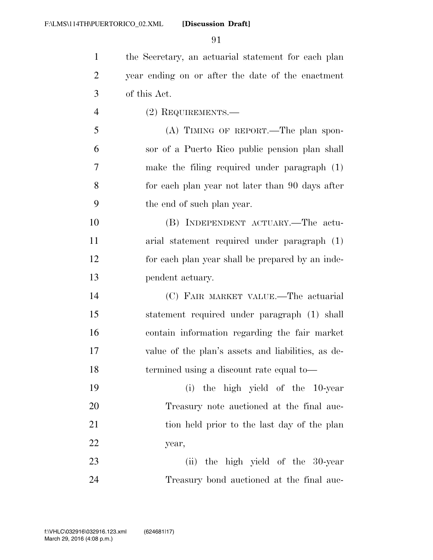the Secretary, an actuarial statement for each plan year ending on or after the date of the enactment of this Act. (2) REQUIREMENTS.— (A) TIMING OF REPORT.—The plan spon- sor of a Puerto Rico public pension plan shall make the filing required under paragraph (1) for each plan year not later than 90 days after the end of such plan year. (B) INDEPENDENT ACTUARY.—The actu- arial statement required under paragraph (1) for each plan year shall be prepared by an inde- pendent actuary. (C) FAIR MARKET VALUE.—The actuarial statement required under paragraph (1) shall contain information regarding the fair market value of the plan's assets and liabilities, as de- termined using a discount rate equal to— (i) the high yield of the 10-year

 Treasury note auctioned at the final auc-21 tion held prior to the last day of the plan year,

23 (ii) the high yield of the 30-year Treasury bond auctioned at the final auc-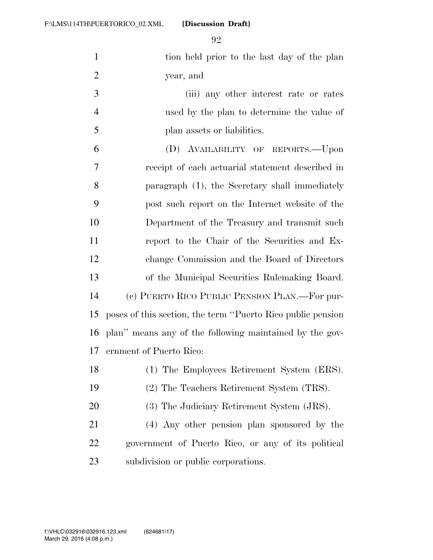| $\mathbf{1}$   | tion held prior to the last day of the plan                  |
|----------------|--------------------------------------------------------------|
| $\overline{2}$ | year, and                                                    |
| 3              | (iii) any other interest rate or rates                       |
| $\overline{4}$ | used by the plan to determine the value of                   |
| 5              | plan assets or liabilities.                                  |
| 6              | (D) AVAILABILITY OF REPORTS.-Upon                            |
| 7              | receipt of each actuarial statement described in             |
| 8              | paragraph (1), the Secretary shall immediately               |
| 9              | post such report on the Internet website of the              |
| 10             | Department of the Treasury and transmit such                 |
| 11             | report to the Chair of the Securities and Ex-                |
| 12             | change Commission and the Board of Directors                 |
| 13             | of the Municipal Securities Rulemaking Board.                |
| 14             | (c) PUERTO RICO PUBLIC PENSION PLAN.—For pur-                |
| 15             | poses of this section, the term "Puerto Rico public pension" |
| 16             | plan" means any of the following maintained by the gov-      |
| 17             | ernment of Puerto Rico:                                      |
| 18             | (1) The Employees Retirement System (ERS).                   |
| 19             | (2) The Teachers Retirement System (TRS).                    |
| 20             | (3) The Judiciary Retirement System (JRS).                   |
| 21             | (4) Any other pension plan sponsored by the                  |
| 22             | government of Puerto Rico, or any of its political           |
| 23             | subdivision or public corporations.                          |
|                |                                                              |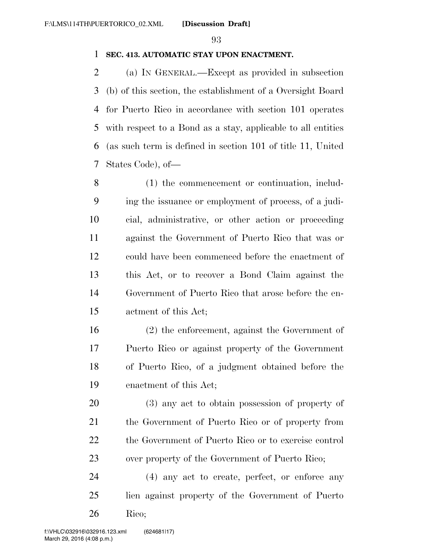### **SEC. 413. AUTOMATIC STAY UPON ENACTMENT.**

 (a) IN GENERAL.—Except as provided in subsection (b) of this section, the establishment of a Oversight Board for Puerto Rico in accordance with section 101 operates with respect to a Bond as a stay, applicable to all entities (as such term is defined in section 101 of title 11, United States Code), of—

 (1) the commencement or continuation, includ- ing the issuance or employment of process, of a judi- cial, administrative, or other action or proceeding against the Government of Puerto Rico that was or could have been commenced before the enactment of this Act, or to recover a Bond Claim against the Government of Puerto Rico that arose before the en-actment of this Act;

 (2) the enforcement, against the Government of Puerto Rico or against property of the Government of Puerto Rico, of a judgment obtained before the enactment of this Act;

 (3) any act to obtain possession of property of the Government of Puerto Rico or of property from the Government of Puerto Rico or to exercise control over property of the Government of Puerto Rico;

 (4) any act to create, perfect, or enforce any lien against property of the Government of Puerto Rico;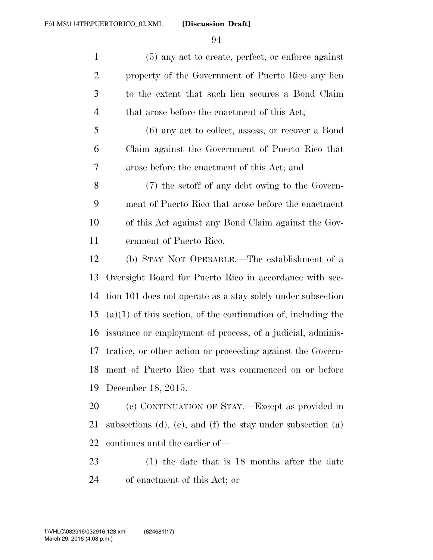(5) any act to create, perfect, or enforce against property of the Government of Puerto Rico any lien to the extent that such lien secures a Bond Claim 4 that arose before the enactment of this Act;

 (6) any act to collect, assess, or recover a Bond Claim against the Government of Puerto Rico that arose before the enactment of this Act; and

 (7) the setoff of any debt owing to the Govern- ment of Puerto Rico that arose before the enactment of this Act against any Bond Claim against the Gov-ernment of Puerto Rico.

 (b) STAY NOT OPERABLE.—The establishment of a Oversight Board for Puerto Rico in accordance with sec- tion 101 does not operate as a stay solely under subsection (a)(1) of this section, of the continuation of, including the issuance or employment of process, of a judicial, adminis- trative, or other action or proceeding against the Govern- ment of Puerto Rico that was commenced on or before December 18, 2015.

 (c) CONTINUATION OF STAY.—Except as provided in subsections (d), (e), and (f) the stay under subsection (a) continues until the earlier of—

 (1) the date that is 18 months after the date of enactment of this Act; or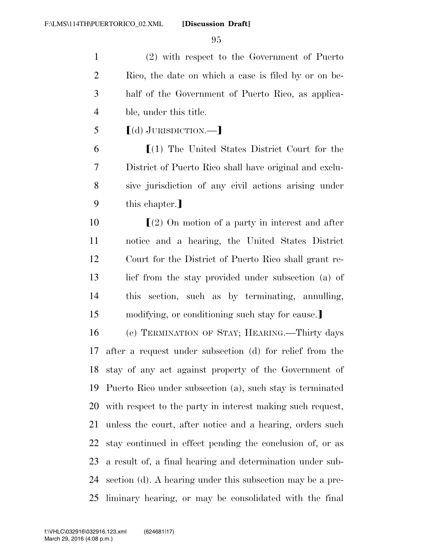(2) with respect to the Government of Puerto Rico, the date on which a case is filed by or on be- half of the Government of Puerto Rico, as applica-ble, under this title.

 $\left[$ (d) JURISDICTION.—

 $\mathfrak{g}(1)$  The United States District Court for the District of Puerto Rico shall have original and exclu- sive jurisdiction of any civil actions arising under 9 this chapter.

 $\left[ (2)$  On motion of a party in interest and after notice and a hearing, the United States District Court for the District of Puerto Rico shall grant re-13 lief from the stay provided under subsection (a) of this section, such as by terminating, annulling,

15 modifying, or conditioning such stay for cause.

 (e) TERMINATION OF STAY; HEARING.—Thirty days after a request under subsection (d) for relief from the stay of any act against property of the Government of Puerto Rico under subsection (a), such stay is terminated with respect to the party in interest making such request, unless the court, after notice and a hearing, orders such stay continued in effect pending the conclusion of, or as a result of, a final hearing and determination under sub- section (d). A hearing under this subsection may be a pre-liminary hearing, or may be consolidated with the final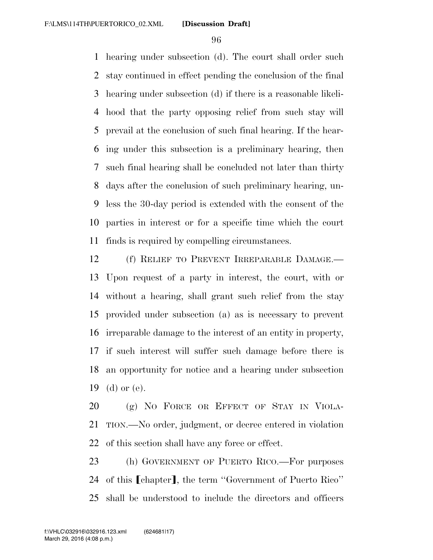hearing under subsection (d). The court shall order such stay continued in effect pending the conclusion of the final hearing under subsection (d) if there is a reasonable likeli- hood that the party opposing relief from such stay will prevail at the conclusion of such final hearing. If the hear- ing under this subsection is a preliminary hearing, then such final hearing shall be concluded not later than thirty days after the conclusion of such preliminary hearing, un- less the 30-day period is extended with the consent of the parties in interest or for a specific time which the court finds is required by compelling circumstances.

 (f) RELIEF TO PREVENT IRREPARABLE DAMAGE.— Upon request of a party in interest, the court, with or without a hearing, shall grant such relief from the stay provided under subsection (a) as is necessary to prevent irreparable damage to the interest of an entity in property, if such interest will suffer such damage before there is an opportunity for notice and a hearing under subsection (d) or (e).

 (g) NO FORCE OR EFFECT OF STAY IN VIOLA- TION.—No order, judgment, or decree entered in violation of this section shall have any force or effect.

 (h) GOVERNMENT OF PUERTO RICO.—For purposes 24 of this [chapter], the term "Government of Puerto Rico" shall be understood to include the directors and officers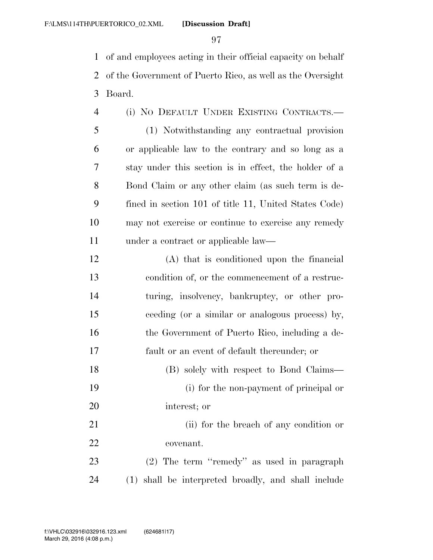of and employees acting in their official capacity on behalf of the Government of Puerto Rico, as well as the Oversight Board.

| $\overline{4}$ | (i) NO DEFAULT UNDER EXISTING CONTRACTS.-             |
|----------------|-------------------------------------------------------|
| 5              | (1) Notwithstanding any contractual provision         |
| 6              | or applicable law to the contrary and so long as a    |
| 7              | stay under this section is in effect, the holder of a |
| 8              | Bond Claim or any other claim (as such term is de-    |
| 9              | fined in section 101 of title 11, United States Code) |
| 10             | may not exercise or continue to exercise any remedy   |
| 11             | under a contract or applicable law—                   |

| 12          | (A) that is conditioned upon the financial      |
|-------------|-------------------------------------------------|
| 13          | condition of, or the commencement of a restruc- |
| 14          | turing, insolvency, bankruptcy, or other pro-   |
| 15          | ceeding (or a similar or analogous process) by, |
| 16          | the Government of Puerto Rico, including a de-  |
| 17          | fault or an event of default thereunder; or     |
| 18          | (B) solely with respect to Bond Claims—         |
| 19          | (i) for the non-payment of principal or         |
| 20          | interest; or                                    |
| $^{\sim}$ 1 |                                                 |

21 (ii) for the breach of any condition or covenant.

 (2) The term ''remedy'' as used in paragraph (1) shall be interpreted broadly, and shall include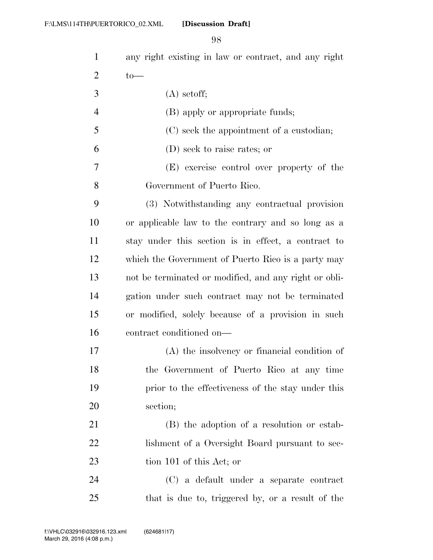| 1              | any right existing in law or contract, and any right  |
|----------------|-------------------------------------------------------|
| $\overline{2}$ | $to-$                                                 |
| 3              | $(A)$ setoff;                                         |
| $\overline{4}$ | (B) apply or appropriate funds;                       |
| 5              | (C) seek the appointment of a custodian;              |
| 6              | (D) seek to raise rates; or                           |
| 7              | (E) exercise control over property of the             |
| 8              | Government of Puerto Rico.                            |
| 9              | (3) Notwithstanding any contractual provision         |
| 10             | or applicable law to the contrary and so long as a    |
| 11             | stay under this section is in effect, a contract to   |
| 12             | which the Government of Puerto Rico is a party may    |
| 13             | not be terminated or modified, and any right or obli- |
| 14             | gation under such contract may not be terminated      |
| 15             | or modified, solely because of a provision in such    |
| 16             | contract conditioned on-                              |
| 17             | $(A)$ the insolvency or financial condition of        |
| 18             | the Government of Puerto Rico at any time             |
| 19             | prior to the effectiveness of the stay under this     |
| 20             | section;                                              |
| 21             | (B) the adoption of a resolution or estab-            |
| 22             | lishment of a Oversight Board pursuant to sec-        |
| 23             | tion 101 of this Act; or                              |
| 24             | (C) a default under a separate contract               |
| 25             | that is due to, triggered by, or a result of the      |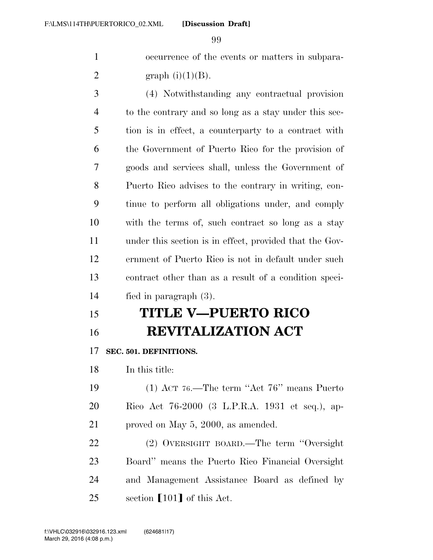occurrence of the events or matters in subpara-2 graph  $(i)(1)(B)$ .

 (4) Notwithstanding any contractual provision to the contrary and so long as a stay under this sec- tion is in effect, a counterparty to a contract with the Government of Puerto Rico for the provision of goods and services shall, unless the Government of Puerto Rico advises to the contrary in writing, con- tinue to perform all obligations under, and comply with the terms of, such contract so long as a stay under this section is in effect, provided that the Gov- ernment of Puerto Rico is not in default under such contract other than as a result of a condition speci-fied in paragraph (3).

## **TITLE V—PUERTO RICO REVITALIZATION ACT**

**SEC. 501. DEFINITIONS.** 

In this title:

 (1) ACT 76.—The term ''Act 76'' means Puerto Rico Act 76-2000 (3 L.P.R.A. 1931 et seq.), ap-proved on May 5, 2000, as amended.

 (2) OVERSIGHT BOARD.—The term ''Oversight Board'' means the Puerto Rico Financial Oversight and Management Assistance Board as defined by 25 section  $\lceil 101 \rceil$  of this Act.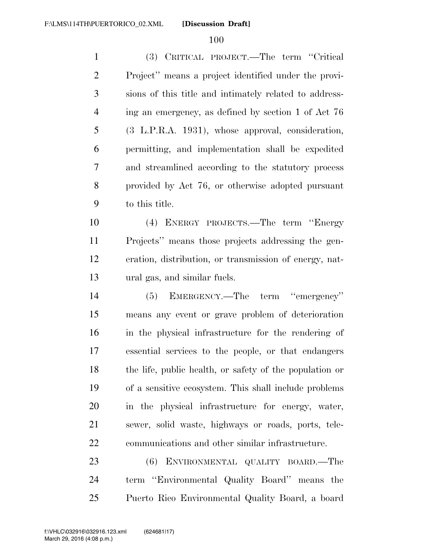(3) CRITICAL PROJECT.—The term ''Critical Project'' means a project identified under the provi- sions of this title and intimately related to address- ing an emergency, as defined by section 1 of Act 76 (3 L.P.R.A. 1931), whose approval, consideration, permitting, and implementation shall be expedited and streamlined according to the statutory process provided by Act 76, or otherwise adopted pursuant to this title.

 (4) ENERGY PROJECTS.—The term ''Energy Projects'' means those projects addressing the gen- eration, distribution, or transmission of energy, nat-ural gas, and similar fuels.

 (5) EMERGENCY.—The term ''emergency'' means any event or grave problem of deterioration in the physical infrastructure for the rendering of essential services to the people, or that endangers the life, public health, or safety of the population or of a sensitive ecosystem. This shall include problems in the physical infrastructure for energy, water, sewer, solid waste, highways or roads, ports, tele-communications and other similar infrastructure.

 (6) ENVIRONMENTAL QUALITY BOARD.—The term ''Environmental Quality Board'' means the Puerto Rico Environmental Quality Board, a board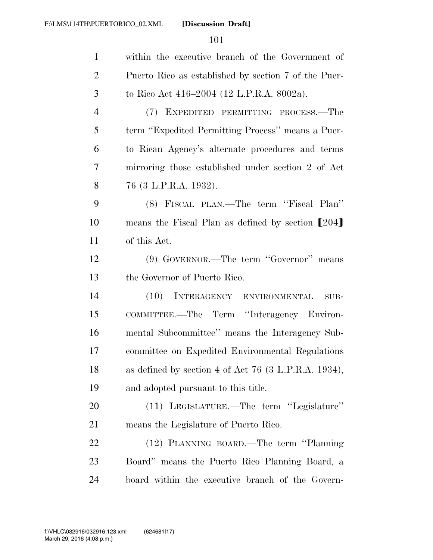| $\mathbf{1}$   | within the executive branch of the Government of     |
|----------------|------------------------------------------------------|
| $\overline{2}$ | Puerto Rico as established by section 7 of the Puer- |
| 3              | to Rico Act 416–2004 (12 L.P.R.A. 8002a).            |
| $\overline{4}$ | (7) EXPEDITED PERMITTING PROCESS.—The                |
| 5              | term "Expedited Permitting Process" means a Puer-    |
| 6              | to Rican Agency's alternate procedures and terms     |
| 7              | mirroring those established under section 2 of Act   |
| 8              | 76 (3 L.P.R.A. 1932).                                |
| 9              | (8) FISCAL PLAN.—The term "Fiscal Plan"              |
| 10             | means the Fiscal Plan as defined by section [204]    |
| 11             | of this Act.                                         |
| 12             | (9) GOVERNOR.—The term "Governor" means              |
| 13             | the Governor of Puerto Rico.                         |
| 14             | (10) INTERAGENCY ENVIRONMENTAL<br>SUB-               |
| 15             | COMMITTEE.—The Term "Interagency Environ-            |
| 16             | mental Subcommittee" means the Interagency Sub-      |
| 17             | committee on Expedited Environmental Regulations     |
| 18             | as defined by section 4 of Act 76 (3 L.P.R.A. 1934), |
| 19             | and adopted pursuant to this title.                  |
| 20             | (11) LEGISLATURE.—The term "Legislature"             |
| 21             | means the Legislature of Puerto Rico.                |
| 22             | (12) PLANNING BOARD.—The term "Planning"             |
| 23             | Board" means the Puerto Rico Planning Board, a       |
| 24             | board within the executive branch of the Govern-     |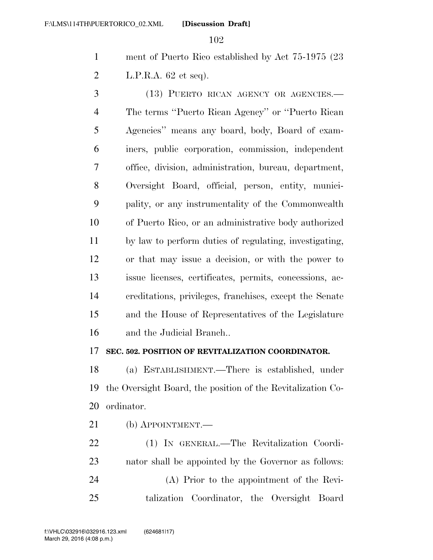ment of Puerto Rico established by Act 75-1975 (23 L.P.R.A. 62 et seq).

 (13) PUERTO RICAN AGENCY OR AGENCIES.— The terms ''Puerto Rican Agency'' or ''Puerto Rican Agencies'' means any board, body, Board of exam- iners, public corporation, commission, independent office, division, administration, bureau, department, Oversight Board, official, person, entity, munici- pality, or any instrumentality of the Commonwealth of Puerto Rico, or an administrative body authorized by law to perform duties of regulating, investigating, or that may issue a decision, or with the power to issue licenses, certificates, permits, concessions, ac- creditations, privileges, franchises, except the Senate and the House of Representatives of the Legislature and the Judicial Branch..

### **SEC. 502. POSITION OF REVITALIZATION COORDINATOR.**

 (a) ESTABLISHMENT.—There is established, under the Oversight Board, the position of the Revitalization Co-ordinator.

(b) APPOINTMENT.—

 (1) IN GENERAL.—The Revitalization Coordi- nator shall be appointed by the Governor as follows: (A) Prior to the appointment of the Revi-talization Coordinator, the Oversight Board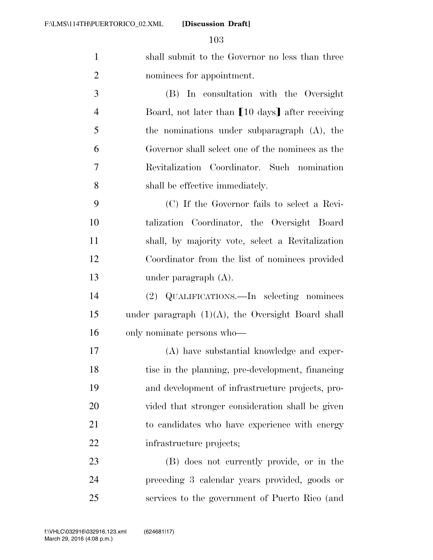| shall submit to the Governor no less than three |
|-------------------------------------------------|
| nominees for appointment.                       |

 (B) In consultation with the Oversight 4 Board, not later than  $\lceil 10 \text{ days} \rceil$  after receiving the nominations under subparagraph (A), the Governor shall select one of the nominees as the Revitalization Coordinator. Such nomination shall be effective immediately.

 (C) If the Governor fails to select a Revi- talization Coordinator, the Oversight Board shall, by majority vote, select a Revitalization Coordinator from the list of nominees provided under paragraph (A).

 (2) QUALIFICATIONS.—In selecting nominees under paragraph (1)(A), the Oversight Board shall only nominate persons who—

 (A) have substantial knowledge and exper- tise in the planning, pre-development, financing and development of infrastructure projects, pro- vided that stronger consideration shall be given to candidates who have experience with energy infrastructure projects;

 (B) does not currently provide, or in the preceding 3 calendar years provided, goods or services to the government of Puerto Rico (and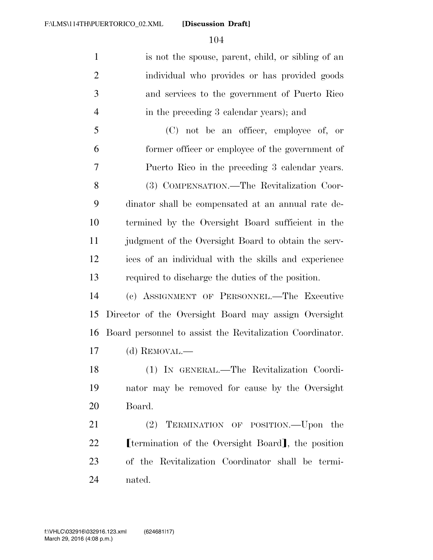is not the spouse, parent, child, or sibling of an individual who provides or has provided goods and services to the government of Puerto Rico in the preceding 3 calendar years); and

 (C) not be an officer, employee of, or former officer or employee of the government of Puerto Rico in the preceding 3 calendar years. (3) COMPENSATION.—The Revitalization Coor- dinator shall be compensated at an annual rate de- termined by the Oversight Board sufficient in the judgment of the Oversight Board to obtain the serv- ices of an individual with the skills and experience required to discharge the duties of the position.

 (c) ASSIGNMENT OF PERSONNEL.—The Executive Director of the Oversight Board may assign Oversight Board personnel to assist the Revitalization Coordinator. (d) REMOVAL.—

 (1) IN GENERAL.—The Revitalization Coordi- nator may be removed for cause by the Oversight Board.

 (2) TERMINATION OF POSITION.—Upon the **C I** termination of the Oversight Board, the position of the Revitalization Coordinator shall be termi-nated.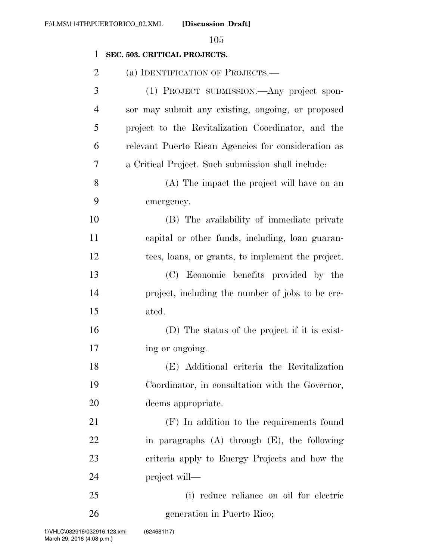### **SEC. 503. CRITICAL PROJECTS.**

| $\overline{c}$ | (a) IDENTIFICATION OF PROJECTS.—                    |
|----------------|-----------------------------------------------------|
| 3              | (1) PROJECT SUBMISSION.—Any project spon-           |
| $\overline{4}$ | sor may submit any existing, ongoing, or proposed   |
| 5              | project to the Revitalization Coordinator, and the  |
| 6              | relevant Puerto Rican Agencies for consideration as |
| 7              | a Critical Project. Such submission shall include:  |
| 8              | (A) The impact the project will have on an          |
| 9              | emergency.                                          |
| 10             | (B) The availability of immediate private           |
| 11             | capital or other funds, including, loan guaran-     |
| 12             | tees, loans, or grants, to implement the project.   |
| 13             | (C) Economic benefits provided by the               |
| 14             | project, including the number of jobs to be cre-    |
| 15             | ated.                                               |
| 16             | (D) The status of the project if it is exist-       |
| 17             | ing or ongoing.                                     |
| 18             | (E) Additional criteria the Revitalization          |
| 19             | Coordinator, in consultation with the Governor,     |
| 20             | deems appropriate.                                  |
| 21             | (F) In addition to the requirements found           |
| 22             | in paragraphs $(A)$ through $(E)$ , the following   |
| 23             | criteria apply to Energy Projects and how the       |
| 24             | project will—                                       |
| 25             | (i) reduce reliance on oil for electric             |
| 26             | generation in Puerto Rico;                          |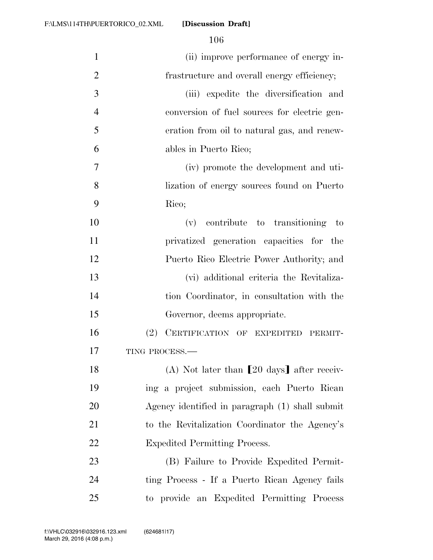| $\mathbf{1}$   | (ii) improve performance of energy in-               |
|----------------|------------------------------------------------------|
| $\overline{2}$ | frastructure and overall energy efficiency;          |
| 3              | (iii) expedite the diversification and               |
| $\overline{4}$ | conversion of fuel sources for electric gen-         |
| 5              | eration from oil to natural gas, and renew-          |
| 6              | ables in Puerto Rico;                                |
| 7              | (iv) promote the development and uti-                |
| 8              | lization of energy sources found on Puerto           |
| 9              | Rico;                                                |
| 10             | (v) contribute to transitioning to                   |
| 11             | privatized generation capacities for the             |
| 12             | Puerto Rico Electric Power Authority; and            |
| 13             | (vi) additional criteria the Revitaliza-             |
| 14             | tion Coordinator, in consultation with the           |
| 15             | Governor, deems appropriate.                         |
| 16             | CERTIFICATION OF EXPEDITED PERMIT-<br>(2)            |
| 17             | TING PROCESS.-                                       |
| 18             | (A) Not later than $[20 \text{ days}]$ after receiv- |
| 19             | ing a project submission, each Puerto Rican          |
| 20             | Agency identified in paragraph (1) shall submit      |
| 21             | to the Revitalization Coordinator the Agency's       |
| 22             | <b>Expedited Permitting Process.</b>                 |
| 23             | (B) Failure to Provide Expedited Permit-             |
| 24             | ting Process - If a Puerto Rican Agency fails        |
| 25             | to provide an Expedited Permitting Process           |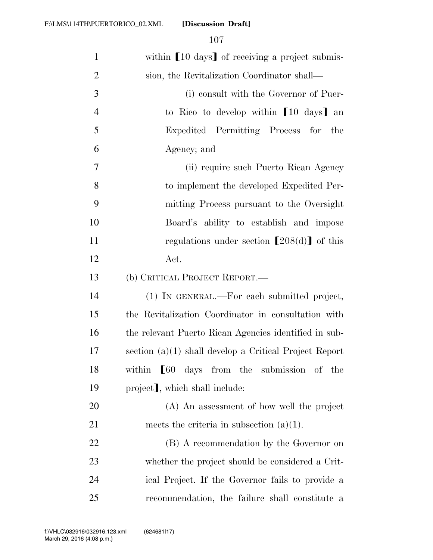| $\mathbf{1}$   | within [10 days] of receiving a project submis-                   |
|----------------|-------------------------------------------------------------------|
| $\overline{2}$ | sion, the Revitalization Coordinator shall—                       |
| 3              | (i) consult with the Governor of Puer-                            |
| $\overline{4}$ | to Rico to develop within [10 days] an                            |
| 5              | Expedited Permitting Process for the                              |
| 6              | Agency; and                                                       |
| 7              | (ii) require such Puerto Rican Agency                             |
| 8              | to implement the developed Expedited Per-                         |
| 9              | mitting Process pursuant to the Oversight                         |
| 10             | Board's ability to establish and impose                           |
| 11             | regulations under section $[208(d)]$ of this                      |
| 12             | Act.                                                              |
| 13             | (b) CRITICAL PROJECT REPORT.—                                     |
| 14             | (1) IN GENERAL.—For each submitted project,                       |
| 15             | the Revitalization Coordinator in consultation with               |
| 16             | the relevant Puerto Rican Agencies identified in sub-             |
| 17             | section $(a)(1)$ shall develop a Critical Project Report          |
| 18             | within $\llbracket 60 \text{ days}$ from the submission<br>of the |
| 19             | project], which shall include:                                    |
| 20             | (A) An assessment of how well the project                         |
| 21             | meets the criteria in subsection $(a)(1)$ .                       |
| 22             | (B) A recommendation by the Governor on                           |
| 23             | whether the project should be considered a Crit-                  |
| 24             | ical Project. If the Governor fails to provide a                  |
| 25             | recommendation, the failure shall constitute a                    |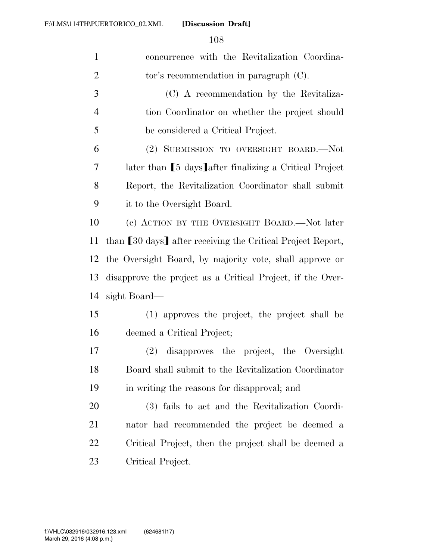| $\mathbf{1}$   | concurrence with the Revitalization Coordina-               |
|----------------|-------------------------------------------------------------|
| $\overline{2}$ | tor's recommendation in paragraph $(C)$ .                   |
| 3              | (C) A recommendation by the Revitaliza-                     |
| $\overline{4}$ | tion Coordinator on whether the project should              |
| 5              | be considered a Critical Project.                           |
| 6              | (2) SUBMISSION TO OVERSIGHT BOARD.—Not                      |
| 7              | later than [5 days] after finalizing a Critical Project     |
| 8              | Report, the Revitalization Coordinator shall submit         |
| 9              | it to the Oversight Board.                                  |
| 10             | (c) ACTION BY THE OVERSIGHT BOARD.—Not later                |
| 11             | than [30 days] after receiving the Critical Project Report, |
| 12             | the Oversight Board, by majority vote, shall approve or     |
| 13             | disapprove the project as a Critical Project, if the Over-  |
| 14             | sight Board—                                                |
| 15             | (1) approves the project, the project shall be              |
| 16             | deemed a Critical Project;                                  |
| 17             | (2) disapproves the project, the Oversight                  |
| 18             | Board shall submit to the Revitalization Coordinator        |
| 19             | in writing the reasons for disapproval; and                 |
| 20             | (3) fails to act and the Revitalization Coordi-             |
| 21             | nator had recommended the project be deemed a               |
| 22             | Critical Project, then the project shall be deemed a        |
| 23             | Critical Project.                                           |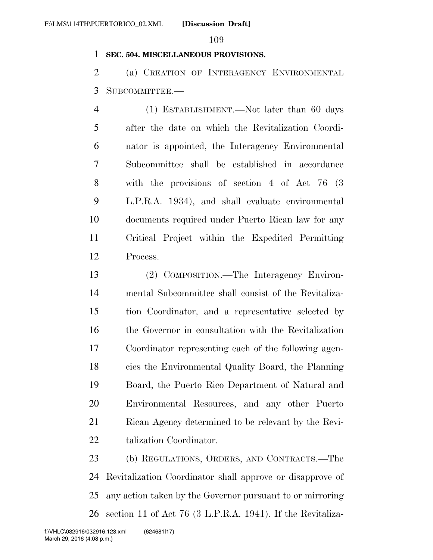## **SEC. 504. MISCELLANEOUS PROVISIONS.**

 (a) CREATION OF INTERAGENCY ENVIRONMENTAL SUBCOMMITTEE.—

 (1) ESTABLISHMENT.—Not later than 60 days after the date on which the Revitalization Coordi- nator is appointed, the Interagency Environmental Subcommittee shall be established in accordance with the provisions of section 4 of Act 76 (3 L.P.R.A. 1934), and shall evaluate environmental documents required under Puerto Rican law for any Critical Project within the Expedited Permitting Process.

 (2) COMPOSITION.—The Interagency Environ- mental Subcommittee shall consist of the Revitaliza- tion Coordinator, and a representative selected by the Governor in consultation with the Revitalization Coordinator representing each of the following agen- cies the Environmental Quality Board, the Planning Board, the Puerto Rico Department of Natural and Environmental Resources, and any other Puerto Rican Agency determined to be relevant by the Revi-talization Coordinator.

 (b) REGULATIONS, ORDERS, AND CONTRACTS.—The Revitalization Coordinator shall approve or disapprove of any action taken by the Governor pursuant to or mirroring section 11 of Act 76 (3 L.P.R.A. 1941). If the Revitaliza-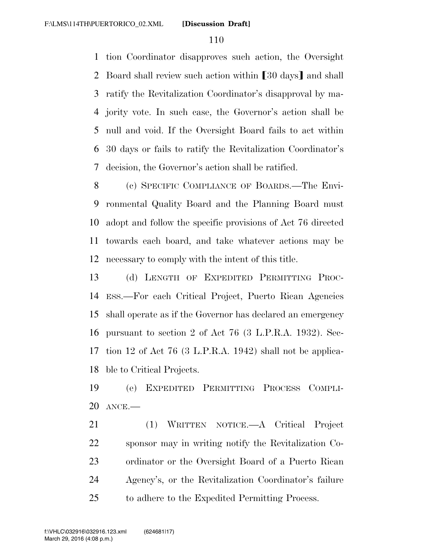tion Coordinator disapproves such action, the Oversight 2 Board shall review such action within [30 days] and shall ratify the Revitalization Coordinator's disapproval by ma- jority vote. In such case, the Governor's action shall be null and void. If the Oversight Board fails to act within 30 days or fails to ratify the Revitalization Coordinator's decision, the Governor's action shall be ratified.

 (c) SPECIFIC COMPLIANCE OF BOARDS.—The Envi- ronmental Quality Board and the Planning Board must adopt and follow the specific provisions of Act 76 directed towards each board, and take whatever actions may be necessary to comply with the intent of this title.

 (d) LENGTH OF EXPEDITED PERMITTING PROC- ESS.—For each Critical Project, Puerto Rican Agencies shall operate as if the Governor has declared an emergency pursuant to section 2 of Act 76 (3 L.P.R.A. 1932). Sec- tion 12 of Act 76 (3 L.P.R.A. 1942) shall not be applica-ble to Critical Projects.

 (e) EXPEDITED PERMITTING PROCESS COMPLI-ANCE.—

 (1) WRITTEN NOTICE.—A Critical Project sponsor may in writing notify the Revitalization Co- ordinator or the Oversight Board of a Puerto Rican Agency's, or the Revitalization Coordinator's failure to adhere to the Expedited Permitting Process.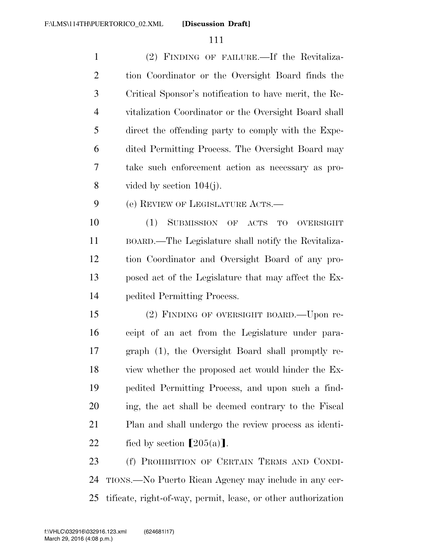**[Discussion Draft]** 

 (2) FINDING OF FAILURE.—If the Revitaliza- tion Coordinator or the Oversight Board finds the Critical Sponsor's notification to have merit, the Re- vitalization Coordinator or the Oversight Board shall direct the offending party to comply with the Expe- dited Permitting Process. The Oversight Board may take such enforcement action as necessary as pro-8 vided by section  $104(i)$ . (e) REVIEW OF LEGISLATURE ACTS.— (1) SUBMISSION OF ACTS TO OVERSIGHT BOARD.—The Legislature shall notify the Revitaliza- tion Coordinator and Oversight Board of any pro- posed act of the Legislature that may affect the Ex- pedited Permitting Process. (2) FINDING OF OVERSIGHT BOARD.—Upon re- ceipt of an act from the Legislature under para- graph (1), the Oversight Board shall promptly re- view whether the proposed act would hinder the Ex- pedited Permitting Process, and upon such a find- ing, the act shall be deemed contrary to the Fiscal Plan and shall undergo the review process as identi-22 fied by section  $[205(a)]$ . (f) PROHIBITION OF CERTAIN TERMS AND CONDI-

 TIONS.—No Puerto Rican Agency may include in any cer-tificate, right-of-way, permit, lease, or other authorization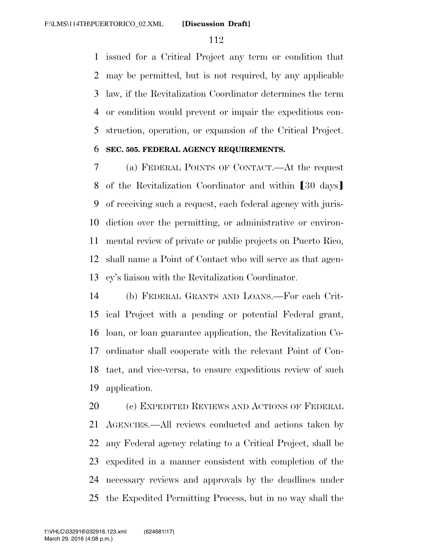issued for a Critical Project any term or condition that may be permitted, but is not required, by any applicable law, if the Revitalization Coordinator determines the term or condition would prevent or impair the expeditious con-struction, operation, or expansion of the Critical Project.

## **SEC. 505. FEDERAL AGENCY REQUIREMENTS.**

 (a) FEDERAL POINTS OF CONTACT.—At the request 8 of the Revitalization Coordinator and within [30 days] of receiving such a request, each federal agency with juris- diction over the permitting, or administrative or environ- mental review of private or public projects on Puerto Rico, shall name a Point of Contact who will serve as that agen-cy's liaison with the Revitalization Coordinator.

 (b) FEDERAL GRANTS AND LOANS.—For each Crit- ical Project with a pending or potential Federal grant, loan, or loan guarantee application, the Revitalization Co- ordinator shall cooperate with the relevant Point of Con- tact, and vice-versa, to ensure expeditious review of such application.

20 (c) EXPEDITED REVIEWS AND ACTIONS OF FEDERAL AGENCIES.—All reviews conducted and actions taken by any Federal agency relating to a Critical Project, shall be expedited in a manner consistent with completion of the necessary reviews and approvals by the deadlines under the Expedited Permitting Process, but in no way shall the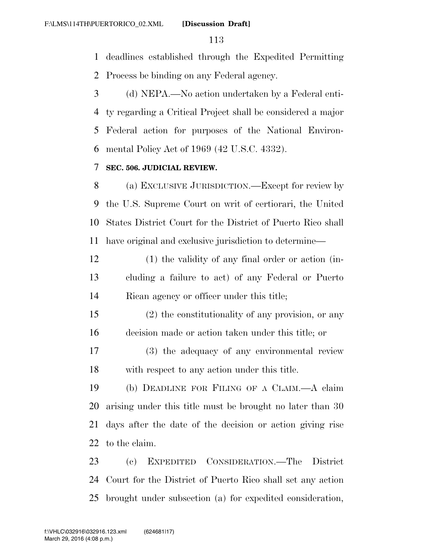deadlines established through the Expedited Permitting

Process be binding on any Federal agency.

 (d) NEPA.—No action undertaken by a Federal enti- ty regarding a Critical Project shall be considered a major Federal action for purposes of the National Environ-mental Policy Act of 1969 (42 U.S.C. 4332).

## **SEC. 506. JUDICIAL REVIEW.**

 (a) EXCLUSIVE JURISDICTION.—Except for review by the U.S. Supreme Court on writ of certiorari, the United States District Court for the District of Puerto Rico shall have original and exclusive jurisdiction to determine—

 (1) the validity of any final order or action (in- cluding a failure to act) of any Federal or Puerto Rican agency or officer under this title;

 (2) the constitutionality of any provision, or any decision made or action taken under this title; or

 (3) the adequacy of any environmental review with respect to any action under this title.

 (b) DEADLINE FOR FILING OF A CLAIM.—A claim arising under this title must be brought no later than 30 days after the date of the decision or action giving rise to the claim.

 (c) EXPEDITED CONSIDERATION.—The District Court for the District of Puerto Rico shall set any action brought under subsection (a) for expedited consideration,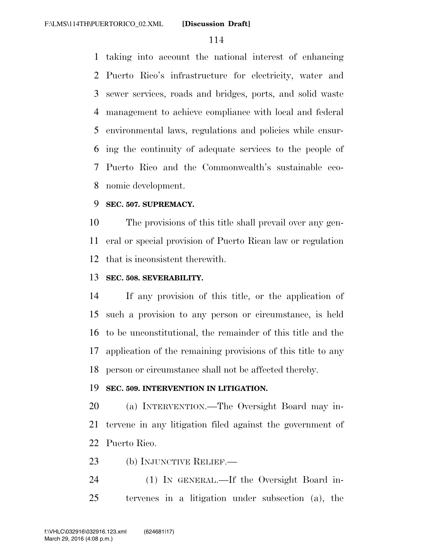taking into account the national interest of enhancing Puerto Rico's infrastructure for electricity, water and sewer services, roads and bridges, ports, and solid waste management to achieve compliance with local and federal environmental laws, regulations and policies while ensur- ing the continuity of adequate services to the people of Puerto Rico and the Commonwealth's sustainable eco-nomic development.

## **SEC. 507. SUPREMACY.**

 The provisions of this title shall prevail over any gen- eral or special provision of Puerto Rican law or regulation that is inconsistent therewith.

# **SEC. 508. SEVERABILITY.**

 If any provision of this title, or the application of such a provision to any person or circumstance, is held to be unconstitutional, the remainder of this title and the application of the remaining provisions of this title to any person or circumstance shall not be affected thereby.

## **SEC. 509. INTERVENTION IN LITIGATION.**

 (a) INTERVENTION.—The Oversight Board may in- tervene in any litigation filed against the government of Puerto Rico.

23 (b) INJUNCTIVE RELIEF.—

 (1) IN GENERAL.—If the Oversight Board in-tervenes in a litigation under subsection (a), the